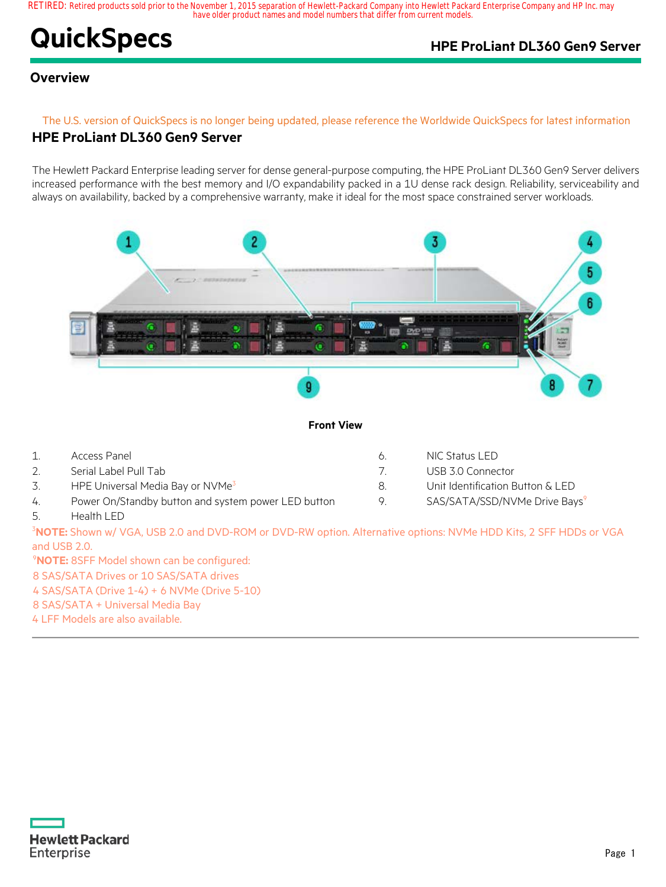# **QuickSpecs HPE ProLiant DL360 Gen9 Server**

# **Overview**

### The U.S. version of QuickSpecs is no longer being updated, please reference the Worldwide QuickSpecs for latest information

# **HPE ProLiant DL360 Gen9 Server**

The Hewlett Packard Enterprise leading server for dense general-purpose computing, the HPE ProLiant DL360 Gen9 Server delivers increased performance with the best memory and I/O expandability packed in a 1U dense rack design. Reliability, serviceability and always on availability, backed by a comprehensive warranty, make it ideal for the most space constrained server workloads.



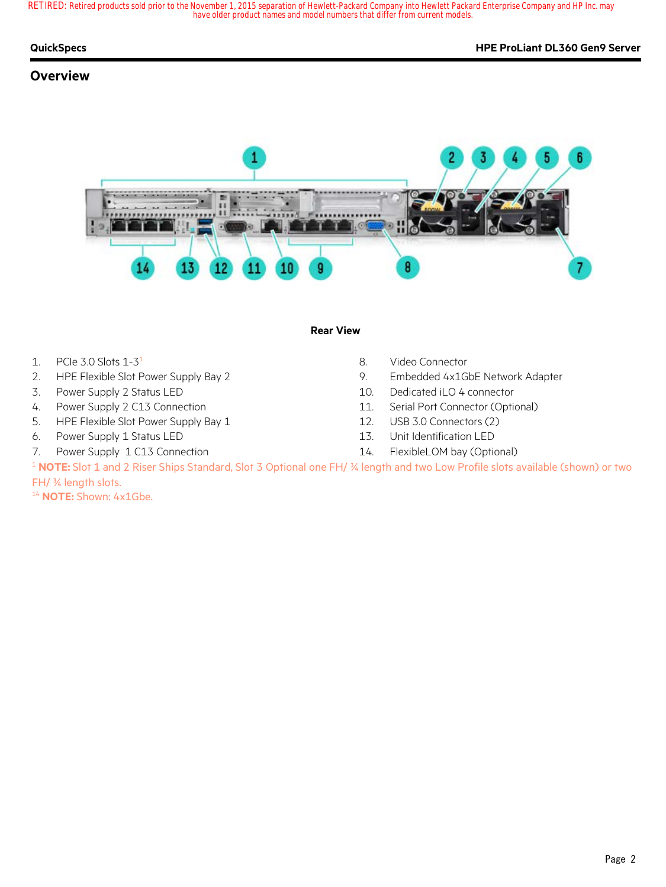# **Overview**



#### **Rear View**

#### 1. PCIe 3.0 Slots 1-3<sup>1</sup> 8. Video Connector

- 2. HPE Flexible Slot Power Supply Bay 2 12 12 12 12 13 14 14 14 14 14 15 15 16 17 17 18 18 19 19 19 1
- 
- 
- 5. HPE Flexible Slot Power Supply Bay 1 12. USB 3.0 Connectors (2)
- 6. Power Supply 1 Status LED 13. Unit Identification LED
- 7. Power Supply 1 C13 Connection 14. FlexibleLOM bay (Optional)
- 
- 
- 3. Power Supply 2 Status LED 10. Dedicated iLO 4 connector
- 4. Power Supply 2 C13 Connection 11. Serial Port Connector (Optional)
	-
	-
	-

<sup>1</sup> **NOTE:** Slot 1 and 2 Riser Ships Standard, Slot 3 Optional one FH/ ¾ length and two Low Profile slots available (shown) or two FH/ ¾ length slots.

<sup>14</sup> **NOTE:** Shown: 4x1Gbe.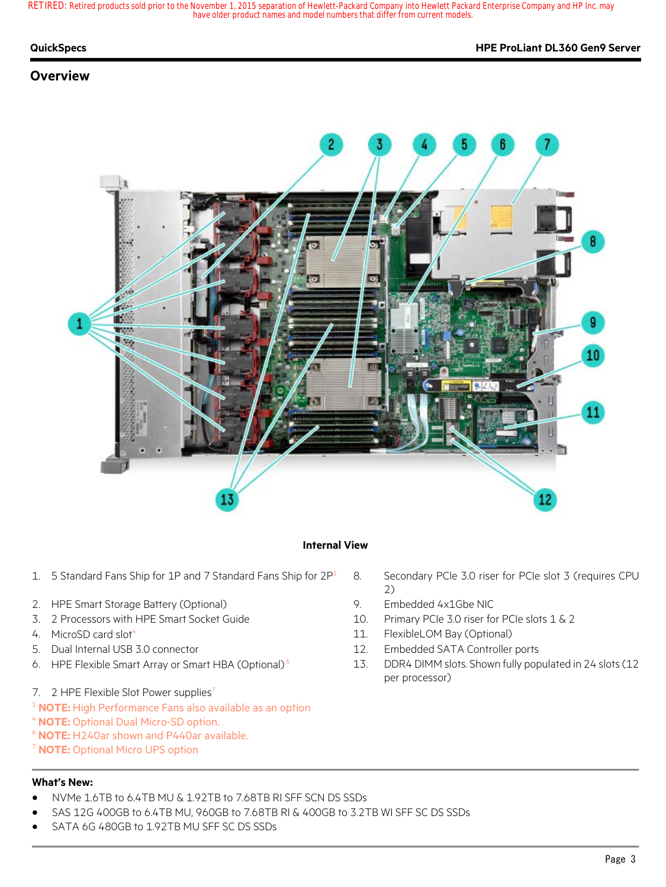#### **QuickSpecs HPE ProLiant DL360 Gen9 Server**

## **Overview**



#### **Internal View**

- 1. 5 Standard Fans Ship for 1P and 7 Standard Fans Ship for  $2P^1$  8. Secondary PCIe 3.0 riser for PCIe slot 3 (requires CPU
- 2. HPE Smart Storage Battery (Optional) 3. Embedded 4x1Gbe NIC
- 3. 2 Processors with HPE Smart Socket Guide 10. Primary PCIe 3.0 riser for PCIe slots 1 & 2
- 
- 
- 
- 7. 2 HPE Flexible Slot Power supplies<sup>7</sup>
- <sup>1</sup> **NOTE:** High Performance Fans also available as an option
- <sup>4</sup> **NOTE:** Optional Dual Micro-SD option.
- <sup>6</sup> **NOTE:** H240ar shown and P440ar available.
- <sup>7</sup> **NOTE:** Optional Micro UPS option

### **What's New:**

- NVMe 1.6TB to 6.4TB MU & 1.92TB to 7.68TB RI SFF SCN DS SSDs
- SAS 12G 400GB to 6.4TB MU, 960GB to 7.68TB RI & 400GB to 3.2TB WI SFF SC DS SSDs
- SATA 6G 480GB to 1.92TB MU SFF SC DS SSDs
- 2)
- 
- 
- 4. MicroSD card slot<sup>4</sup> 11. FlexibleLOM Bay (Optional)
- 5. Dual Internal USB 3.0 connector 12. Embedded SATA Controller ports
- 6. HPE Flexible Smart Array or Smart HBA (Optional)<sup>6</sup> 13. DDR4 DIMM slots. Shown fully populated in 24 slots (12 per processor)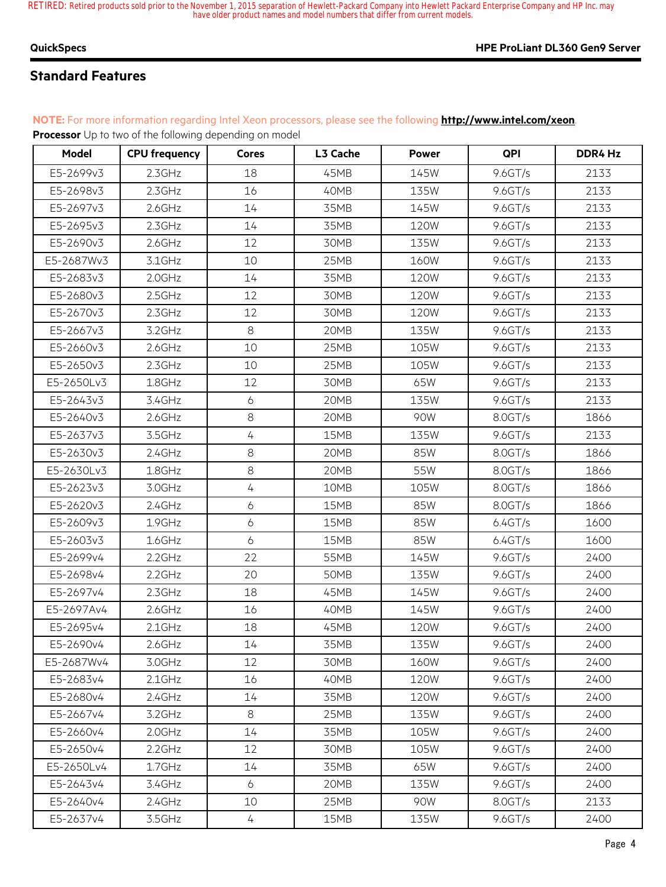#### **QuickSpecs HPE ProLiant DL360 Gen9 Server**

### **Standard Features**

# **Model CPU frequency Cores L3 Cache Power QPI DDR4 Hz** E5-2699v3 2.3GHz 18 45MB 145W 9.6GT/s 2133 E5-2698v3 2.3GHz 16 40MB 135W 9.6GT/s 2133 E5-2697v3 2.6GHz 14 35MB 145W 9.6GT/s 2133 E5-2695v3 2.3GHz 14 35MB 120W 9.6GT/s 2133 E5-2690v3 2.6GHz 12 30MB 135W 9.6GT/s 2133 E5-2687Wv3 3.1GHz 10 25MB 160W 9.6GT/s 2133 E5-2683v3 2.0GHz 14 35MB 120W 9.6GT/s 2133 E5-2680v3 2.5GHz 12 30MB 120W 9.6GT/s 2133 E5-2670v3 2.3GHz 12 30MB 120W 9.6GT/s 2133 E5-2667v3 3.2GHz 8 20MB 135W 9.6GT/s 2133 E5-2660v3 2.6GHz 10 25MB 105W 9.6GT/s 2133 E5-2650v3 2.3GHz 10 25MB 105W 9.6GT/s 2133 E5-2650Lv3 1.8GHz 12 30MB 65W 9.6GT/s 2133 E5-2643v3 3.4GHz 6 20MB 135W 9.6GT/s 2133 E5-2640v3 2.6GHz 8 20MB 90W 8.0GT/s 1866 E5-2637v3 3.5GHz 4 15MB 135W 9.6GT/s 2133 E5-2630v3 2.4GHz 8 20MB 85W 8.0GT/s 1866 E5-2630Lv3 1.8GHz 8 20MB 55W 8.0GT/s 1866 E5-2623v3 3.0GHz 4 10MB 105W 8.0GT/s 1866 E5-2620v3 2.4GHz 6 15MB 85W 8.0GT/s 1866 E5-2609v3 1.9GHz 6 15MB 85W 6.4GT/s 1600 E5-2603v3 1.6GHz 6 15MB 85W 6.4GT/s 1600 E5-2699v4 2.2GHz 22 55MB 145W 9.6GT/s 2400 E5-2698v4 2.2GHz 20 50MB 135W 9.6GT/s 2400 E5-2697v4 2.3GHz 18 45MB 145W 9.6GT/s 2400 E5-2697Av4 2.6GHz 16 40MB 145W 9.6GT/s 2400 E5-2695v4 2.1GHz 18 45MB 120W 9.6GT/s 2400 E5-2690v4 2.6GHz 14 35MB 135W 9.6GT/s 2400 E5-2687Wv4 3.0GHz 12 30MB 160W 9.6GT/s 2400 E5-2683v4 2.1GHz 16 40MB 120W 9.6GT/s 2400 E5-2680v4 2.4GHz 14 35MB 120W 9.6GT/s 2400 E5-2667v4 3.2GHz 8 25MB 135W 9.6GT/s 2400 E5-2660v4 2.0GHz 14 35MB 105W 9.6GT/s 2400 E5-2650v4 2.2GHz 12 30MB 105W 9.6GT/s 2400 E5-2650Lv4 1.7GHz 14 35MB 65W 9.6GT/s 2400 E5-2643v4 3.4GHz 6 20MB 135W 9.6GT/s 2400 E5-2640v4 2.4GHz 10 25MB 90W 8.0GT/s 2133 E5-2637v4 3.5GHz 4 15MB 135W 9.6GT/s 2400

#### **NOTE:** For more information regarding Intel Xeon processors, please see the following **http://www.intel.com/xeon**. **Processor** Up to two of the following depending on model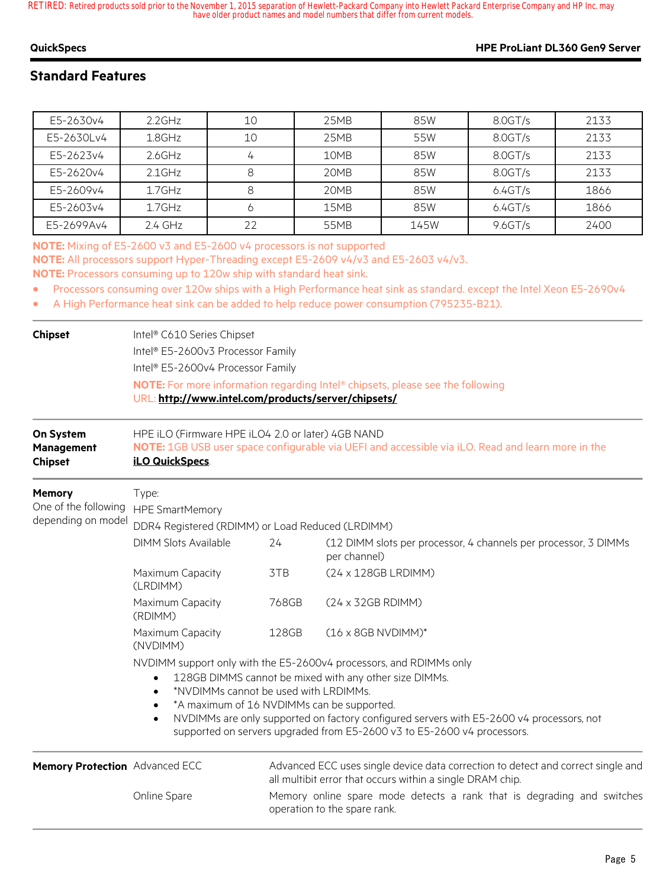#### **QuickSpecs HPE ProLiant DL360 Gen9 Server**

# **Standard Features**

| E5-2630v4                                                                                                                                                                                                                            | 2.2GHz                                                                                                                                                                                                          | 10    | 25MB                                                                                                                                                                                                                     | 85W  | 8.0GT/s                                                                                  | 2133                                                                             |
|--------------------------------------------------------------------------------------------------------------------------------------------------------------------------------------------------------------------------------------|-----------------------------------------------------------------------------------------------------------------------------------------------------------------------------------------------------------------|-------|--------------------------------------------------------------------------------------------------------------------------------------------------------------------------------------------------------------------------|------|------------------------------------------------------------------------------------------|----------------------------------------------------------------------------------|
| E5-2630Lv4                                                                                                                                                                                                                           | 1.8GHz                                                                                                                                                                                                          | 10    | 25MB                                                                                                                                                                                                                     | 55W  | 8.0GT/s                                                                                  | 2133                                                                             |
| E5-2623v4                                                                                                                                                                                                                            | 2.6GHz                                                                                                                                                                                                          | 4     | 10MB                                                                                                                                                                                                                     | 85W  | 8.0GT/s                                                                                  | 2133                                                                             |
| E5-2620v4                                                                                                                                                                                                                            | $2.1$ GHz                                                                                                                                                                                                       | 8     | 20MB                                                                                                                                                                                                                     | 85W  | 8.0GT/s                                                                                  | 2133                                                                             |
| E5-2609v4                                                                                                                                                                                                                            | 1.7GHz                                                                                                                                                                                                          | 8     | 20MB                                                                                                                                                                                                                     | 85W  | 6.4GT/s                                                                                  | 1866                                                                             |
| E5-2603v4                                                                                                                                                                                                                            | 1.7GHz                                                                                                                                                                                                          | 6     | 15MB                                                                                                                                                                                                                     | 85W  | 6.4GT/s                                                                                  | 1866                                                                             |
| E5-2699Av4                                                                                                                                                                                                                           | 2.4 GHz                                                                                                                                                                                                         | 22    | 55MB                                                                                                                                                                                                                     | 145W | 9.6 G T/s                                                                                | 2400                                                                             |
| NOTE: Mixing of E5-2600 v3 and E5-2600 v4 processors is not supported<br>NOTE: All processors support Hyper-Threading except E5-2609 v4/v3 and E5-2603 v4/v3.<br>NOTE: Processors consuming up to 120w ship with standard heat sink. | Processors consuming over 120w ships with a High Performance heat sink as standard. except the Intel Xeon E5-2690v4<br>A High Performance heat sink can be added to help reduce power consumption (795235-B21). |       |                                                                                                                                                                                                                          |      |                                                                                          |                                                                                  |
| <b>Chipset</b>                                                                                                                                                                                                                       | Intel® C610 Series Chipset                                                                                                                                                                                      |       |                                                                                                                                                                                                                          |      |                                                                                          |                                                                                  |
|                                                                                                                                                                                                                                      | Intel® E5-2600v3 Processor Family<br>Intel® E5-2600v4 Processor Family                                                                                                                                          |       |                                                                                                                                                                                                                          |      |                                                                                          |                                                                                  |
|                                                                                                                                                                                                                                      | NOTE: For more information regarding Intel® chipsets, please see the following                                                                                                                                  |       |                                                                                                                                                                                                                          |      |                                                                                          |                                                                                  |
|                                                                                                                                                                                                                                      | URL: http://www.intel.com/products/server/chipsets/                                                                                                                                                             |       |                                                                                                                                                                                                                          |      |                                                                                          |                                                                                  |
|                                                                                                                                                                                                                                      |                                                                                                                                                                                                                 |       |                                                                                                                                                                                                                          |      |                                                                                          |                                                                                  |
|                                                                                                                                                                                                                                      | HPE iLO (Firmware HPE iLO4 2.0 or later) 4GB NAND<br>NOTE: 1GB USB user space configurable via UEFI and accessible via iLO. Read and learn more in the<br><b>iLO QuickSpecs.</b>                                |       |                                                                                                                                                                                                                          |      |                                                                                          |                                                                                  |
| On System<br>Management<br><b>Chipset</b>                                                                                                                                                                                            |                                                                                                                                                                                                                 |       |                                                                                                                                                                                                                          |      |                                                                                          |                                                                                  |
| <b>Memory</b>                                                                                                                                                                                                                        | Type:                                                                                                                                                                                                           |       |                                                                                                                                                                                                                          |      |                                                                                          |                                                                                  |
| One of the following<br>depending on model                                                                                                                                                                                           | <b>HPE SmartMemory</b>                                                                                                                                                                                          |       |                                                                                                                                                                                                                          |      |                                                                                          |                                                                                  |
|                                                                                                                                                                                                                                      | DDR4 Registered (RDIMM) or Load Reduced (LRDIMM)<br><b>DIMM Slots Available</b>                                                                                                                                 | 24    | per channel)                                                                                                                                                                                                             |      | (12 DIMM slots per processor, 4 channels per processor, 3 DIMMs                          |                                                                                  |
|                                                                                                                                                                                                                                      | Maximum Capacity<br>(LRDIMM)                                                                                                                                                                                    | 3TB   | (24 x 128GB LRDIMM)                                                                                                                                                                                                      |      |                                                                                          |                                                                                  |
|                                                                                                                                                                                                                                      | Maximum Capacity<br>(RDIMM)                                                                                                                                                                                     | 768GB | (24 x 32GB RDIMM)                                                                                                                                                                                                        |      |                                                                                          |                                                                                  |
|                                                                                                                                                                                                                                      | Maximum Capacity<br>(NVDIMM)                                                                                                                                                                                    | 128GB | $(16 \times 8GB$ NVDIMM)*                                                                                                                                                                                                |      |                                                                                          |                                                                                  |
|                                                                                                                                                                                                                                      | NVDIMM support only with the E5-2600v4 processors, and RDIMMs only<br>$\bullet$<br>$\bullet$                                                                                                                    |       | 128GB DIMMS cannot be mixed with any other size DIMMs.<br>*NVDIMMs cannot be used with LRDIMMs.<br>*A maximum of 16 NVDIMMs can be supported.<br>supported on servers upgraded from E5-2600 v3 to E5-2600 v4 processors. |      | NVDIMMs are only supported on factory configured servers with E5-2600 v4 processors, not |                                                                                  |
| Memory Protection Advanced ECC                                                                                                                                                                                                       |                                                                                                                                                                                                                 |       | all multibit error that occurs within a single DRAM chip.                                                                                                                                                                |      |                                                                                          | Advanced ECC uses single device data correction to detect and correct single and |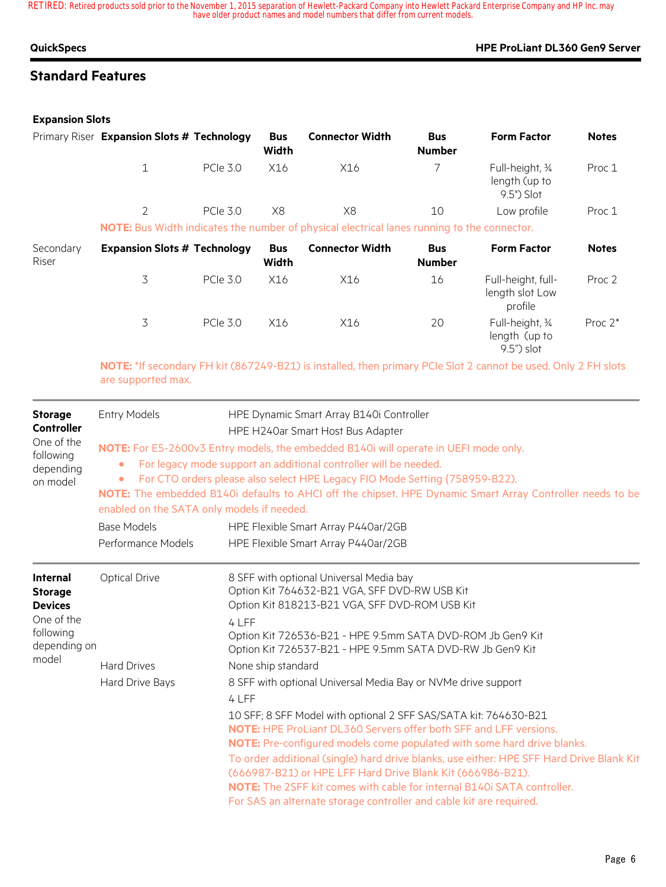#### **QuickSpecs HPE ProLiant DL360 Gen9 Server**

# **Standard Features**

### **Expansion Slots**

following depending on model

|                          | Primary Riser Expansion Slots # Technology |                 | <b>Bus</b><br>Width | <b>Connector Width</b>                                                                                                       | <b>Bus</b><br><b>Number</b> | <b>Form Factor</b>                                | <b>Notes</b>      |
|--------------------------|--------------------------------------------|-----------------|---------------------|------------------------------------------------------------------------------------------------------------------------------|-----------------------------|---------------------------------------------------|-------------------|
|                          | 1                                          | <b>PCle 3.0</b> | X16                 | X16                                                                                                                          | 7                           | Full-height, 34<br>length (up to<br>$9.5"$ ) Slot | Proc 1            |
|                          | $\overline{2}$                             | <b>PCIe 3.0</b> | X8                  | X8                                                                                                                           | 10                          | Low profile                                       | Proc 1            |
|                          |                                            |                 |                     | <b>NOTE:</b> Bus Width indicates the number of physical electrical lanes running to the connector.                           |                             |                                                   |                   |
| Secondary<br>Riser       | <b>Expansion Slots # Technology</b>        |                 | <b>Bus</b><br>Width | <b>Connector Width</b>                                                                                                       | <b>Bus</b><br><b>Number</b> | <b>Form Factor</b>                                | <b>Notes</b>      |
|                          | 3                                          | <b>PCIe 3.0</b> | X16                 | X16                                                                                                                          | 16                          | Full-height, full-<br>length slot Low<br>profile  | Proc <sub>2</sub> |
|                          | 3                                          | <b>PCIe 3.0</b> | X16                 | X16                                                                                                                          | 20                          | Full-height, 34<br>length (up to<br>$9.5"$ ) slot | Proc $2^*$        |
|                          | are supported max.                         |                 |                     | NOTE: *If secondary FH kit (867249-B21) is installed, then primary PCIe Slot 2 cannot be used. Only 2 FH slots               |                             |                                                   |                   |
| <b>Storage</b>           | <b>Entry Models</b>                        |                 |                     | HPE Dynamic Smart Array B140i Controller                                                                                     |                             |                                                   |                   |
| Controller<br>One of the |                                            |                 |                     | HPE H240ar Smart Host Bus Adapter<br>NIATE IT SITE A LAA STESSIS SISSI SISSISSI SISSI DA LANSII SISSISSI NI HEELSISSISSII SI |                             |                                                   |                   |

**NOTE:** For E5-2600v3 Entry models, the embedded B140i will operate in UEFI mode only.

• For legacy mode support an additional controller will be needed.

• For CTO orders please also select HPE Legacy FIO Mode Setting (758959-B22).

**NOTE:** The embedded B140i defaults to AHCI off the chipset. HPE Dynamic Smart Array Controller needs to be enabled on the SATA only models if needed.

|                                                     | Base Models          | HPE Flexible Smart Array P440ar/2GB                                                                                                                                                                                                                                                                                                                                                                                                                                                                                                               |  |  |
|-----------------------------------------------------|----------------------|---------------------------------------------------------------------------------------------------------------------------------------------------------------------------------------------------------------------------------------------------------------------------------------------------------------------------------------------------------------------------------------------------------------------------------------------------------------------------------------------------------------------------------------------------|--|--|
|                                                     | Performance Models   | HPE Flexible Smart Array P440ar/2GB                                                                                                                                                                                                                                                                                                                                                                                                                                                                                                               |  |  |
| <b>Internal</b><br><b>Storage</b><br><b>Devices</b> | <b>Optical Drive</b> | 8 SFF with optional Universal Media bay<br>Option Kit 764632-B21 VGA, SFF DVD-RW USB Kit<br>Option Kit 818213-B21 VGA, SFF DVD-ROM USB Kit                                                                                                                                                                                                                                                                                                                                                                                                        |  |  |
| One of the<br>following<br>depending on             |                      | 4 LFF<br>Option Kit 726536-B21 - HPE 9.5mm SATA DVD-ROM Jb Gen9 Kit<br>Option Kit 726537-B21 - HPE 9.5mm SATA DVD-RW Jb Gen9 Kit                                                                                                                                                                                                                                                                                                                                                                                                                  |  |  |
| model                                               | <b>Hard Drives</b>   | None ship standard                                                                                                                                                                                                                                                                                                                                                                                                                                                                                                                                |  |  |
|                                                     | Hard Drive Bays      | 8 SFF with optional Universal Media Bay or NVMe drive support<br>4 LFF                                                                                                                                                                                                                                                                                                                                                                                                                                                                            |  |  |
|                                                     |                      | 10 SFF; 8 SFF Model with optional 2 SFF SAS/SATA kit: 764630-B21<br><b>NOTE:</b> HPE ProLiant DL360 Servers offer both SFF and LFF versions.<br><b>NOTE:</b> Pre-configured models come populated with some hard drive blanks.<br>To order additional (single) hard drive blanks, use either: HPE SFF Hard Drive Blank Kit<br>(666987-B21) or HPE LFF Hard Drive Blank Kit (666986-B21).<br><b>NOTE:</b> The 2SFF kit comes with cable for internal B140i SATA controller.<br>For SAS an alternate storage controller and cable kit are required. |  |  |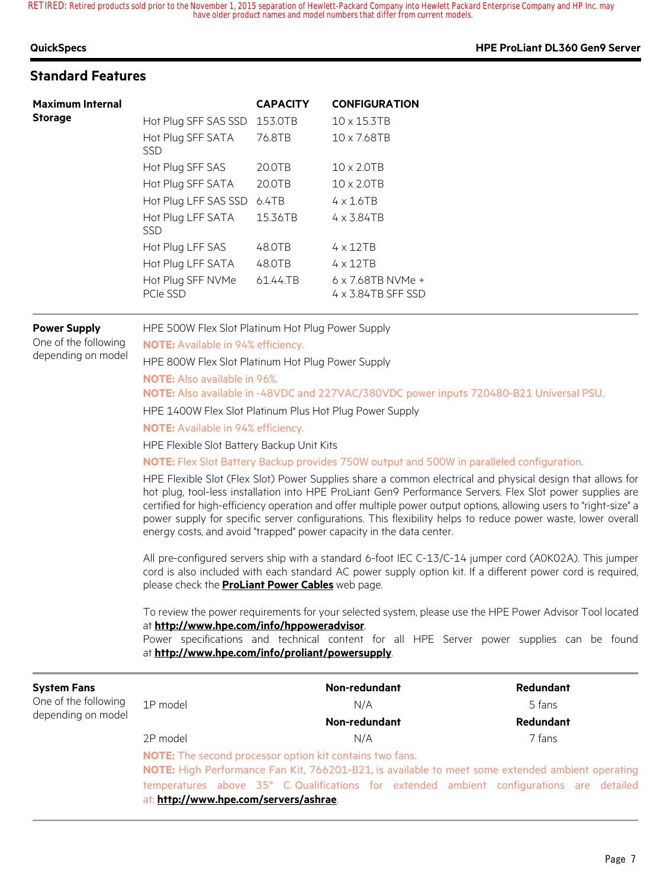#### **QuickSpecs HPE ProLiant DL360 Gen9 Server**

# **Standard Features**

| <b>Maximum Internal</b> |                                 | <b>CAPACITY</b> | <b>CONFIGURATION</b>                                    |
|-------------------------|---------------------------------|-----------------|---------------------------------------------------------|
| <b>Storage</b>          | Hot Plug SFF SAS SSD            | 153.0TB         | 10 x 15.3TB                                             |
|                         | Hot Plug SFF SATA<br><b>SSD</b> | 76.8TB          | 10 x 7.68TB                                             |
|                         | Hot Plug SFF SAS                | 20.0TB          | $10 \times 2.0$ TB                                      |
|                         | Hot Plug SFF SATA               | 20.0TB          | $10 \times 2.0$ TB                                      |
|                         | Hot Plug LFF SAS SSD            | 6.4TB           | $4 \times 1.6$ TB                                       |
|                         | Hot Plug LFF SATA<br><b>SSD</b> | 15.36TB         | $4 \times 3.84$ TB                                      |
|                         | Hot Plug LFF SAS                | 48.0TB          | $4 \times 12$ TB                                        |
|                         | Hot Plug LFF SATA               | 48.0TB          | $4 \times 12$ TB                                        |
|                         | Hot Plug SFF NVMe<br>PCIe SSD   | 61.44.TB        | $6 \times 7.68$ TB NVMe +<br>$4 \times 3.84$ TB SFF SSD |

#### **Power Supply**

One of the following depending on model HPE 500W Flex Slot Platinum Hot Plug Power Supply

**NOTE:** Available in 94% efficiency.

HPE 800W Flex Slot Platinum Hot Plug Power Supply

**NOTE:** Also available in 96%.

**NOTE:** Also available in -48VDC and 227VAC/380VDC power inputs 720480-B21 Universal PSU.

HPE 1400W Flex Slot Platinum Plus Hot Plug Power Supply

**NOTE:** Available in 94% efficiency.

HPE Flexible Slot Battery Backup Unit Kits

**NOTE:** Flex Slot Battery Backup provides 750W output and 500W in paralleled configuration.

HPE Flexible Slot (Flex Slot) Power Supplies share a common electrical and physical design that allows for hot plug, tool-less installation into HPE ProLiant Gen9 Performance Servers. Flex Slot power supplies are certified for high-efficiency operation and offer multiple power output options, allowing users to "right-size" a power supply for specific server configurations. This flexibility helps to reduce power waste, lower overall energy costs, and avoid "trapped" power capacity in the data center.

All pre-configured servers ship with a standard 6-foot IEC C-13/C-14 jumper cord (A0K02A). This jumper cord is also included with each standard AC power supply option kit. If a different power cord is required, please check the **ProLiant Power Cables** web page.

To review the power requirements for your selected system, please use the HPE Power Advisor Tool located at **http://www.hpe.com/info/hppoweradvisor**.

Power specifications and technical content for all HPE Server power supplies can be found at **http://www.hpe.com/info/proliant/powersupply**.

| <b>System Fans</b>                         |                                                                 | Non-redundant | <b>Redundant</b>                                                                                 |  |  |
|--------------------------------------------|-----------------------------------------------------------------|---------------|--------------------------------------------------------------------------------------------------|--|--|
| One of the following<br>depending on model | 1P model                                                        | N/A           | 5 fans                                                                                           |  |  |
|                                            |                                                                 | Non-redundant | Redundant                                                                                        |  |  |
|                                            | 2P model                                                        | N/A           | 7 fans                                                                                           |  |  |
|                                            | <b>NOTE:</b> The second processor option kit contains two fans. |               |                                                                                                  |  |  |
|                                            |                                                                 |               | NOTE: High Performance Fan Kit, 766201-B21, is available to meet some extended ambient operating |  |  |
|                                            |                                                                 |               | temperatures above 35° C. Qualifications for extended ambient configurations are detailed        |  |  |
|                                            | at: http://www.hpe.com/servers/ashrae.                          |               |                                                                                                  |  |  |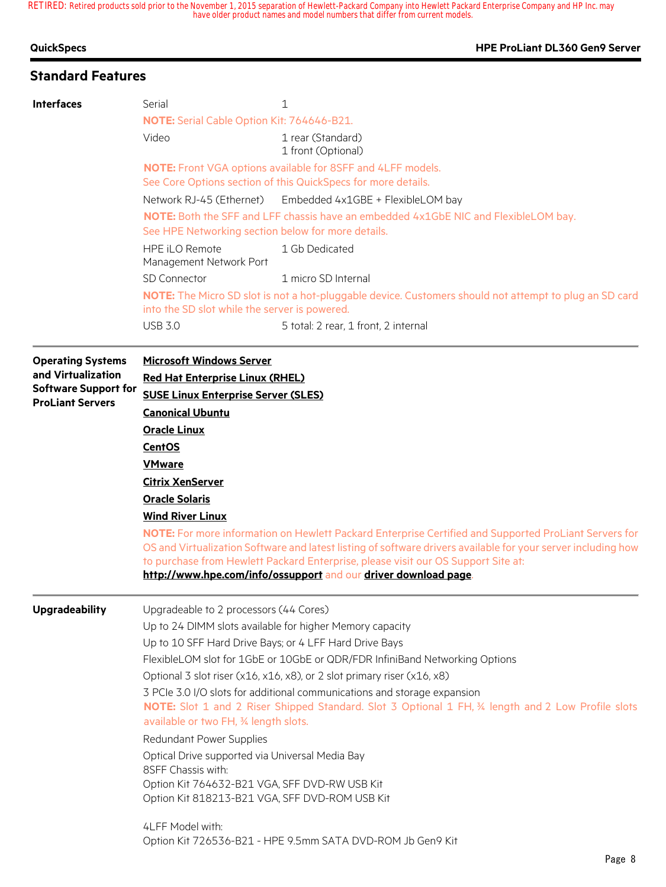| QuickSpecs |  |
|------------|--|
|------------|--|

## **Standa**

| <b>Standard Features</b> |        |                                                                                                                                     |  |
|--------------------------|--------|-------------------------------------------------------------------------------------------------------------------------------------|--|
| <b>Interfaces</b>        | Serial |                                                                                                                                     |  |
|                          |        | <b>NOTE:</b> Serial Cable Option Kit: 764646-B21.                                                                                   |  |
|                          | Video  | 1 rear (Standard)<br>1 front (Optional)                                                                                             |  |
|                          |        | <b>NOTE:</b> Front VGA options available for 8SFF and 4LFF models.<br>See Core Options section of this QuickSpecs for more details. |  |

Network RJ-45 (Ethernet) Embedded 4x1GBE + FlexibleLOM bay

**NOTE:** Both the SFF and LFF chassis have an embedded 4x1GbE NIC and FlexibleLOM bay. See HPE Networking section below for more details.

HPE iLO Remote Management Network Port 1 Gb Dedicated SD Connector 1 micro SD Internal **NOTE:** The Micro SD slot is not a hot-pluggable device. Customers should not attempt to plug an SD card into the SD slot while the server is powered. USB 3.0 5 total: 2 rear, 1 front, 2 internal

**HPE ProLiant DL360 Gen9 Server** 

| <b>Operating Systems</b><br>and Virtualization<br><b>Software Support for</b><br><b>ProLiant Servers</b> | <b>Microsoft Windows Server</b><br><b>Red Hat Enterprise Linux (RHEL)</b><br><b>SUSE Linux Enterprise Server (SLES)</b><br><b>Canonical Ubuntu</b><br><b>Oracle Linux</b><br><b>CentOS</b><br><b>VMware</b><br><b>Citrix XenServer</b><br><b>Oracle Solaris</b>                                                                                                                                                                                                                                                                                                                                                                                                                                                                                                                                                                              |  |  |  |
|----------------------------------------------------------------------------------------------------------|----------------------------------------------------------------------------------------------------------------------------------------------------------------------------------------------------------------------------------------------------------------------------------------------------------------------------------------------------------------------------------------------------------------------------------------------------------------------------------------------------------------------------------------------------------------------------------------------------------------------------------------------------------------------------------------------------------------------------------------------------------------------------------------------------------------------------------------------|--|--|--|
|                                                                                                          | <b>Wind River Linux</b><br>NOTE: For more information on Hewlett Packard Enterprise Certified and Supported ProLiant Servers for<br>OS and Virtualization Software and latest listing of software drivers available for your server including how<br>to purchase from Hewlett Packard Enterprise, please visit our OS Support Site at:<br>http://www.hpe.com/info/ossupport and our driver download page.                                                                                                                                                                                                                                                                                                                                                                                                                                    |  |  |  |
| <b>Upgradeability</b>                                                                                    | Upgradeable to 2 processors (44 Cores)<br>Up to 24 DIMM slots available for higher Memory capacity<br>Up to 10 SFF Hard Drive Bays; or 4 LFF Hard Drive Bays<br>FlexibleLOM slot for 1GbE or 10GbE or QDR/FDR InfiniBand Networking Options<br>Optional 3 slot riser (x16, x16, x8), or 2 slot primary riser (x16, x8)<br>3 PCIe 3.0 I/O slots for additional communications and storage expansion<br>NOTE: Slot 1 and 2 Riser Shipped Standard. Slot 3 Optional 1 FH, 3/4 length and 2 Low Profile slots<br>available or two FH, 34 length slots.<br>Redundant Power Supplies<br>Optical Drive supported via Universal Media Bay<br>8SFF Chassis with:<br>Option Kit 764632-B21 VGA, SFF DVD-RW USB Kit<br>Option Kit 818213-B21 VGA, SFF DVD-ROM USB Kit<br>4LFF Model with:<br>Option Kit 726536-B21 - HPE 9.5mm SATA DVD-ROM Jb Gen9 Kit |  |  |  |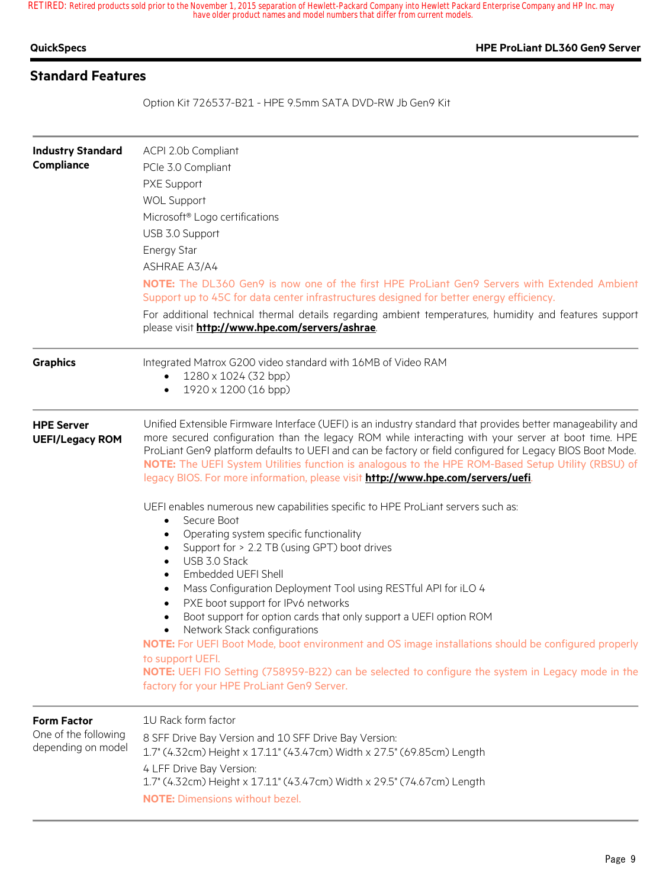#### **QuickSpecs HPE ProLiant DL360 Gen9 Server**

# **Standard Features**

Option Kit 726537-B21 - HPE 9.5mm SATA DVD-RW Jb Gen9 Kit

| <b>Industry Standard</b><br><b>Compliance</b>                    | ACPI 2.0b Compliant<br>PCle 3.0 Compliant<br>PXE Support<br><b>WOL Support</b><br>Microsoft <sup>®</sup> Logo certifications<br>USB 3.0 Support<br><b>Energy Star</b><br><b>ASHRAE A3/A4</b><br><b>NOTE:</b> The DL360 Gen9 is now one of the first HPE ProLiant Gen9 Servers with Extended Ambient<br>Support up to 45C for data center infrastructures designed for better energy efficiency.<br>For additional technical thermal details regarding ambient temperatures, humidity and features support<br>please visit http://www.hpe.com/servers/ashrae.                                                                                                                                                                                                                                                                                                                                                                                                                                                                                                                                                                                                                                                                                                                                                                                         |
|------------------------------------------------------------------|------------------------------------------------------------------------------------------------------------------------------------------------------------------------------------------------------------------------------------------------------------------------------------------------------------------------------------------------------------------------------------------------------------------------------------------------------------------------------------------------------------------------------------------------------------------------------------------------------------------------------------------------------------------------------------------------------------------------------------------------------------------------------------------------------------------------------------------------------------------------------------------------------------------------------------------------------------------------------------------------------------------------------------------------------------------------------------------------------------------------------------------------------------------------------------------------------------------------------------------------------------------------------------------------------------------------------------------------------|
| <b>Graphics</b>                                                  | Integrated Matrox G200 video standard with 16MB of Video RAM<br>1280 x 1024 (32 bpp)<br>1920 x 1200 (16 bpp)<br>$\bullet$                                                                                                                                                                                                                                                                                                                                                                                                                                                                                                                                                                                                                                                                                                                                                                                                                                                                                                                                                                                                                                                                                                                                                                                                                            |
| <b>HPE Server</b><br><b>UEFI/Legacy ROM</b>                      | Unified Extensible Firmware Interface (UEFI) is an industry standard that provides better manageability and<br>more secured configuration than the legacy ROM while interacting with your server at boot time. HPE<br>ProLiant Gen9 platform defaults to UEFI and can be factory or field configured for Legacy BIOS Boot Mode.<br>NOTE: The UEFI System Utilities function is analogous to the HPE ROM-Based Setup Utility (RBSU) of<br>legacy BIOS. For more information, please visit http://www.hpe.com/servers/uefi<br>UEFI enables numerous new capabilities specific to HPE ProLiant servers such as:<br>Secure Boot<br>$\bullet$<br>Operating system specific functionality<br>$\bullet$<br>Support for > 2.2 TB (using GPT) boot drives<br>$\bullet$<br>USB 3.0 Stack<br>$\bullet$<br>Embedded UEFI Shell<br>$\bullet$<br>Mass Configuration Deployment Tool using RESTful API for iLO 4<br>$\bullet$<br>PXE boot support for IPv6 networks<br>$\bullet$<br>Boot support for option cards that only support a UEFI option ROM<br>Network Stack configurations<br>NOTE: For UEFI Boot Mode, boot environment and OS image installations should be configured properly<br>to support UEFI.<br>NOTE: UEFI FIO Setting (758959-B22) can be selected to configure the system in Legacy mode in the<br>factory for your HPE ProLiant Gen9 Server. |
| <b>Form Factor</b><br>One of the following<br>depending on model | 1U Rack form factor<br>8 SFF Drive Bay Version and 10 SFF Drive Bay Version:<br>1.7" (4.32cm) Height x 17.11" (43.47cm) Width x 27.5" (69.85cm) Length<br>4 LFF Drive Bay Version:<br>1.7" (4.32cm) Height x 17.11" (43.47cm) Width x 29.5" (74.67cm) Length<br><b>NOTE:</b> Dimensions without bezel.                                                                                                                                                                                                                                                                                                                                                                                                                                                                                                                                                                                                                                                                                                                                                                                                                                                                                                                                                                                                                                               |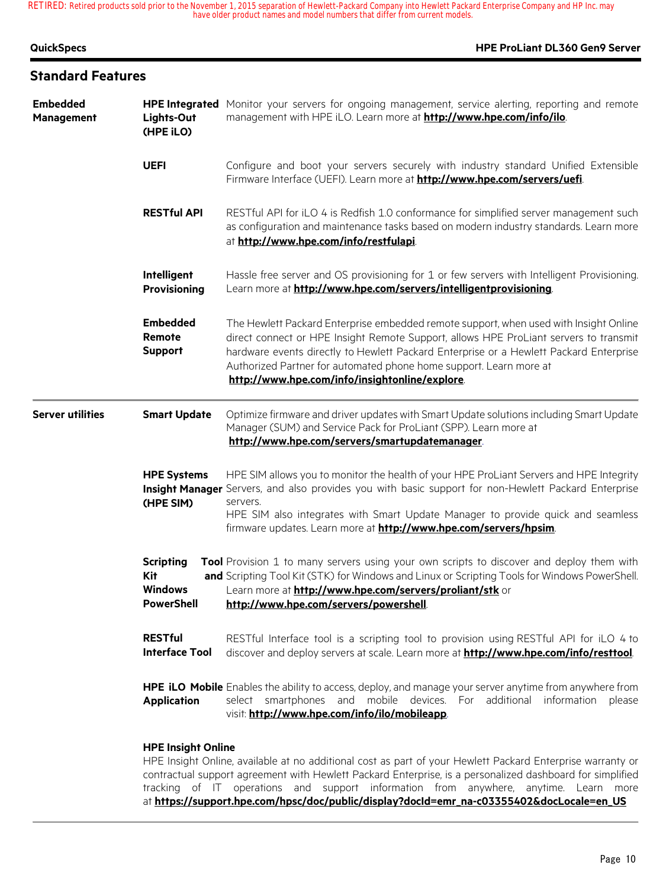| <b>QuickSpecs</b>             |                                                                | <b>HPE ProLiant DL360 Gen9 Server</b>                                                                                                                                                                                                                                                                                                                                                            |
|-------------------------------|----------------------------------------------------------------|--------------------------------------------------------------------------------------------------------------------------------------------------------------------------------------------------------------------------------------------------------------------------------------------------------------------------------------------------------------------------------------------------|
| <b>Standard Features</b>      |                                                                |                                                                                                                                                                                                                                                                                                                                                                                                  |
| <b>Embedded</b><br>Management | Lights-Out<br>(HPE iLO)                                        | HPE Integrated Monitor your servers for ongoing management, service alerting, reporting and remote<br>management with HPE iLO. Learn more at http://www.hpe.com/info/ilo.                                                                                                                                                                                                                        |
|                               | <b>UEFI</b>                                                    | Configure and boot your servers securely with industry standard Unified Extensible<br>Firmware Interface (UEFI). Learn more at http://www.hpe.com/servers/uefi.                                                                                                                                                                                                                                  |
|                               | <b>RESTful API</b>                                             | RESTful API for iLO 4 is Redfish 1.0 conformance for simplified server management such<br>as configuration and maintenance tasks based on modern industry standards. Learn more<br>at http://www.hpe.com/info/restfulapi.                                                                                                                                                                        |
|                               | Intelligent<br><b>Provisioning</b>                             | Hassle free server and OS provisioning for 1 or few servers with Intelligent Provisioning.<br>Learn more at http://www.hpe.com/servers/intelligentprovisioning.                                                                                                                                                                                                                                  |
|                               | <b>Embedded</b><br>Remote<br><b>Support</b>                    | The Hewlett Packard Enterprise embedded remote support, when used with Insight Online<br>direct connect or HPE Insight Remote Support, allows HPE ProLiant servers to transmit<br>hardware events directly to Hewlett Packard Enterprise or a Hewlett Packard Enterprise<br>Authorized Partner for automated phone home support. Learn more at<br>http://www.hpe.com/info/insightonline/explore. |
| <b>Server utilities</b>       | <b>Smart Update</b>                                            | Optimize firmware and driver updates with Smart Update solutions including Smart Update<br>Manager (SUM) and Service Pack for ProLiant (SPP). Learn more at<br>http://www.hpe.com/servers/smartupdatemanager                                                                                                                                                                                     |
|                               | <b>HPE Systems</b><br>(HPE SIM)                                | HPE SIM allows you to monitor the health of your HPE ProLiant Servers and HPE Integrity<br>Insight Manager Servers, and also provides you with basic support for non-Hewlett Packard Enterprise<br>servers.<br>HPE SIM also integrates with Smart Update Manager to provide quick and seamless<br>firmware updates. Learn more at <b>http://www.hpe.com/servers/hpsim</b> .                      |
|                               | <b>Scripting</b><br>Kit<br><b>Windows</b><br><b>PowerShell</b> | Tool Provision 1 to many servers using your own scripts to discover and deploy them with<br>and Scripting Tool Kit (STK) for Windows and Linux or Scripting Tools for Windows PowerShell.<br>Learn more at http://www.hpe.com/servers/proliant/stk or<br>http://www.hpe.com/servers/powershell                                                                                                   |
|                               | <b>RESTful</b><br><b>Interface Tool</b>                        | RESTful Interface tool is a scripting tool to provision using RESTful API for iLO 4 to<br>discover and deploy servers at scale. Learn more at http://www.hpe.com/info/resttool.                                                                                                                                                                                                                  |
|                               | <b>Application</b>                                             | HPE iLO Mobile Enables the ability to access, deploy, and manage your server anytime from anywhere from<br>select smartphones and mobile devices. For additional information<br>please<br>visit: http://www.hpe.com/info/ilo/mobileapp.                                                                                                                                                          |
|                               | <b>HPE Insight Online</b>                                      | HPE Insight Online, available at no additional cost as part of your Hewlett Packard Enterprise warranty or<br>contractual support agreement with Hewlett Packard Enterprise, is a personalized dashboard for simplified                                                                                                                                                                          |

tracking of IT operations and support information from anywhere, anytime. Learn more at **https://support.hpe.com/hpsc/doc/public/display?docId=emr\_na-c03355402&docLocale=en\_US**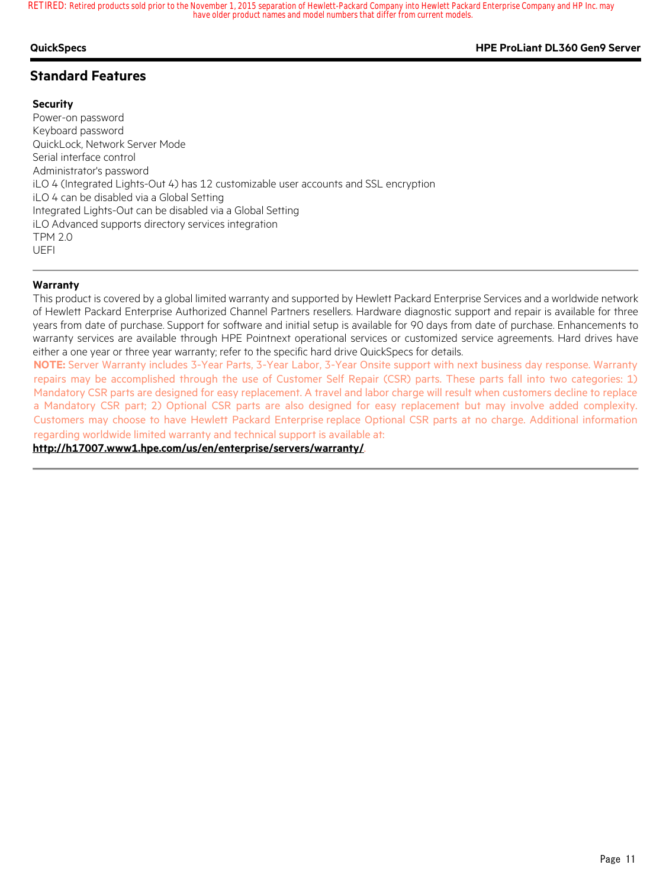#### **QuickSpecs HPE ProLiant DL360 Gen9 Server**

## **Standard Features**

#### **Security**

Power-on password Keyboard password QuickLock, Network Server Mode Serial interface control Administrator's password iLO 4 (Integrated Lights-Out 4) has 12 customizable user accounts and SSL encryption iLO 4 can be disabled via a Global Setting Integrated Lights-Out can be disabled via a Global Setting iLO Advanced supports directory services integration TPM 2.0 UEFI

#### **Warranty**

This product is covered by a global limited warranty and supported by Hewlett Packard Enterprise Services and a worldwide network of Hewlett Packard Enterprise Authorized Channel Partners resellers. Hardware diagnostic support and repair is available for three years from date of purchase. Support for software and initial setup is available for 90 days from date of purchase. Enhancements to warranty services are available through HPE Pointnext operational services or customized service agreements. Hard drives have either a one year or three year warranty; refer to the specific hard drive QuickSpecs for details.

**NOTE:** Server Warranty includes 3-Year Parts, 3-Year Labor, 3-Year Onsite support with next business day response. Warranty repairs may be accomplished through the use of Customer Self Repair (CSR) parts. These parts fall into two categories: 1) Mandatory CSR parts are designed for easy replacement. A travel and labor charge will result when customers decline to replace a Mandatory CSR part; 2) Optional CSR parts are also designed for easy replacement but may involve added complexity. Customers may choose to have Hewlett Packard Enterprise replace Optional CSR parts at no charge. Additional information regarding worldwide limited warranty and technical support is available at:

**http://h17007.www1.hpe.com/us/en/enterprise/servers/warranty/**.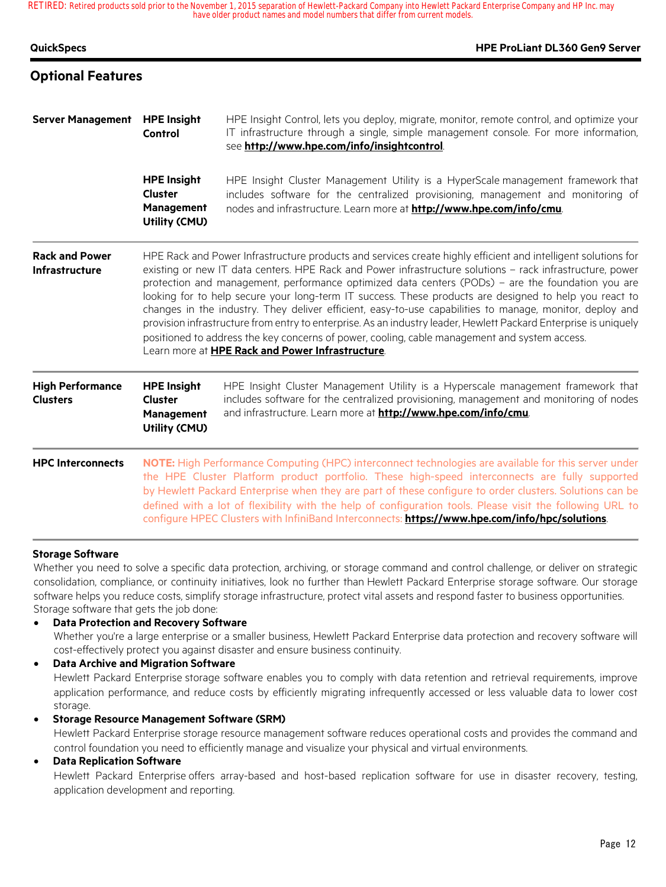# **Optional Features**

| <b>Server Management</b>                   | <b>HPE Insight</b><br>Control                                       | HPE Insight Control, lets you deploy, migrate, monitor, remote control, and optimize your<br>IT infrastructure through a single, simple management console. For more information,<br>see http://www.hpe.com/info/insightcontrol.                                                                                                                                                                                                                                                                                                                                                                                                                                                                                                                                                                                               |
|--------------------------------------------|---------------------------------------------------------------------|--------------------------------------------------------------------------------------------------------------------------------------------------------------------------------------------------------------------------------------------------------------------------------------------------------------------------------------------------------------------------------------------------------------------------------------------------------------------------------------------------------------------------------------------------------------------------------------------------------------------------------------------------------------------------------------------------------------------------------------------------------------------------------------------------------------------------------|
|                                            | <b>HPE Insight</b><br><b>Cluster</b><br>Management<br>Utility (CMU) | HPE Insight Cluster Management Utility is a HyperScale management framework that<br>includes software for the centralized provisioning, management and monitoring of<br>nodes and infrastructure. Learn more at http://www.hpe.com/info/cmu.                                                                                                                                                                                                                                                                                                                                                                                                                                                                                                                                                                                   |
| <b>Rack and Power</b><br>Infrastructure    |                                                                     | HPE Rack and Power Infrastructure products and services create highly efficient and intelligent solutions for<br>existing or new IT data centers. HPE Rack and Power infrastructure solutions - rack infrastructure, power<br>protection and management, performance optimized data centers (PODs) - are the foundation you are<br>looking for to help secure your long-term IT success. These products are designed to help you react to<br>changes in the industry. They deliver efficient, easy-to-use capabilities to manage, monitor, deploy and<br>provision infrastructure from entry to enterprise. As an industry leader, Hewlett Packard Enterprise is uniquely<br>positioned to address the key concerns of power, cooling, cable management and system access.<br>Learn more at HPE Rack and Power Infrastructure. |
| <b>High Performance</b><br><b>Clusters</b> | <b>HPE Insight</b><br><b>Cluster</b><br>Management<br>Utility (CMU) | HPE Insight Cluster Management Utility is a Hyperscale management framework that<br>includes software for the centralized provisioning, management and monitoring of nodes<br>and infrastructure. Learn more at http://www.hpe.com/info/cmu.                                                                                                                                                                                                                                                                                                                                                                                                                                                                                                                                                                                   |
| <b>HPC Interconnects</b>                   |                                                                     | NOTE: High Performance Computing (HPC) interconnect technologies are available for this server under<br>the HPE Cluster Platform product portfolio. These high-speed interconnects are fully supported<br>by Hewlett Packard Enterprise when they are part of these configure to order clusters. Solutions can be<br>defined with a lot of flexibility with the help of configuration tools. Please visit the following URL to<br>configure HPEC Clusters with InfiniBand Interconnects: https://www.hpe.com/info/hpc/solutions.                                                                                                                                                                                                                                                                                               |

### **Storage Software**

Whether you need to solve a specific data protection, archiving, or storage command and control challenge, or deliver on strategic consolidation, compliance, or continuity initiatives, look no further than Hewlett Packard Enterprise storage software. Our storage software helps you reduce costs, simplify storage infrastructure, protect vital assets and respond faster to business opportunities. Storage software that gets the job done:

• **Data Protection and Recovery Software** Whether you're a large enterprise or a smaller business, Hewlett Packard Enterprise data protection and recovery software will cost-effectively protect you against disaster and ensure business continuity.

• **Data Archive and Migration Software** Hewlett Packard Enterprise storage software enables you to comply with data retention and retrieval requirements, improve application performance, and reduce costs by efficiently migrating infrequently accessed or less valuable data to lower cost storage.

• **Storage Resource Management Software (SRM)**

Hewlett Packard Enterprise storage resource management software reduces operational costs and provides the command and control foundation you need to efficiently manage and visualize your physical and virtual environments.

#### • **Data Replication Software**

Hewlett Packard Enterprise offers array-based and host-based replication software for use in disaster recovery, testing, application development and reporting.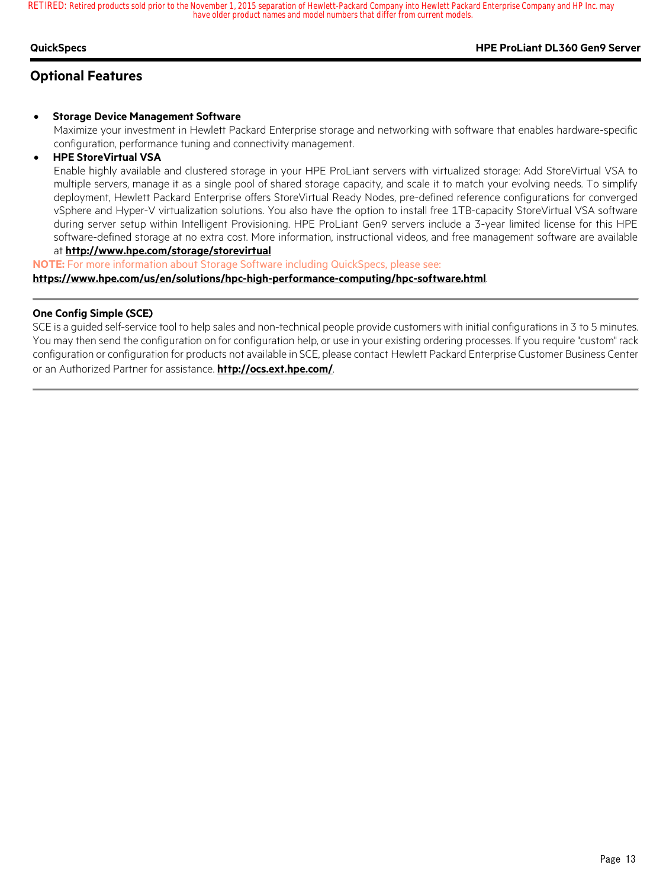#### **QuickSpecs HPE ProLiant DL360 Gen9 Server**

# **Optional Features**

#### • **Storage Device Management Software**

Maximize your investment in Hewlett Packard Enterprise storage and networking with software that enables hardware-specific configuration, performance tuning and connectivity management.

#### • **HPE StoreVirtual VSA**

Enable highly available and clustered storage in your HPE ProLiant servers with virtualized storage: Add StoreVirtual VSA to multiple servers, manage it as a single pool of shared storage capacity, and scale it to match your evolving needs. To simplify deployment, Hewlett Packard Enterprise offers StoreVirtual Ready Nodes, pre-defined reference configurations for converged vSphere and Hyper-V virtualization solutions. You also have the option to install free 1TB-capacity StoreVirtual VSA software during server setup within Intelligent Provisioning. HPE ProLiant Gen9 servers include a 3-year limited license for this HPE software-defined storage at no extra cost. More information, instructional videos, and free management software are available

#### at **http://www.hpe.com/storage/storevirtual**

**NOTE:** For more information about Storage Software including QuickSpecs, please see:

**https://www.hpe.com/us/en/solutions/hpc-high-performance-computing/hpc-software.html**.

#### **One Config Simple (SCE)**

SCE is a guided self-service tool to help sales and non-technical people provide customers with initial configurations in 3 to 5 minutes. You may then send the configuration on for configuration help, or use in your existing ordering processes. If you require "custom" rack configuration or configuration for products not available in SCE, please contact Hewlett Packard Enterprise Customer Business Center or an Authorized Partner for assistance. **http://ocs.ext.hpe.com/**.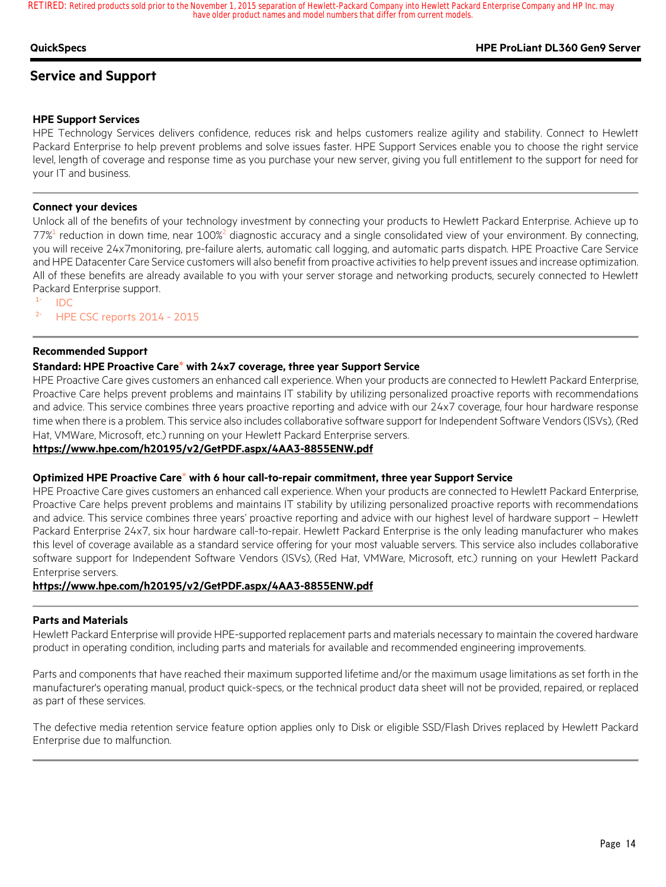#### **QuickSpecs HPE ProLiant DL360 Gen9 Server**

### **Service and Support**

#### **HPE Support Services**

HPE Technology Services delivers confidence, reduces risk and helps customers realize agility and stability. Connect to Hewlett Packard Enterprise to help prevent problems and solve issues faster. HPE Support Services enable you to choose the right service level, length of coverage and response time as you purchase your new server, giving you full entitlement to the support for need for your IT and business.

#### **Connect your devices**

Unlock all of the benefits of your technology investment by connecting your products to Hewlett Packard Enterprise. Achieve up to  $77\%$ <sup>1</sup> reduction in down time, near  $100\%$ <sup>2</sup> diagnostic accuracy and a single consolidated view of your environment. By connecting, you will receive 24x7monitoring, pre-failure alerts, automatic call logging, and automatic parts dispatch. HPE Proactive Care Service and HPE Datacenter Care Service customers will also benefit from proactive activities to help prevent issues and increase optimization. All of these benefits are already available to you with your server storage and networking products, securely connected to Hewlett Packard Enterprise support.

- $1 1DC$
- 2- HPE CSC reports 2014 2015

#### **Recommended Support**

#### **Standard: HPE Proactive Care\* with 24x7 coverage, three year Support Service**

HPE Proactive Care gives customers an enhanced call experience. When your products are connected to Hewlett Packard Enterprise, Proactive Care helps prevent problems and maintains IT stability by utilizing personalized proactive reports with recommendations and advice. This service combines three years proactive reporting and advice with our 24x7 coverage, four hour hardware response time when there is a problem. This service also includes collaborative software support for Independent Software Vendors (ISVs), (Red Hat, VMWare, Microsoft, etc.) running on your Hewlett Packard Enterprise servers.

#### **https://www.hpe.com/h20195/v2/GetPDF.aspx/4AA3-8855ENW.pdf**

#### **Optimized HPE Proactive Care**\* **with 6 hour call-to-repair commitment, three year Support Service**

HPE Proactive Care gives customers an enhanced call experience. When your products are connected to Hewlett Packard Enterprise, Proactive Care helps prevent problems and maintains IT stability by utilizing personalized proactive reports with recommendations and advice. This service combines three years' proactive reporting and advice with our highest level of hardware support – Hewlett Packard Enterprise 24x7, six hour hardware call-to-repair. Hewlett Packard Enterprise is the only leading manufacturer who makes this level of coverage available as a standard service offering for your most valuable servers. This service also includes collaborative software support for Independent Software Vendors (ISVs), (Red Hat, VMWare, Microsoft, etc.) running on your Hewlett Packard Enterprise servers.

#### **https://www.hpe.com/h20195/v2/GetPDF.aspx/4AA3-8855ENW.pdf**

#### **Parts and Materials**

Hewlett Packard Enterprise will provide HPE-supported replacement parts and materials necessary to maintain the covered hardware product in operating condition, including parts and materials for available and recommended engineering improvements.

Parts and components that have reached their maximum supported lifetime and/or the maximum usage limitations as set forth in the manufacturer's operating manual, product quick-specs, or the technical product data sheet will not be provided, repaired, or replaced as part of these services.

The defective media retention service feature option applies only to Disk or eligible SSD/Flash Drives replaced by Hewlett Packard Enterprise due to malfunction.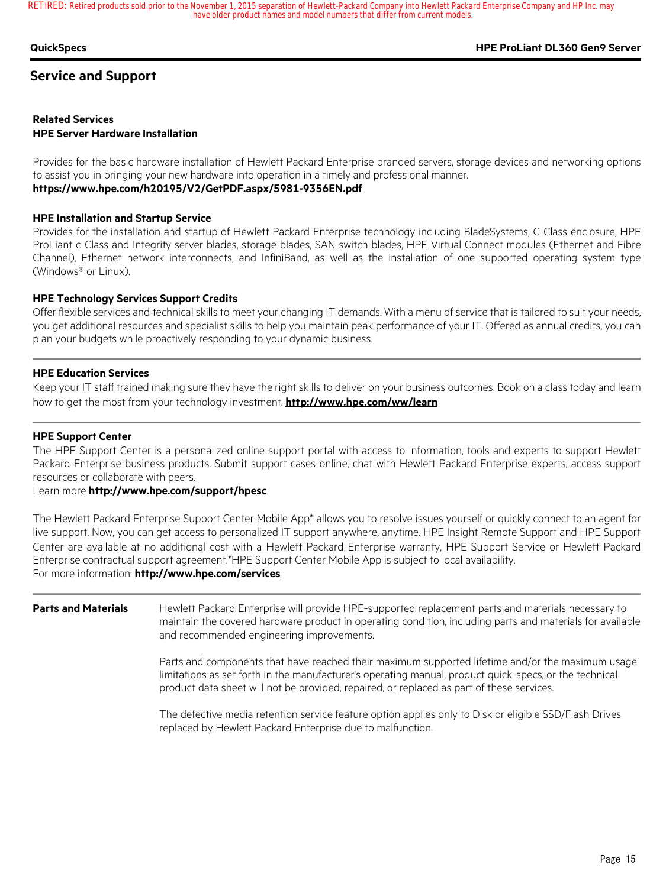#### **QuickSpecs HPE ProLiant DL360 Gen9 Server**

### **Service and Support**

#### **Related Services HPE Server Hardware Installation**

Provides for the basic hardware installation of Hewlett Packard Enterprise branded servers, storage devices and networking options to assist you in bringing your new hardware into operation in a timely and professional manner. **https://www.hpe.com/h20195/V2/GetPDF.aspx/5981-9356EN.pdf**

#### **HPE Installation and Startup Service**

Provides for the installation and startup of Hewlett Packard Enterprise technology including BladeSystems, C-Class enclosure, HPE ProLiant c-Class and Integrity server blades, storage blades, SAN switch blades, HPE Virtual Connect modules (Ethernet and Fibre Channel), Ethernet network interconnects, and InfiniBand, as well as the installation of one supported operating system type (Windows® or Linux).

#### **HPE Technology Services Support Credits**

Offer flexible services and technical skills to meet your changing IT demands. With a menu of service that is tailored to suit your needs, you get additional resources and specialist skills to help you maintain peak performance of your IT. Offered as annual credits, you can plan your budgets while proactively responding to your dynamic business.

#### **HPE Education Services**

Keep your IT staff trained making sure they have the right skills to deliver on your business outcomes. Book on a class today and learn how to get the most from your technology investment. **http://www.hpe.com/ww/learn**

#### **HPE Support Center**

The HPE Support Center is a personalized online support portal with access to information, tools and experts to support Hewlett Packard Enterprise business products. Submit support cases online, chat with Hewlett Packard Enterprise experts, access support resources or collaborate with peers.

#### Learn more **http://www.hpe.com/support/hpesc**

The Hewlett Packard Enterprise Support Center Mobile App\* allows you to resolve issues yourself or quickly connect to an agent for live support. Now, you can get access to personalized IT support anywhere, anytime. HPE Insight Remote Support and HPE Support Center are available at no additional cost with a Hewlett Packard Enterprise warranty, HPE Support Service or Hewlett Packard Enterprise contractual support agreement.\*HPE Support Center Mobile App is subject to local availability. For more information: **http://www.hpe.com/services**

**Parts and Materials** Hewlett Packard Enterprise will provide HPE-supported replacement parts and materials necessary to maintain the covered hardware product in operating condition, including parts and materials for available and recommended engineering improvements.

> Parts and components that have reached their maximum supported lifetime and/or the maximum usage limitations as set forth in the manufacturer's operating manual, product quick-specs, or the technical product data sheet will not be provided, repaired, or replaced as part of these services.

The defective media retention service feature option applies only to Disk or eligible SSD/Flash Drives replaced by Hewlett Packard Enterprise due to malfunction.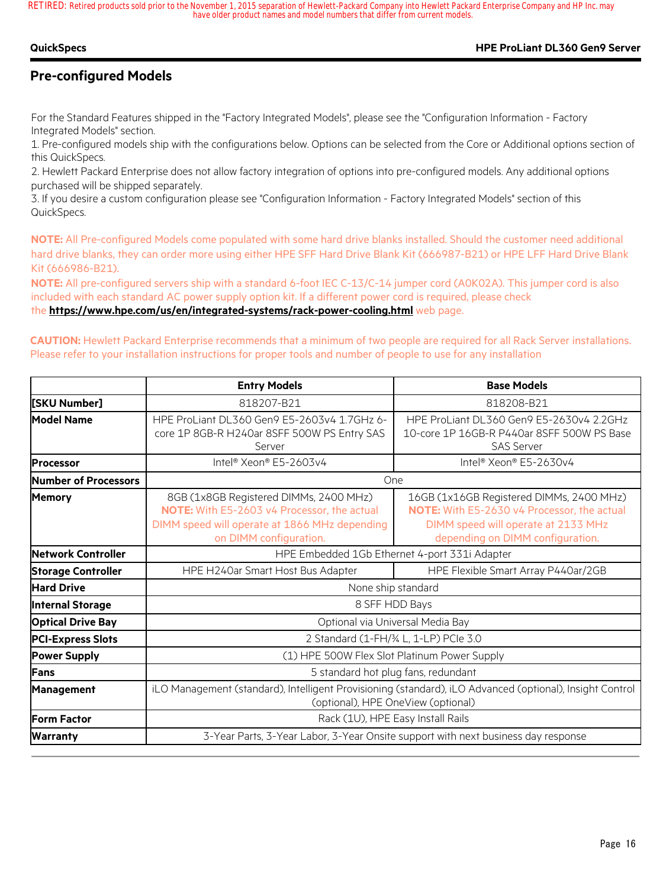#### **QuickSpecs HPE ProLiant DL360 Gen9 Server**

# **Pre-configured Models**

For the Standard Features shipped in the "Factory Integrated Models", please see the "Configuration Information - Factory Integrated Models" section.

1. Pre-configured models ship with the configurations below. Options can be selected from the Core or Additional options section of this QuickSpecs.

2. Hewlett Packard Enterprise does not allow factory integration of options into pre-configured models. Any additional options purchased will be shipped separately.

3. If you desire a custom configuration please see "Configuration Information - Factory Integrated Models" section of this QuickSpecs.

**NOTE:** All Pre-configured Models come populated with some hard drive blanks installed. Should the customer need additional hard drive blanks, they can order more using either HPE SFF Hard Drive Blank Kit (666987-B21) or HPE LFF Hard Drive Blank Kit (666986-B21).

**NOTE:** All pre-configured servers ship with a standard 6-foot IEC C-13/C-14 jumper cord (A0K02A). This jumper cord is also included with each standard AC power supply option kit. If a different power cord is required, please check the **https://www.hpe.com/us/en/integrated-systems/rack-power-cooling.html** web page.

**CAUTION:** Hewlett Packard Enterprise recommends that a minimum of two people are required for all Rack Server installations. Please refer to your installation instructions for proper tools and number of people to use for any installation

|                             | <b>Entry Models</b>                                                                                                                                              | <b>Base Models</b>                                                                                                                                                 |  |
|-----------------------------|------------------------------------------------------------------------------------------------------------------------------------------------------------------|--------------------------------------------------------------------------------------------------------------------------------------------------------------------|--|
| [SKU Number]                | 818207-B21                                                                                                                                                       | 818208-B21                                                                                                                                                         |  |
| <b>Model Name</b>           | HPE ProLiant DL360 Gen9 E5-2603v4 1.7GHz 6-<br>core 1P 8GB-R H240ar 8SFF 500W PS Entry SAS<br>Server                                                             | HPE ProLiant DL360 Gen9 E5-2630v4 2.2GHz<br>10-core 1P 16GB-R P440ar 8SFF 500W PS Base<br><b>SAS Server</b>                                                        |  |
| <b>Processor</b>            | Intel® Xeon® E5-2603v4                                                                                                                                           | Intel® Xeon® E5-2630v4                                                                                                                                             |  |
| <b>Number of Processors</b> | One                                                                                                                                                              |                                                                                                                                                                    |  |
| <b>Memory</b>               | 8GB (1x8GB Registered DIMMs, 2400 MHz)<br>NOTE: With E5-2603 v4 Processor, the actual<br>DIMM speed will operate at 1866 MHz depending<br>on DIMM configuration. | 16GB (1x16GB Registered DIMMs, 2400 MHz)<br>NOTE: With E5-2630 v4 Processor, the actual<br>DIMM speed will operate at 2133 MHz<br>depending on DIMM configuration. |  |
| <b>Network Controller</b>   |                                                                                                                                                                  | HPE Embedded 1Gb Ethernet 4-port 331i Adapter                                                                                                                      |  |
| <b>Storage Controller</b>   | HPE H240ar Smart Host Bus Adapter                                                                                                                                | HPE Flexible Smart Array P440ar/2GB                                                                                                                                |  |
| <b>Hard Drive</b>           |                                                                                                                                                                  | None ship standard                                                                                                                                                 |  |
| <b>Internal Storage</b>     |                                                                                                                                                                  | 8 SFF HDD Bays                                                                                                                                                     |  |
| <b>Optical Drive Bay</b>    |                                                                                                                                                                  | Optional via Universal Media Bay                                                                                                                                   |  |
| <b>PCI-Express Slots</b>    |                                                                                                                                                                  | 2 Standard (1-FH/3/4 L, 1-LP) PCIe 3.0                                                                                                                             |  |
| <b>Power Supply</b>         |                                                                                                                                                                  | (1) HPE 500W Flex Slot Platinum Power Supply                                                                                                                       |  |
| Fans                        | 5 standard hot plug fans, redundant                                                                                                                              |                                                                                                                                                                    |  |
| <b>Management</b>           | iLO Management (standard), Intelligent Provisioning (standard), iLO Advanced (optional), Insight Control<br>(optional), HPE OneView (optional)                   |                                                                                                                                                                    |  |
| <b>Form Factor</b>          |                                                                                                                                                                  | Rack (1U), HPE Easy Install Rails                                                                                                                                  |  |
| <b>Warranty</b>             |                                                                                                                                                                  | 3-Year Parts, 3-Year Labor, 3-Year Onsite support with next business day response                                                                                  |  |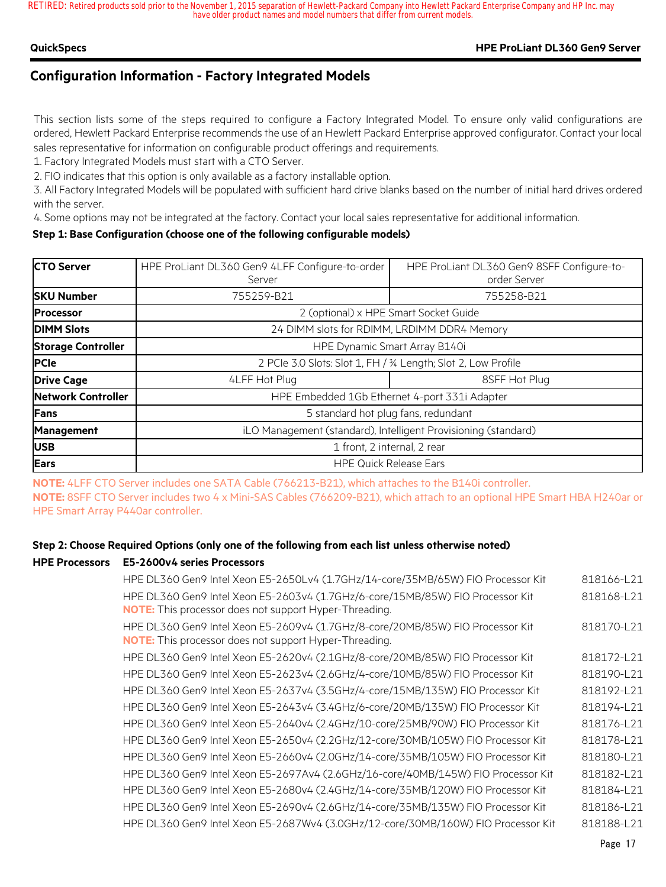### **QuickSpecs HPE ProLiant DL360 Gen9 Server**

# **Configuration Information - Factory Integrated Models**

This section lists some of the steps required to configure a Factory Integrated Model. To ensure only valid configurations are ordered, Hewlett Packard Enterprise recommends the use of an Hewlett Packard Enterprise approved configurator. Contact your local sales representative for information on configurable product offerings and requirements.

1. Factory Integrated Models must start with a CTO Server.

2. FIO indicates that this option is only available as a factory installable option.

3. All Factory Integrated Models will be populated with sufficient hard drive blanks based on the number of initial hard drives ordered with the server.

4. Some options may not be integrated at the factory. Contact your local sales representative for additional information.

#### **Step 1: Base Configuration (choose one of the following configurable models)**

| <b>CTO Server</b>         | HPE ProLiant DL360 Gen9 4LFF Configure-to-order                | HPE ProLiant DL360 Gen9 8SFF Configure-to-                     |  |
|---------------------------|----------------------------------------------------------------|----------------------------------------------------------------|--|
|                           | Server                                                         | order Server                                                   |  |
| <b>SKU Number</b>         | 755259-B21                                                     | 755258-B21                                                     |  |
| <b>Processor</b>          |                                                                | 2 (optional) x HPE Smart Socket Guide                          |  |
| <b>DIMM Slots</b>         |                                                                | 24 DIMM slots for RDIMM, LRDIMM DDR4 Memory                    |  |
| <b>Storage Controller</b> |                                                                | HPE Dynamic Smart Array B140i                                  |  |
| <b>PCIe</b>               |                                                                | 2 PCIe 3.0 Slots: Slot 1, FH / 3⁄4 Length; Slot 2, Low Profile |  |
| <b>Drive Cage</b>         | 4LFF Hot Plug                                                  | 8SFF Hot Plug                                                  |  |
| <b>Network Controller</b> |                                                                | HPE Embedded 1Gb Ethernet 4-port 331i Adapter                  |  |
| Fans                      |                                                                | 5 standard hot plug fans, redundant                            |  |
| Management                | iLO Management (standard), Intelligent Provisioning (standard) |                                                                |  |
| <b>USB</b>                |                                                                | 1 front, 2 internal, 2 rear                                    |  |
| Ears                      |                                                                | <b>HPE Quick Release Ears</b>                                  |  |

**NOTE:** 4LFF CTO Server includes one SATA Cable (766213-B21), which attaches to the B140i controller. **NOTE:** 8SFF CTO Server includes two 4 x Mini-SAS Cables (766209-B21), which attach to an optional HPE Smart HBA H240ar or HPE Smart Array P440ar controller.

### **Step 2: Choose Required Options (only one of the following from each list unless otherwise noted)**

#### **HPE Processors E5-2600v4 series Processors**

| HPE DL360 Gen9 Intel Xeon E5-2650Lv4 (1.7GHz/14-core/35MB/65W) FIO Processor Kit                                                                | 818166-L21 |
|-------------------------------------------------------------------------------------------------------------------------------------------------|------------|
| HPE DL360 Gen9 Intel Xeon E5-2603v4 (1.7GHz/6-core/15MB/85W) FIO Processor Kit<br><b>NOTE:</b> This processor does not support Hyper-Threading. | 818168-L21 |
| HPE DL360 Gen9 Intel Xeon E5-2609v4 (1.7GHz/8-core/20MB/85W) FIO Processor Kit<br><b>NOTE:</b> This processor does not support Hyper-Threading. | 818170-L21 |
| HPE DL360 Gen9 Intel Xeon E5-2620v4 (2.1GHz/8-core/20MB/85W) FIO Processor Kit                                                                  | 818172-L21 |
| HPE DL360 Gen9 Intel Xeon E5-2623v4 (2.6GHz/4-core/10MB/85W) FIO Processor Kit                                                                  | 818190-L21 |
| HPE DL360 Gen9 Intel Xeon E5-2637v4 (3.5GHz/4-core/15MB/135W) FIO Processor Kit                                                                 | 818192-L21 |
| HPE DL360 Gen9 Intel Xeon E5-2643v4 (3.4GHz/6-core/20MB/135W) FIO Processor Kit                                                                 | 818194-L21 |
| HPE DL360 Gen9 Intel Xeon E5-2640v4 (2.4GHz/10-core/25MB/90W) FIO Processor Kit                                                                 | 818176-L21 |
| HPE DL360 Gen9 Intel Xeon E5-2650v4 (2.2GHz/12-core/30MB/105W) FIO Processor Kit                                                                | 818178-L21 |
| HPE DL360 Gen9 Intel Xeon E5-2660v4 (2.0GHz/14-core/35MB/105W) FIO Processor Kit                                                                | 818180-L21 |
| HPE DL360 Gen9 Intel Xeon E5-2697Av4 (2.6GHz/16-core/40MB/145W) FIO Processor Kit                                                               | 818182-L21 |
| HPE DL360 Gen9 Intel Xeon E5-2680v4 (2.4GHz/14-core/35MB/120W) FIO Processor Kit                                                                | 818184-L21 |
| HPE DL360 Gen9 Intel Xeon E5-2690v4 (2.6GHz/14-core/35MB/135W) FIO Processor Kit                                                                | 818186-L21 |
| HPE DL360 Gen9 Intel Xeon E5-2687Wv4 (3.0GHz/12-core/30MB/160W) FIO Processor Kit                                                               | 818188-L21 |
|                                                                                                                                                 |            |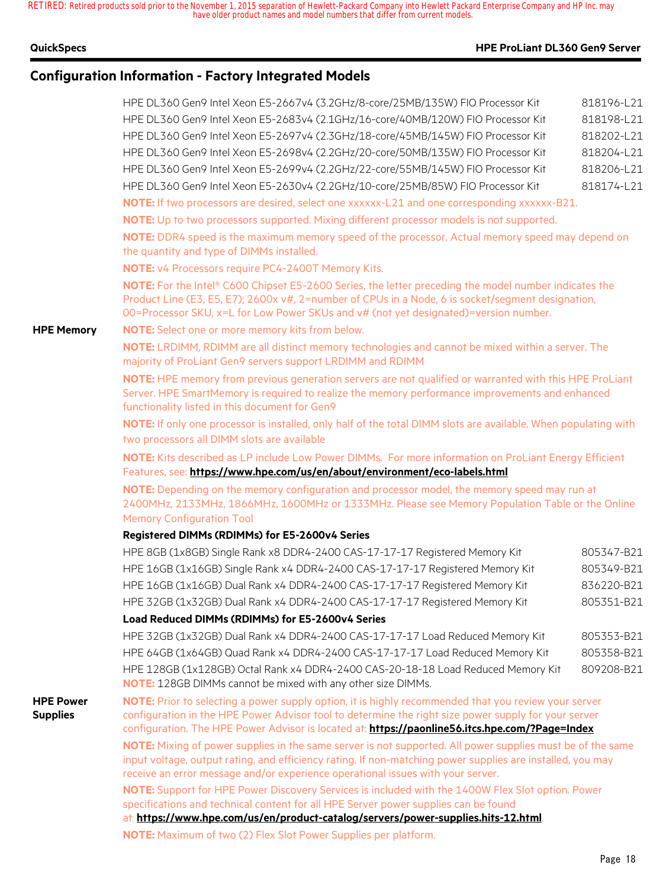#### **QuickSpecs HPE ProLiant DL360 Gen9 Server**

# **Configuration Information - Factory Integrated Models**

|                                     | HPE DL360 Gen9 Intel Xeon E5-2667v4 (3.2GHz/8-core/25MB/135W) FIO Processor Kit                                                                                                                                                                                                                                 | 818196-L21 |  |
|-------------------------------------|-----------------------------------------------------------------------------------------------------------------------------------------------------------------------------------------------------------------------------------------------------------------------------------------------------------------|------------|--|
|                                     | HPE DL360 Gen9 Intel Xeon E5-2683v4 (2.1GHz/16-core/40MB/120W) FIO Processor Kit                                                                                                                                                                                                                                | 818198-L21 |  |
|                                     | HPE DL360 Gen9 Intel Xeon E5-2697v4 (2.3GHz/18-core/45MB/145W) FIO Processor Kit                                                                                                                                                                                                                                | 818202-L21 |  |
|                                     | HPE DL360 Gen9 Intel Xeon E5-2698v4 (2.2GHz/20-core/50MB/135W) FIO Processor Kit                                                                                                                                                                                                                                | 818204-L21 |  |
|                                     | HPE DL360 Gen9 Intel Xeon E5-2699v4 (2.2GHz/22-core/55MB/145W) FIO Processor Kit                                                                                                                                                                                                                                | 818206-L21 |  |
|                                     | HPE DL360 Gen9 Intel Xeon E5-2630v4 (2.2GHz/10-core/25MB/85W) FIO Processor Kit                                                                                                                                                                                                                                 | 818174-L21 |  |
|                                     | NOTE: If two processors are desired, select one xxxxxx-L21 and one corresponding xxxxxx-B21.                                                                                                                                                                                                                    |            |  |
|                                     | NOTE: Up to two processors supported. Mixing different processor models is not supported.                                                                                                                                                                                                                       |            |  |
|                                     | NOTE: DDR4 speed is the maximum memory speed of the processor. Actual memory speed may depend on<br>the quantity and type of DIMMs installed.                                                                                                                                                                   |            |  |
|                                     | NOTE: v4 Processors require PC4-2400T Memory Kits.                                                                                                                                                                                                                                                              |            |  |
|                                     | NOTE: For the Intel® C600 Chipset E5-2600 Series, the letter preceding the model number indicates the<br>Product Line (E3, E5, E7); 2600x v#, 2=number of CPUs in a Node, 6 is socket/segment designation,<br>00=Processor SKU, x=L for Low Power SKUs and v# (not yet designated)=version number.              |            |  |
| <b>HPE Memory</b>                   | <b>NOTE:</b> Select one or more memory kits from below.                                                                                                                                                                                                                                                         |            |  |
|                                     | NOTE: LRDIMM, RDIMM are all distinct memory technologies and cannot be mixed within a server. The<br>majority of ProLiant Gen9 servers support LRDIMM and RDIMM                                                                                                                                                 |            |  |
|                                     | NOTE: HPE memory from previous generation servers are not qualified or warranted with this HPE ProLiant<br>Server. HPE SmartMemory is required to realize the memory performance improvements and enhanced<br>functionality listed in this document for Gen9                                                    |            |  |
|                                     | NOTE: If only one processor is installed, only half of the total DIMM slots are available. When populating with<br>two processors all DIMM slots are available                                                                                                                                                  |            |  |
|                                     | NOTE: Kits described as LP include Low Power DIMMs. For more information on ProLiant Energy Efficient<br>Features, see: https://www.hpe.com/us/en/about/environment/eco-labels.html                                                                                                                             |            |  |
|                                     | NOTE: Depending on the memory configuration and processor model, the memory speed may run at<br>2400MHz, 2133MHz, 1866MHz, 1600MHz or 1333MHz. Please see Memory Population Table or the Online<br><b>Memory Configuration Tool</b>                                                                             |            |  |
|                                     | Registered DIMMs (RDIMMs) for E5-2600v4 Series                                                                                                                                                                                                                                                                  |            |  |
|                                     | HPE 8GB (1x8GB) Single Rank x8 DDR4-2400 CAS-17-17-17 Registered Memory Kit                                                                                                                                                                                                                                     | 805347-B21 |  |
|                                     | HPE 16GB (1x16GB) Single Rank x4 DDR4-2400 CAS-17-17-17 Registered Memory Kit                                                                                                                                                                                                                                   | 805349-B21 |  |
|                                     | HPE 16GB (1x16GB) Dual Rank x4 DDR4-2400 CAS-17-17-17 Registered Memory Kit                                                                                                                                                                                                                                     | 836220-B21 |  |
|                                     | HPE 32GB (1x32GB) Dual Rank x4 DDR4-2400 CAS-17-17-17 Registered Memory Kit                                                                                                                                                                                                                                     | 805351-B21 |  |
|                                     | Load Reduced DIMMs (RDIMMs) for E5-2600v4 Series                                                                                                                                                                                                                                                                |            |  |
|                                     | HPE 32GB (1x32GB) Dual Rank x4 DDR4-2400 CAS-17-17-17 Load Reduced Memory Kit                                                                                                                                                                                                                                   | 805353-B21 |  |
|                                     | HPE 64GB (1x64GB) Quad Rank x4 DDR4-2400 CAS-17-17-17 Load Reduced Memory Kit                                                                                                                                                                                                                                   | 805358-B21 |  |
|                                     | HPE 128GB (1x128GB) Octal Rank x4 DDR4-2400 CAS-20-18-18 Load Reduced Memory Kit<br>NOTE: 128GB DIMMs cannot be mixed with any other size DIMMs.                                                                                                                                                                | 809208-B21 |  |
| <b>HPE Power</b><br><b>Supplies</b> | NOTE: Prior to selecting a power supply option, it is highly recommended that you review your server<br>configuration in the HPE Power Advisor tool to determine the right size power supply for your server<br>configuration. The HPE Power Advisor is located at: https://paonline56.itcs.hpe.com/?Page=Index |            |  |
|                                     | NOTE: Mixing of power supplies in the same server is not supported. All power supplies must be of the same                                                                                                                                                                                                      |            |  |
|                                     | input voltage, output rating, and efficiency rating. If non-matching power supplies are installed, you may<br>receive an error message and/or experience operational issues with your server.                                                                                                                   |            |  |
|                                     | NOTE: Support for HPE Power Discovery Services is included with the 1400W Flex Slot option. Power<br>specifications and technical content for all HPE Server power supplies can be found                                                                                                                        |            |  |
|                                     | at: https://www.hpe.com/us/en/product-catalog/servers/power-supplies.hits-12.html                                                                                                                                                                                                                               |            |  |
|                                     | <b>NOTE:</b> Maximum of two (2) Flex Slot Power Supplies per platform.                                                                                                                                                                                                                                          |            |  |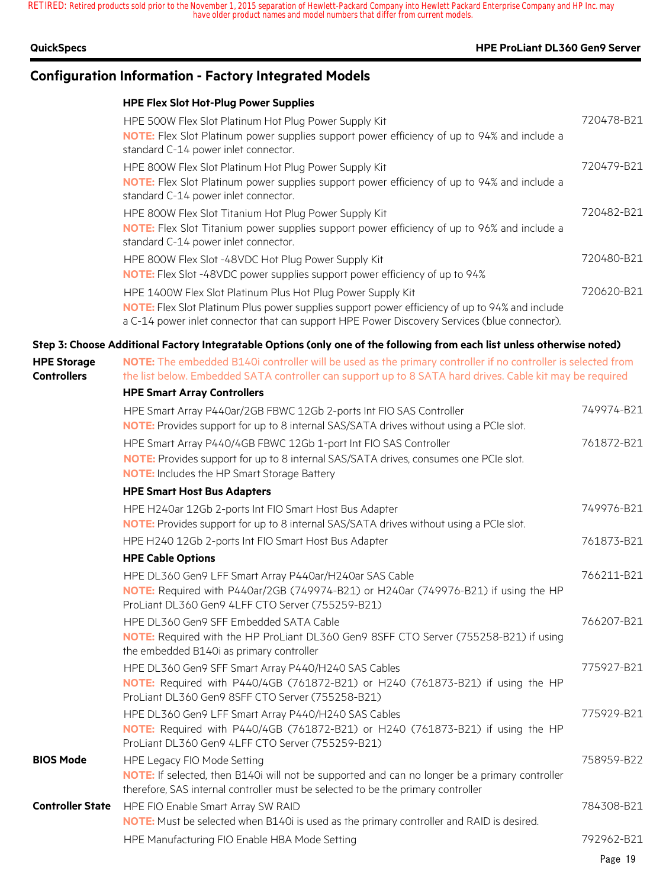### **QuickSpecs HPE ProLiant DL360 Gen9 Server**

# **Configuration Information - Factory Integrated Models**

### **HPE Flex Slot Hot-Plug Power Supplies**

|                                          | HPE 500W Flex Slot Platinum Hot Plug Power Supply Kit<br>NOTE: Flex Slot Platinum power supplies support power efficiency of up to 94% and include a<br>standard C-14 power inlet connector.                                                                         | 720478-B21 |
|------------------------------------------|----------------------------------------------------------------------------------------------------------------------------------------------------------------------------------------------------------------------------------------------------------------------|------------|
|                                          | HPE 800W Flex Slot Platinum Hot Plug Power Supply Kit<br><b>NOTE:</b> Flex Slot Platinum power supplies support power efficiency of up to 94% and include a<br>standard C-14 power inlet connector.                                                                  | 720479-B21 |
|                                          | HPE 800W Flex Slot Titanium Hot Plug Power Supply Kit<br>NOTE: Flex Slot Titanium power supplies support power efficiency of up to 96% and include a<br>standard C-14 power inlet connector.                                                                         | 720482-B21 |
|                                          | HPE 800W Flex Slot -48VDC Hot Plug Power Supply Kit<br><b>NOTE:</b> Flex Slot -48VDC power supplies support power efficiency of up to 94%                                                                                                                            | 720480-B21 |
|                                          | HPE 1400W Flex Slot Platinum Plus Hot Plug Power Supply Kit<br><b>NOTE:</b> Flex Slot Platinum Plus power supplies support power efficiency of up to 94% and include<br>a C-14 power inlet connector that can support HPE Power Discovery Services (blue connector). | 720620-B21 |
|                                          | Step 3: Choose Additional Factory Integratable Options (only one of the following from each list unless otherwise noted)                                                                                                                                             |            |
| <b>HPE Storage</b><br><b>Controllers</b> | <b>NOTE:</b> The embedded B140i controller will be used as the primary controller if no controller is selected from<br>the list below. Embedded SATA controller can support up to 8 SATA hard drives. Cable kit may be required                                      |            |
|                                          | <b>HPE Smart Array Controllers</b>                                                                                                                                                                                                                                   |            |

|                         | HPE Smart Array P440ar/2GB FBWC 12Gb 2-ports Int FIO SAS Controller<br><b>NOTE:</b> Provides support for up to 8 internal SAS/SATA drives without using a PCIe slot.                                             | 749974-B21 |
|-------------------------|------------------------------------------------------------------------------------------------------------------------------------------------------------------------------------------------------------------|------------|
|                         | HPE Smart Array P440/4GB FBWC 12Gb 1-port Int FIO SAS Controller<br>NOTE: Provides support for up to 8 internal SAS/SATA drives, consumes one PCIe slot.<br><b>NOTE:</b> Includes the HP Smart Storage Battery   | 761872-B21 |
|                         | <b>HPE Smart Host Bus Adapters</b>                                                                                                                                                                               |            |
|                         | HPE H240ar 12Gb 2-ports Int FIO Smart Host Bus Adapter<br><b>NOTE:</b> Provides support for up to 8 internal SAS/SATA drives without using a PCIe slot.                                                          | 749976-B21 |
|                         | HPE H240 12Gb 2-ports Int FIO Smart Host Bus Adapter                                                                                                                                                             | 761873-B21 |
|                         | <b>HPE Cable Options</b>                                                                                                                                                                                         |            |
|                         | HPE DL360 Gen9 LFF Smart Array P440ar/H240ar SAS Cable<br>NOTE: Required with P440ar/2GB (749974-B21) or H240ar (749976-B21) if using the HP<br>ProLiant DL360 Gen9 4LFF CTO Server (755259-B21)                 | 766211-B21 |
|                         | HPE DL360 Gen9 SFF Embedded SATA Cable<br>NOTE: Required with the HP ProLiant DL360 Gen9 8SFF CTO Server (755258-B21) if using<br>the embedded B140i as primary controller                                       | 766207-B21 |
|                         | HPE DL360 Gen9 SFF Smart Array P440/H240 SAS Cables<br>NOTE: Required with P440/4GB (761872-B21) or H240 (761873-B21) if using the HP<br>ProLiant DL360 Gen9 8SFF CTO Server (755258-B21)                        | 775927-B21 |
|                         | HPE DL360 Gen9 LFF Smart Array P440/H240 SAS Cables<br>NOTE: Required with P440/4GB (761872-B21) or H240 (761873-B21) if using the HP<br>ProLiant DL360 Gen9 4LFF CTO Server (755259-B21)                        | 775929-B21 |
| <b>BIOS Mode</b>        | HPE Legacy FIO Mode Setting<br>NOTE: If selected, then B140i will not be supported and can no longer be a primary controller<br>therefore, SAS internal controller must be selected to be the primary controller | 758959-B22 |
| <b>Controller State</b> | HPE FIO Enable Smart Array SW RAID<br>NOTE: Must be selected when B140i is used as the primary controller and RAID is desired.                                                                                   | 784308-B21 |
|                         | HPE Manufacturing FIO Enable HBA Mode Setting                                                                                                                                                                    | 792962-B21 |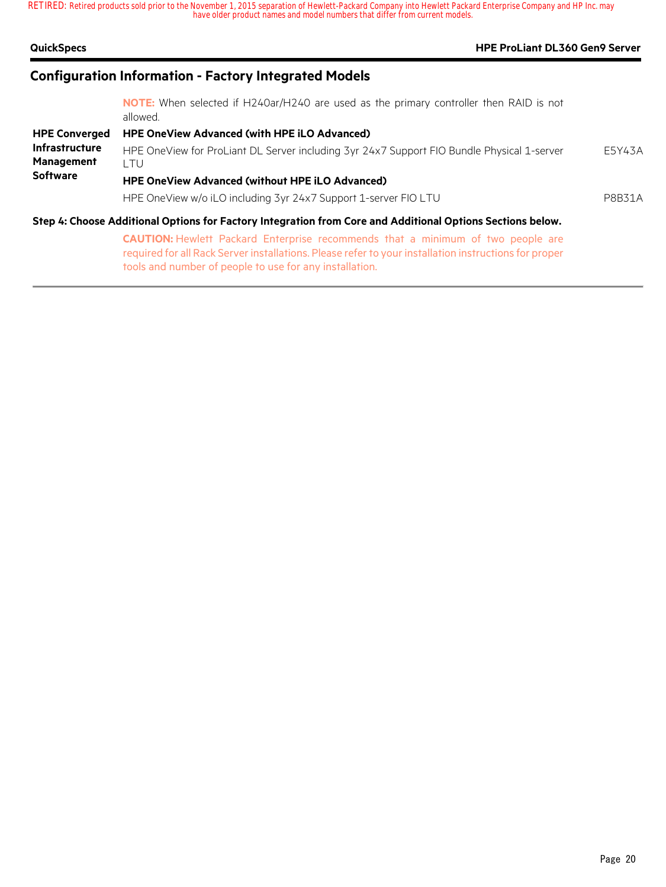| <b>HPE ProLiant DL360 Gen9 Server</b><br><b>QuickSpecs</b> |                                                                                                            |        |
|------------------------------------------------------------|------------------------------------------------------------------------------------------------------------|--------|
|                                                            | <b>Configuration Information - Factory Integrated Models</b>                                               |        |
|                                                            | <b>NOTE:</b> When selected if H240ar/H240 are used as the primary controller then RAID is not<br>allowed.  |        |
| <b>HPE Converged</b>                                       | <b>HPE OneView Advanced (with HPE iLO Advanced)</b>                                                        |        |
| <b>Infrastructure</b><br><b>Management</b>                 | HPE OneView for ProLiant DL Server including 3yr 24x7 Support FIO Bundle Physical 1-server<br>LTU          | E5Y43A |
| <b>Software</b>                                            | <b>HPE OneView Advanced (without HPE iLO Advanced)</b>                                                     |        |
|                                                            | HPE OneView w/o iLO including 3yr 24x7 Support 1-server FIO LTU                                            | P8B31A |
|                                                            | Step 4: Choose Additional Options for Factory Integration from Core and Additional Options Sections below. |        |
|                                                            | CALITION: Howlett Packard Enterprise recommends that a minimum of two needle are                           |        |

**CAUTION:** Hewlett Packard Enterprise recommends that a minimum of two people are required for all Rack Server installations. Please refer to your installation instructions for proper tools and number of people to use for any installation.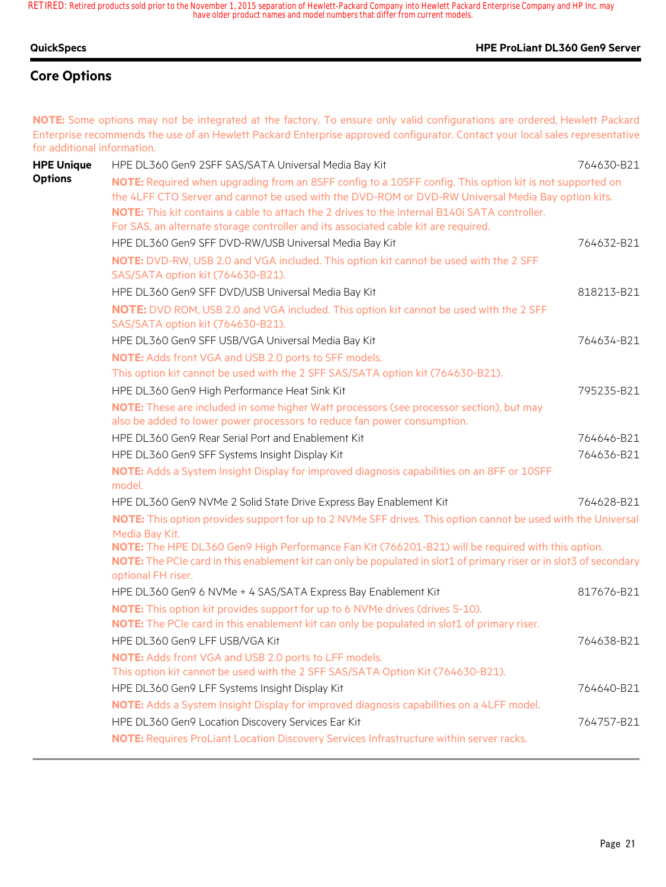#### **QuickSpecs HPE ProLiant DL360 Gen9 Server**

# **Core Options**

**NOTE:** Some options may not be integrated at the factory. To ensure only valid configurations are ordered, Hewlett Packard Enterprise recommends the use of an Hewlett Packard Enterprise approved configurator. Contact your local sales representative for additional information.

| <b>HPE Unique</b> | HPE DL360 Gen9 2SFF SAS/SATA Universal Media Bay Kit                                                                                                                                                                                                                                                                                                                                                          | 764630-B21 |
|-------------------|---------------------------------------------------------------------------------------------------------------------------------------------------------------------------------------------------------------------------------------------------------------------------------------------------------------------------------------------------------------------------------------------------------------|------------|
| <b>Options</b>    | NOTE: Required when upgrading from an 8SFF config to a 10SFF config. This option kit is not supported on<br>the 4LFF CTO Server and cannot be used with the DVD-ROM or DVD-RW Universal Media Bay option kits.<br><b>NOTE:</b> This kit contains a cable to attach the 2 drives to the internal B140i SATA controller.<br>For SAS, an alternate storage controller and its associated cable kit are required. |            |
|                   | HPE DL360 Gen9 SFF DVD-RW/USB Universal Media Bay Kit                                                                                                                                                                                                                                                                                                                                                         | 764632-B21 |
|                   | NOTE: DVD-RW, USB 2.0 and VGA included. This option kit cannot be used with the 2 SFF<br>SAS/SATA option kit (764630-B21).                                                                                                                                                                                                                                                                                    |            |
|                   | HPE DL360 Gen9 SFF DVD/USB Universal Media Bay Kit                                                                                                                                                                                                                                                                                                                                                            | 818213-B21 |
|                   | NOTE: DVD ROM, USB 2.0 and VGA included. This option kit cannot be used with the 2 SFF<br>SAS/SATA option kit (764630-B21).                                                                                                                                                                                                                                                                                   |            |
|                   | HPE DL360 Gen9 SFF USB/VGA Universal Media Bay Kit                                                                                                                                                                                                                                                                                                                                                            | 764634-B21 |
|                   | NOTE: Adds front VGA and USB 2.0 ports to SFF models.                                                                                                                                                                                                                                                                                                                                                         |            |
|                   | This option kit cannot be used with the 2 SFF SAS/SATA option kit (764630-B21).                                                                                                                                                                                                                                                                                                                               |            |
|                   | HPE DL360 Gen9 High Performance Heat Sink Kit                                                                                                                                                                                                                                                                                                                                                                 | 795235-B21 |
|                   | NOTE: These are included in some higher Watt processors (see processor section), but may<br>also be added to lower power processors to reduce fan power consumption.                                                                                                                                                                                                                                          |            |
|                   | HPE DL360 Gen9 Rear Serial Port and Enablement Kit                                                                                                                                                                                                                                                                                                                                                            | 764646-B21 |
|                   | HPE DL360 Gen9 SFF Systems Insight Display Kit                                                                                                                                                                                                                                                                                                                                                                | 764636-B21 |
|                   | NOTE: Adds a System Insight Display for improved diagnosis capabilities on an 8FF or 10SFF<br>model.                                                                                                                                                                                                                                                                                                          |            |
|                   | HPE DL360 Gen9 NVMe 2 Solid State Drive Express Bay Enablement Kit                                                                                                                                                                                                                                                                                                                                            | 764628-B21 |
|                   | NOTE: This option provides support for up to 2 NVMe SFF drives. This option cannot be used with the Universal<br>Media Bay Kit.                                                                                                                                                                                                                                                                               |            |
|                   | NOTE: The HPE DL360 Gen9 High Performance Fan Kit (766201-B21) will be required with this option.<br>NOTE: The PCIe card in this enablement kit can only be populated in slot1 of primary riser or in slot3 of secondary<br>optional FH riser.                                                                                                                                                                |            |
|                   | HPE DL360 Gen9 6 NVMe + 4 SAS/SATA Express Bay Enablement Kit                                                                                                                                                                                                                                                                                                                                                 | 817676-B21 |
|                   | <b>NOTE:</b> This option kit provides support for up to 6 NVMe drives (drives 5-10).<br>NOTE: The PCIe card in this enablement kit can only be populated in slot1 of primary riser.                                                                                                                                                                                                                           |            |
|                   | HPE DL360 Gen9 LFF USB/VGA Kit                                                                                                                                                                                                                                                                                                                                                                                | 764638-B21 |
|                   | NOTE: Adds front VGA and USB 2.0 ports to LFF models.<br>This option kit cannot be used with the 2 SFF SAS/SATA Option Kit (764630-B21).                                                                                                                                                                                                                                                                      |            |
|                   | HPE DL360 Gen9 LFF Systems Insight Display Kit                                                                                                                                                                                                                                                                                                                                                                | 764640-B21 |
|                   | NOTE: Adds a System Insight Display for improved diagnosis capabilities on a 4LFF model.                                                                                                                                                                                                                                                                                                                      |            |
|                   | HPE DL360 Gen9 Location Discovery Services Ear Kit                                                                                                                                                                                                                                                                                                                                                            | 764757-B21 |
|                   | NOTE: Requires ProLiant Location Discovery Services Infrastructure within server racks.                                                                                                                                                                                                                                                                                                                       |            |
|                   |                                                                                                                                                                                                                                                                                                                                                                                                               |            |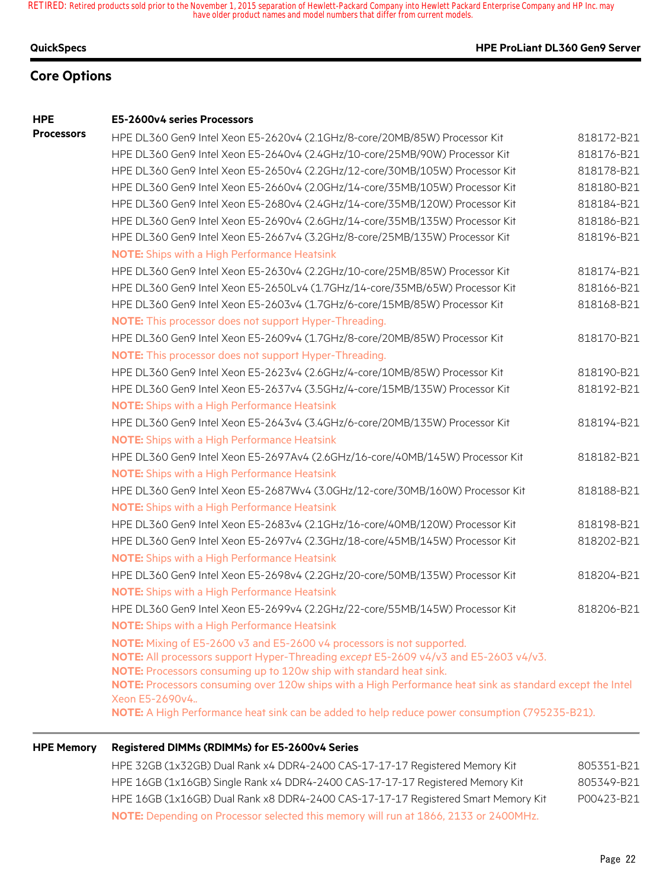### **QuickSpecs HPE ProLiant DL360 Gen9 Server**

# **Core Options**

#### **HPE E5-2600v4 series Processors**

| <b>Processors</b> | HPE DL360 Gen9 Intel Xeon E5-2620v4 (2.1GHz/8-core/20MB/85W) Processor Kit                                                                                                                                                                                                                                                                         | 818172-B21 |
|-------------------|----------------------------------------------------------------------------------------------------------------------------------------------------------------------------------------------------------------------------------------------------------------------------------------------------------------------------------------------------|------------|
|                   | HPE DL360 Gen9 Intel Xeon E5-2640v4 (2.4GHz/10-core/25MB/90W) Processor Kit                                                                                                                                                                                                                                                                        | 818176-B21 |
|                   | HPE DL360 Gen9 Intel Xeon E5-2650v4 (2.2GHz/12-core/30MB/105W) Processor Kit                                                                                                                                                                                                                                                                       | 818178-B21 |
|                   | HPE DL360 Gen9 Intel Xeon E5-2660v4 (2.0GHz/14-core/35MB/105W) Processor Kit                                                                                                                                                                                                                                                                       | 818180-B21 |
|                   | HPE DL360 Gen9 Intel Xeon E5-2680v4 (2.4GHz/14-core/35MB/120W) Processor Kit                                                                                                                                                                                                                                                                       | 818184-B21 |
|                   | HPE DL360 Gen9 Intel Xeon E5-2690v4 (2.6GHz/14-core/35MB/135W) Processor Kit                                                                                                                                                                                                                                                                       | 818186-B21 |
|                   | HPE DL360 Gen9 Intel Xeon E5-2667v4 (3.2GHz/8-core/25MB/135W) Processor Kit                                                                                                                                                                                                                                                                        | 818196-B21 |
|                   | <b>NOTE:</b> Ships with a High Performance Heatsink                                                                                                                                                                                                                                                                                                |            |
|                   | HPE DL360 Gen9 Intel Xeon E5-2630v4 (2.2GHz/10-core/25MB/85W) Processor Kit                                                                                                                                                                                                                                                                        | 818174-B21 |
|                   | HPE DL360 Gen9 Intel Xeon E5-2650Lv4 (1.7GHz/14-core/35MB/65W) Processor Kit                                                                                                                                                                                                                                                                       | 818166-B21 |
|                   | HPE DL360 Gen9 Intel Xeon E5-2603v4 (1.7GHz/6-core/15MB/85W) Processor Kit                                                                                                                                                                                                                                                                         | 818168-B21 |
|                   | NOTE: This processor does not support Hyper-Threading.                                                                                                                                                                                                                                                                                             |            |
|                   | HPE DL360 Gen9 Intel Xeon E5-2609v4 (1.7GHz/8-core/20MB/85W) Processor Kit                                                                                                                                                                                                                                                                         | 818170-B21 |
|                   | <b>NOTE:</b> This processor does not support Hyper-Threading.                                                                                                                                                                                                                                                                                      |            |
|                   | HPE DL360 Gen9 Intel Xeon E5-2623v4 (2.6GHz/4-core/10MB/85W) Processor Kit                                                                                                                                                                                                                                                                         | 818190-B21 |
|                   | HPE DL360 Gen9 Intel Xeon E5-2637v4 (3.5GHz/4-core/15MB/135W) Processor Kit                                                                                                                                                                                                                                                                        | 818192-B21 |
|                   | <b>NOTE:</b> Ships with a High Performance Heatsink                                                                                                                                                                                                                                                                                                |            |
|                   | HPE DL360 Gen9 Intel Xeon E5-2643v4 (3.4GHz/6-core/20MB/135W) Processor Kit                                                                                                                                                                                                                                                                        | 818194-B21 |
|                   | <b>NOTE:</b> Ships with a High Performance Heatsink                                                                                                                                                                                                                                                                                                |            |
|                   | HPE DL360 Gen9 Intel Xeon E5-2697Av4 (2.6GHz/16-core/40MB/145W) Processor Kit                                                                                                                                                                                                                                                                      | 818182-B21 |
|                   | <b>NOTE:</b> Ships with a High Performance Heatsink                                                                                                                                                                                                                                                                                                |            |
|                   | HPE DL360 Gen9 Intel Xeon E5-2687Wv4 (3.0GHz/12-core/30MB/160W) Processor Kit                                                                                                                                                                                                                                                                      | 818188-B21 |
|                   | <b>NOTE:</b> Ships with a High Performance Heatsink                                                                                                                                                                                                                                                                                                |            |
|                   | HPE DL360 Gen9 Intel Xeon E5-2683v4 (2.1GHz/16-core/40MB/120W) Processor Kit                                                                                                                                                                                                                                                                       | 818198-B21 |
|                   | HPE DL360 Gen9 Intel Xeon E5-2697v4 (2.3GHz/18-core/45MB/145W) Processor Kit                                                                                                                                                                                                                                                                       | 818202-B21 |
|                   | <b>NOTE:</b> Ships with a High Performance Heatsink                                                                                                                                                                                                                                                                                                |            |
|                   | HPE DL360 Gen9 Intel Xeon E5-2698v4 (2.2GHz/20-core/50MB/135W) Processor Kit                                                                                                                                                                                                                                                                       | 818204-B21 |
|                   | <b>NOTE:</b> Ships with a High Performance Heatsink                                                                                                                                                                                                                                                                                                |            |
|                   | HPE DL360 Gen9 Intel Xeon E5-2699v4 (2.2GHz/22-core/55MB/145W) Processor Kit                                                                                                                                                                                                                                                                       | 818206-B21 |
|                   | <b>NOTE:</b> Ships with a High Performance Heatsink                                                                                                                                                                                                                                                                                                |            |
|                   | NOTE: Mixing of E5-2600 v3 and E5-2600 v4 processors is not supported.<br>NOTE: All processors support Hyper-Threading except E5-2609 v4/v3 and E5-2603 v4/v3.<br>NOTE: Processors consuming up to 120w ship with standard heat sink.<br>NOTE: Processors consuming over 120w ships with a High Performance heat sink as standard except the Intel |            |
|                   | Xeon E5-2690v4<br>NOTE: A High Performance heat sink can be added to help reduce power consumption (795235-B21).                                                                                                                                                                                                                                   |            |
|                   |                                                                                                                                                                                                                                                                                                                                                    |            |

#### **HPE Memory Registered DIMMs (RDIMMs) for E5-2600v4 Series**

HPE 32GB (1x32GB) Dual Rank x4 DDR4-2400 CAS-17-17-17 Registered Memory Kit 805351-B21 HPE 16GB (1x16GB) Single Rank x4 DDR4-2400 CAS-17-17-17 Registered Memory Kit 805349-B21 HPE 16GB (1x16GB) Dual Rank x8 DDR4-2400 CAS-17-17-17 Registered Smart Memory Kit P00423-B21 **NOTE:** Depending on Processor selected this memory will run at 1866, 2133 or 2400MHz.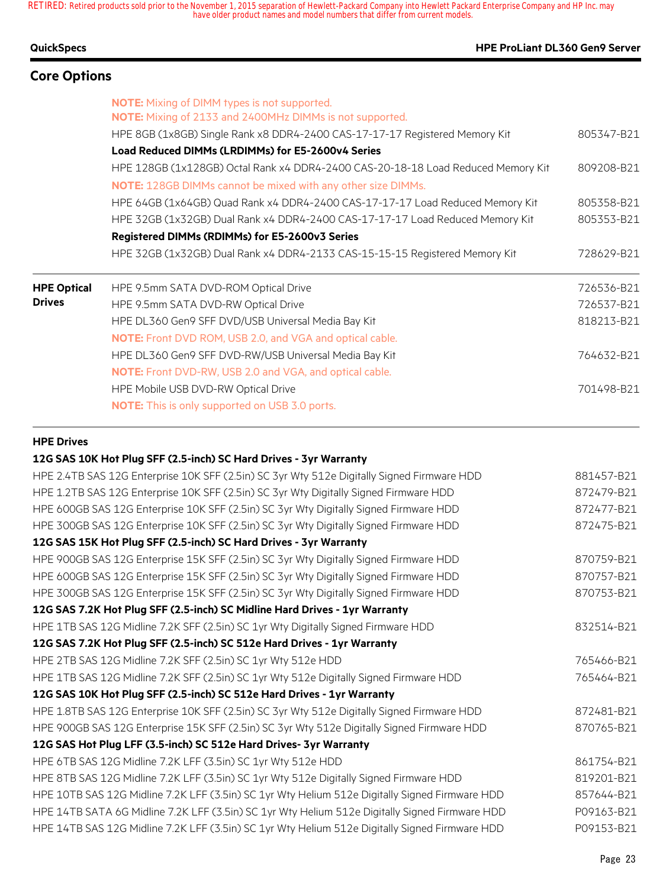| <b>QuickSpecs</b>   | <b>HPE ProLiant DL360 Gen9 Server</b>                                                                           |            |
|---------------------|-----------------------------------------------------------------------------------------------------------------|------------|
| <b>Core Options</b> |                                                                                                                 |            |
|                     | <b>NOTE:</b> Mixing of DIMM types is not supported.<br>NOTE: Mixing of 2133 and 2400MHz DIMMs is not supported. |            |
|                     | HPE 8GB (1x8GB) Single Rank x8 DDR4-2400 CAS-17-17-17 Registered Memory Kit                                     | 805347-B21 |
|                     | Load Reduced DIMMs (LRDIMMs) for E5-2600v4 Series                                                               |            |
|                     | HPE 128GB (1x128GB) Octal Rank x4 DDR4-2400 CAS-20-18-18 Load Reduced Memory Kit                                | 809208-B21 |
|                     | <b>NOTE:</b> 128GB DIMMs cannot be mixed with any other size DIMMs.                                             |            |
|                     | HPE 64GB (1x64GB) Quad Rank x4 DDR4-2400 CAS-17-17-17 Load Reduced Memory Kit                                   | 805358-B21 |
|                     | HPE 32GB (1x32GB) Dual Rank x4 DDR4-2400 CAS-17-17-17 Load Reduced Memory Kit                                   | 805353-B21 |
|                     | Registered DIMMs (RDIMMs) for E5-2600v3 Series                                                                  |            |
|                     | HPE 32GB (1x32GB) Dual Rank x4 DDR4-2133 CAS-15-15-15 Registered Memory Kit                                     | 728629-B21 |
| <b>HPE Optical</b>  | HPE 9.5mm SATA DVD-ROM Optical Drive                                                                            | 726536-B21 |
| <b>Drives</b>       | HPE 9.5mm SATA DVD-RW Optical Drive                                                                             | 726537-B21 |
|                     | HPE DL360 Gen9 SFF DVD/USB Universal Media Bay Kit                                                              | 818213-B21 |
|                     | <b>NOTE:</b> Front DVD ROM, USB 2.0, and VGA and optical cable.                                                 |            |
|                     | HPE DL360 Gen9 SFF DVD-RW/USB Universal Media Bay Kit                                                           | 764632-B21 |
|                     | <b>NOTE:</b> Front DVD-RW, USB 2.0 and VGA, and optical cable.                                                  |            |
|                     | HPE Mobile USB DVD-RW Optical Drive                                                                             | 701498-B21 |
|                     | <b>NOTE:</b> This is only supported on USB 3.0 ports.                                                           |            |

### **HPE Drives**

### **12G SAS 10K Hot Plug SFF (2.5-inch) SC Hard Drives - 3yr Warranty**

| HPE 2.4TB SAS 12G Enterprise 10K SFF (2.5in) SC 3yr Wty 512e Digitally Signed Firmware HDD     | 881457-B21 |
|------------------------------------------------------------------------------------------------|------------|
| HPE 1.2TB SAS 12G Enterprise 10K SFF (2.5in) SC 3yr Wty Digitally Signed Firmware HDD          | 872479-B21 |
| HPE 600GB SAS 12G Enterprise 10K SFF (2.5in) SC 3yr Wty Digitally Signed Firmware HDD          | 872477-B21 |
| HPE 300GB SAS 12G Enterprise 10K SFF (2.5in) SC 3yr Wty Digitally Signed Firmware HDD          | 872475-B21 |
| 12G SAS 15K Hot Plug SFF (2.5-inch) SC Hard Drives - 3yr Warranty                              |            |
| HPE 900GB SAS 12G Enterprise 15K SFF (2.5in) SC 3yr Wty Digitally Signed Firmware HDD          | 870759-B21 |
| HPE 600GB SAS 12G Enterprise 15K SFF (2.5in) SC 3yr Wty Digitally Signed Firmware HDD          | 870757-B21 |
| HPE 300GB SAS 12G Enterprise 15K SFF (2.5in) SC 3yr Wty Digitally Signed Firmware HDD          | 870753-B21 |
| 12G SAS 7.2K Hot Plug SFF (2.5-inch) SC Midline Hard Drives - 1yr Warranty                     |            |
| HPE 1TB SAS 12G Midline 7.2K SFF (2.5in) SC 1yr Wty Digitally Signed Firmware HDD              | 832514-B21 |
| 12G SAS 7.2K Hot Plug SFF (2.5-inch) SC 512e Hard Drives - 1yr Warranty                        |            |
| HPE 2TB SAS 12G Midline 7.2K SFF (2.5in) SC 1yr Wty 512e HDD                                   | 765466-B21 |
| HPE 1TB SAS 12G Midline 7.2K SFF (2.5in) SC 1yr Wty 512e Digitally Signed Firmware HDD         | 765464-B21 |
| 12G SAS 10K Hot Plug SFF (2.5-inch) SC 512e Hard Drives - 1yr Warranty                         |            |
| HPE 1.8TB SAS 12G Enterprise 10K SFF (2.5in) SC 3yr Wty 512e Digitally Signed Firmware HDD     | 872481-B21 |
| HPE 900GB SAS 12G Enterprise 15K SFF (2.5in) SC 3yr Wty 512e Digitally Signed Firmware HDD     | 870765-B21 |
| 12G SAS Hot Plug LFF (3.5-inch) SC 512e Hard Drives- 3yr Warranty                              |            |
| HPE 6TB SAS 12G Midline 7.2K LFF (3.5in) SC 1yr Wty 512e HDD                                   | 861754-B21 |
| HPE 8TB SAS 12G Midline 7.2K LFF (3.5in) SC 1yr Wty 512e Digitally Signed Firmware HDD         | 819201-B21 |
| HPE 10TB SAS 12G Midline 7.2K LFF (3.5in) SC 1yr Wty Helium 512e Digitally Signed Firmware HDD | 857644-B21 |
| HPE 14TB SATA 6G Midline 7.2K LFF (3.5in) SC 1yr Wty Helium 512e Digitally Signed Firmware HDD | P09163-B21 |
| HPE 14TB SAS 12G Midline 7.2K LFF (3.5in) SC 1yr Wty Helium 512e Digitally Signed Firmware HDD | P09153-B21 |
|                                                                                                |            |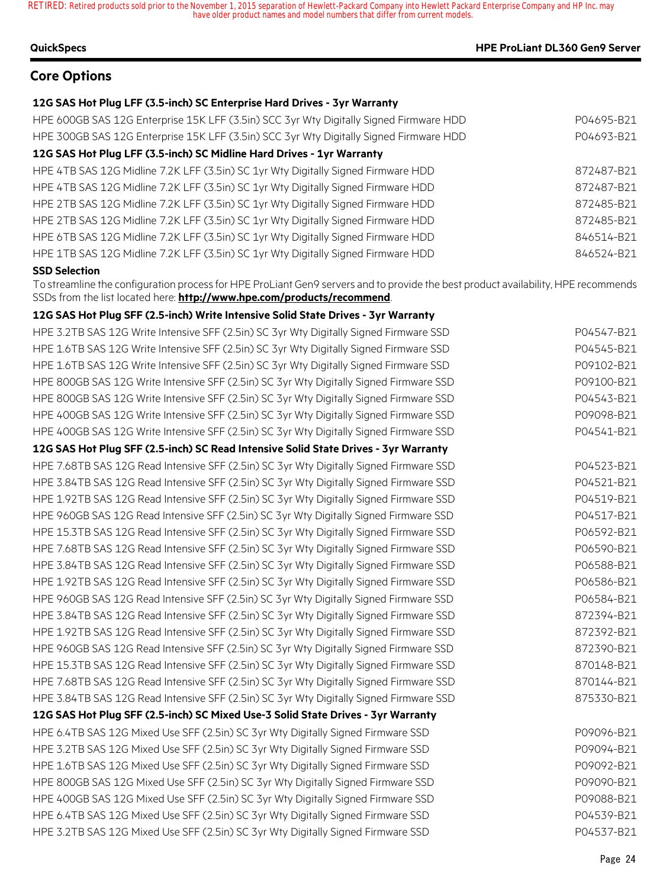#### **QuickSpecs HPE ProLiant DL360 Gen9 Server**

# **Core Options**

### **12G SAS Hot Plug LFF (3.5-inch) SC Enterprise Hard Drives - 3yr Warranty**

| HPE 600GB SAS 12G Enterprise 15K LFF (3.5in) SCC 3yr Wty Digitally Signed Firmware HDD | P04695-B21 |
|----------------------------------------------------------------------------------------|------------|
| HPE 300GB SAS 12G Enterprise 15K LFF (3.5in) SCC 3yr Wty Digitally Signed Firmware HDD | P04693-B21 |
| 12G SAS Hot Plug LFF (3.5-inch) SC Midline Hard Drives - 1yr Warranty                  |            |
| HPE 4TB SAS 12G Midline 7.2K LFF (3.5in) SC 1yr Wty Digitally Signed Firmware HDD      | 872487-B21 |
| HPE 4TB SAS 12G Midline 7.2K LFF (3.5in) SC 1yr Wty Digitally Signed Firmware HDD      | 872487-B21 |
| HPE 2TB SAS 12G Midline 7.2K LFF (3.5in) SC 1yr Wty Digitally Signed Firmware HDD      | 872485-B21 |
| HPE 2TB SAS 12G Midline 7.2K LFF (3.5in) SC 1yr Wty Digitally Signed Firmware HDD      | 872485-B21 |
| HPE 6TB SAS 12G Midline 7.2K LFF (3.5in) SC 1yr Wty Digitally Signed Firmware HDD      | 846514-B21 |
| HPE 1TB SAS 12G Midline 7.2K LFF (3.5in) SC 1yr Wty Digitally Signed Firmware HDD      | 846524-B21 |
|                                                                                        |            |

#### **SSD Selection**

To streamline the configuration process for HPE ProLiant Gen9 servers and to provide the best product availability, HPE recommends SSDs from the list located here: **http://www.hpe.com/products/recommend**.

**12G SAS Hot Plug SFF (2.5-inch) Write Intensive Solid State Drives - 3yr Warranty**

| HPE 3.2TB SAS 12G Write Intensive SFF (2.5in) SC 3yr Wty Digitally Signed Firmware SSD | P04547-B21 |
|----------------------------------------------------------------------------------------|------------|
| HPE 1.6TB SAS 12G Write Intensive SFF (2.5in) SC 3yr Wty Digitally Signed Firmware SSD | P04545-B21 |
| HPE 1.6TB SAS 12G Write Intensive SFF (2.5in) SC 3yr Wty Digitally Signed Firmware SSD | P09102-B21 |
| HPE 800GB SAS 12G Write Intensive SFF (2.5in) SC 3yr Wty Digitally Signed Firmware SSD | P09100-B21 |
| HPE 800GB SAS 12G Write Intensive SFF (2.5in) SC 3yr Wty Digitally Signed Firmware SSD | P04543-B21 |
| HPE 400GB SAS 12G Write Intensive SFF (2.5in) SC 3yr Wty Digitally Signed Firmware SSD | P09098-B21 |
| HPE 400GB SAS 12G Write Intensive SFF (2.5in) SC 3yr Wty Digitally Signed Firmware SSD | P04541-B21 |
| 12G SAS Hot Plug SFF (2.5-inch) SC Read Intensive Solid State Drives - 3yr Warranty    |            |
| HPE 7.68TB SAS 12G Read Intensive SFF (2.5in) SC 3yr Wty Digitally Signed Firmware SSD | P04523-B21 |
| HPE 3.84TB SAS 12G Read Intensive SFF (2.5in) SC 3yr Wty Digitally Signed Firmware SSD | P04521-B21 |
| HPE 1.92TB SAS 12G Read Intensive SFF (2.5in) SC 3yr Wty Digitally Signed Firmware SSD | P04519-B21 |
| HPE 960GB SAS 12G Read Intensive SFF (2.5in) SC 3yr Wty Digitally Signed Firmware SSD  | P04517-B21 |
| HPE 15.3TB SAS 12G Read Intensive SFF (2.5in) SC 3yr Wty Digitally Signed Firmware SSD | P06592-B21 |
| HPE 7.68TB SAS 12G Read Intensive SFF (2.5in) SC 3yr Wty Digitally Signed Firmware SSD | P06590-B21 |
| HPE 3.84TB SAS 12G Read Intensive SFF (2.5in) SC 3yr Wty Digitally Signed Firmware SSD | P06588-B21 |
| HPE 1.92TB SAS 12G Read Intensive SFF (2.5in) SC 3yr Wty Digitally Signed Firmware SSD | P06586-B21 |
| HPE 960GB SAS 12G Read Intensive SFF (2.5in) SC 3yr Wty Digitally Signed Firmware SSD  | P06584-B21 |
| HPE 3.84TB SAS 12G Read Intensive SFF (2.5in) SC 3yr Wty Digitally Signed Firmware SSD | 872394-B21 |
| HPE 1.92TB SAS 12G Read Intensive SFF (2.5in) SC 3yr Wty Digitally Signed Firmware SSD | 872392-B21 |
| HPE 960GB SAS 12G Read Intensive SFF (2.5in) SC 3yr Wty Digitally Signed Firmware SSD  | 872390-B21 |
| HPE 15.3TB SAS 12G Read Intensive SFF (2.5in) SC 3yr Wty Digitally Signed Firmware SSD | 870148-B21 |
| HPE 7.68TB SAS 12G Read Intensive SFF (2.5in) SC 3yr Wty Digitally Signed Firmware SSD | 870144-B21 |
| HPE 3.84TB SAS 12G Read Intensive SFF (2.5in) SC 3yr Wty Digitally Signed Firmware SSD | 875330-B21 |
| 12G SAS Hot Plug SFF (2.5-inch) SC Mixed Use-3 Solid State Drives - 3yr Warranty       |            |
| HPE 6.4TB SAS 12G Mixed Use SFF (2.5in) SC 3yr Wty Digitally Signed Firmware SSD       | P09096-B21 |
| HPE 3.2TB SAS 12G Mixed Use SFF (2.5in) SC 3yr Wty Digitally Signed Firmware SSD       | P09094-B21 |
| HPE 1.6TB SAS 12G Mixed Use SFF (2.5in) SC 3yr Wty Digitally Signed Firmware SSD       | P09092-B21 |
| HPE 800GB SAS 12G Mixed Use SFF (2.5in) SC 3yr Wty Digitally Signed Firmware SSD       | P09090-B21 |
| HPE 400GB SAS 12G Mixed Use SFF (2.5in) SC 3yr Wty Digitally Signed Firmware SSD       | P09088-B21 |
| HPE 6.4TB SAS 12G Mixed Use SFF (2.5in) SC 3yr Wty Digitally Signed Firmware SSD       | P04539-B21 |
| HPE 3.2TB SAS 12G Mixed Use SFF (2.5in) SC 3yr Wty Digitally Signed Firmware SSD       | P04537-B21 |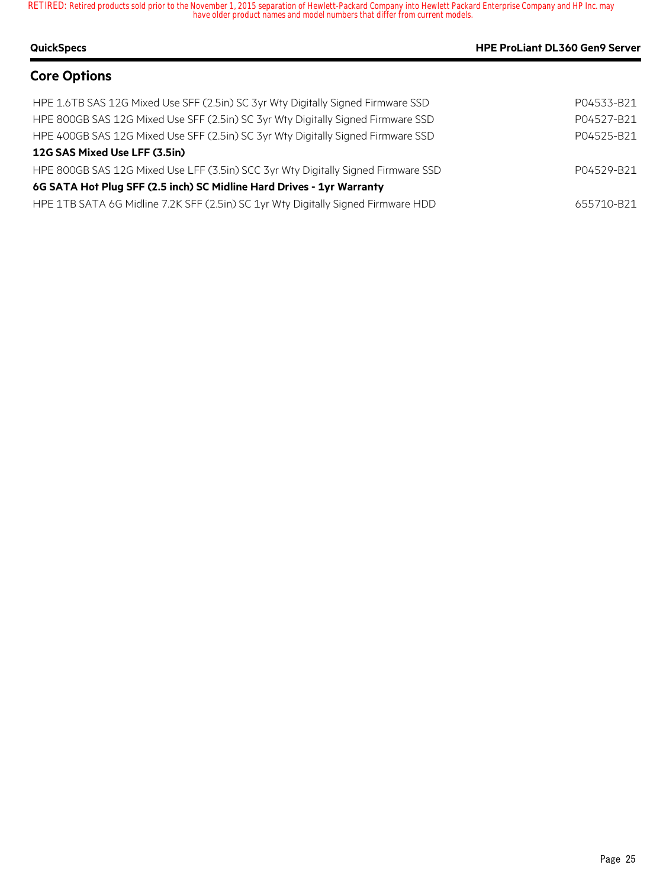| <b>QuickSpecs</b>                                                                 | <b>HPE ProLiant DL360 Gen9 Server</b> |  |
|-----------------------------------------------------------------------------------|---------------------------------------|--|
| <b>Core Options</b>                                                               |                                       |  |
| HPE 1.6TB SAS 12G Mixed Use SFF (2.5in) SC 3yr Wty Digitally Signed Firmware SSD  | P04533-B21                            |  |
| HPE 800GB SAS 12G Mixed Use SFF (2.5in) SC 3yr Wty Digitally Signed Firmware SSD  | P04527-B21                            |  |
| HPE 400GB SAS 12G Mixed Use SFF (2.5in) SC 3yr Wty Digitally Signed Firmware SSD  | P04525-B21                            |  |
| 12G SAS Mixed Use LFF (3.5in)                                                     |                                       |  |
| HPE 800GB SAS 12G Mixed Use LFF (3.5in) SCC 3yr Wty Digitally Signed Firmware SSD | P04529-B21                            |  |
| 6G SATA Hot Plug SFF (2.5 inch) SC Midline Hard Drives - 1yr Warranty             |                                       |  |
| HPE 1TB SATA 6G Midline 7.2K SFF (2.5in) SC 1yr Wty Digitally Signed Firmware HDD | 655710-B21                            |  |
|                                                                                   |                                       |  |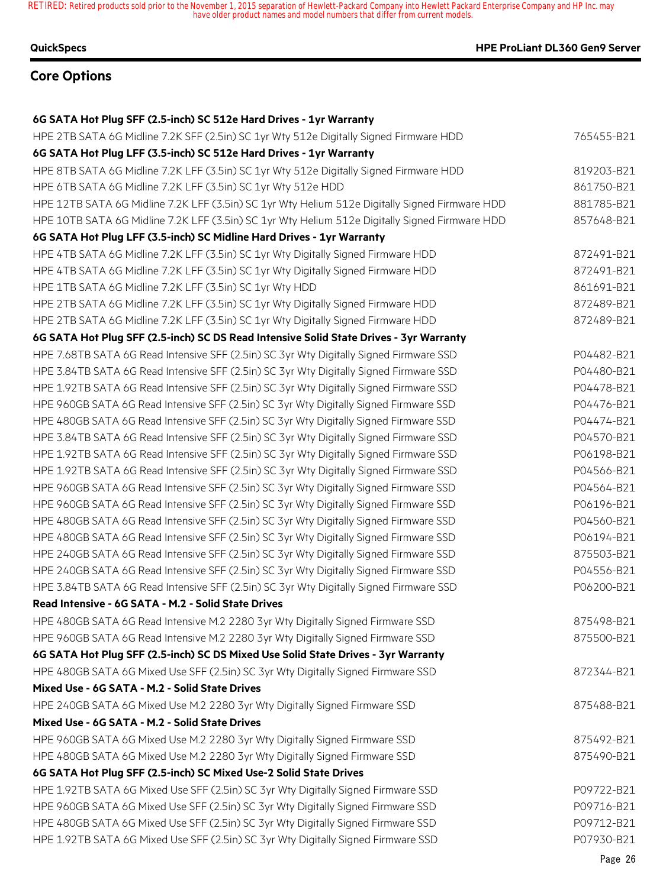### **QuickSpecs HPE ProLiant DL360 Gen9 Server**

# **Core Options**

### **6G SATA Hot Plug SFF (2.5-inch) SC 512e Hard Drives - 1yr Warranty**

| HPE 2TB SATA 6G Midline 7.2K SFF (2.5in) SC 1yr Wty 512e Digitally Signed Firmware HDD         | 765455-B21 |
|------------------------------------------------------------------------------------------------|------------|
| 6G SATA Hot Plug LFF (3.5-inch) SC 512e Hard Drives - 1yr Warranty                             |            |
| HPE 8TB SATA 6G Midline 7.2K LFF (3.5in) SC 1yr Wty 512e Digitally Signed Firmware HDD         | 819203-B21 |
| HPE 6TB SATA 6G Midline 7.2K LFF (3.5in) SC 1yr Wty 512e HDD                                   | 861750-B21 |
| HPE 12TB SATA 6G Midline 7.2K LFF (3.5in) SC 1yr Wty Helium 512e Digitally Signed Firmware HDD | 881785-B21 |
| HPE 10TB SATA 6G Midline 7.2K LFF (3.5in) SC 1yr Wty Helium 512e Digitally Signed Firmware HDD | 857648-B21 |
| 6G SATA Hot Plug LFF (3.5-inch) SC Midline Hard Drives - 1yr Warranty                          |            |
| HPE 4TB SATA 6G Midline 7.2K LFF (3.5in) SC 1yr Wty Digitally Signed Firmware HDD              | 872491-B21 |
| HPE 4TB SATA 6G Midline 7.2K LFF (3.5in) SC 1yr Wty Digitally Signed Firmware HDD              | 872491-B21 |
| HPE 1TB SATA 6G Midline 7.2K LFF (3.5in) SC 1yr Wty HDD                                        | 861691-B21 |
| HPE 2TB SATA 6G Midline 7.2K LFF (3.5in) SC 1yr Wty Digitally Signed Firmware HDD              | 872489-B21 |
| HPE 2TB SATA 6G Midline 7.2K LFF (3.5in) SC 1yr Wty Digitally Signed Firmware HDD              | 872489-B21 |
| 6G SATA Hot Plug SFF (2.5-inch) SC DS Read Intensive Solid State Drives - 3yr Warranty         |            |
| HPE 7.68TB SATA 6G Read Intensive SFF (2.5in) SC 3yr Wty Digitally Signed Firmware SSD         | P04482-B21 |
| HPE 3.84TB SATA 6G Read Intensive SFF (2.5in) SC 3yr Wty Digitally Signed Firmware SSD         | P04480-B21 |
| HPE 1.92TB SATA 6G Read Intensive SFF (2.5in) SC 3yr Wty Digitally Signed Firmware SSD         | P04478-B21 |
| HPE 960GB SATA 6G Read Intensive SFF (2.5in) SC 3yr Wty Digitally Signed Firmware SSD          | P04476-B21 |
| HPE 480GB SATA 6G Read Intensive SFF (2.5in) SC 3yr Wty Digitally Signed Firmware SSD          | P04474-B21 |
| HPE 3.84TB SATA 6G Read Intensive SFF (2.5in) SC 3yr Wty Digitally Signed Firmware SSD         | P04570-B21 |
| HPE 1.92TB SATA 6G Read Intensive SFF (2.5in) SC 3yr Wty Digitally Signed Firmware SSD         | P06198-B21 |
| HPE 1.92TB SATA 6G Read Intensive SFF (2.5in) SC 3yr Wty Digitally Signed Firmware SSD         | P04566-B21 |
| HPE 960GB SATA 6G Read Intensive SFF (2.5in) SC 3yr Wty Digitally Signed Firmware SSD          | P04564-B21 |
| HPE 960GB SATA 6G Read Intensive SFF (2.5in) SC 3yr Wty Digitally Signed Firmware SSD          | P06196-B21 |
| HPE 480GB SATA 6G Read Intensive SFF (2.5in) SC 3yr Wty Digitally Signed Firmware SSD          | P04560-B21 |
| HPE 480GB SATA 6G Read Intensive SFF (2.5in) SC 3yr Wty Digitally Signed Firmware SSD          | P06194-B21 |
| HPE 240GB SATA 6G Read Intensive SFF (2.5in) SC 3yr Wty Digitally Signed Firmware SSD          | 875503-B21 |
| HPE 240GB SATA 6G Read Intensive SFF (2.5in) SC 3yr Wty Digitally Signed Firmware SSD          | P04556-B21 |
| HPE 3.84TB SATA 6G Read Intensive SFF (2.5in) SC 3yr Wty Digitally Signed Firmware SSD         | P06200-B21 |
| Read Intensive - 6G SATA - M.2 - Solid State Drives                                            |            |
| HPE 480GB SATA 6G Read Intensive M.2 2280 3yr Wty Digitally Signed Firmware SSD                | 875498-B21 |
| HPE 960GB SATA 6G Read Intensive M.2 2280 3yr Wty Digitally Signed Firmware SSD                | 875500-B21 |
| 6G SATA Hot Plug SFF (2.5-inch) SC DS Mixed Use Solid State Drives - 3yr Warranty              |            |
| HPE 480GB SATA 6G Mixed Use SFF (2.5in) SC 3yr Wty Digitally Signed Firmware SSD               | 872344-B21 |
| Mixed Use - 6G SATA - M.2 - Solid State Drives                                                 |            |
| HPE 240GB SATA 6G Mixed Use M.2 2280 3yr Wty Digitally Signed Firmware SSD                     | 875488-B21 |
| Mixed Use - 6G SATA - M.2 - Solid State Drives                                                 |            |
| HPE 960GB SATA 6G Mixed Use M.2 2280 3yr Wty Digitally Signed Firmware SSD                     | 875492-B21 |
| HPE 480GB SATA 6G Mixed Use M.2 2280 3yr Wty Digitally Signed Firmware SSD                     | 875490-B21 |
| 6G SATA Hot Plug SFF (2.5-inch) SC Mixed Use-2 Solid State Drives                              |            |
| HPE 1.92TB SATA 6G Mixed Use SFF (2.5in) SC 3yr Wty Digitally Signed Firmware SSD              | P09722-B21 |
| HPE 960GB SATA 6G Mixed Use SFF (2.5in) SC 3yr Wty Digitally Signed Firmware SSD               | P09716-B21 |
| HPE 480GB SATA 6G Mixed Use SFF (2.5in) SC 3yr Wty Digitally Signed Firmware SSD               | P09712-B21 |
| HPE 1.92TB SATA 6G Mixed Use SFF (2.5in) SC 3yr Wty Digitally Signed Firmware SSD              | P07930-B21 |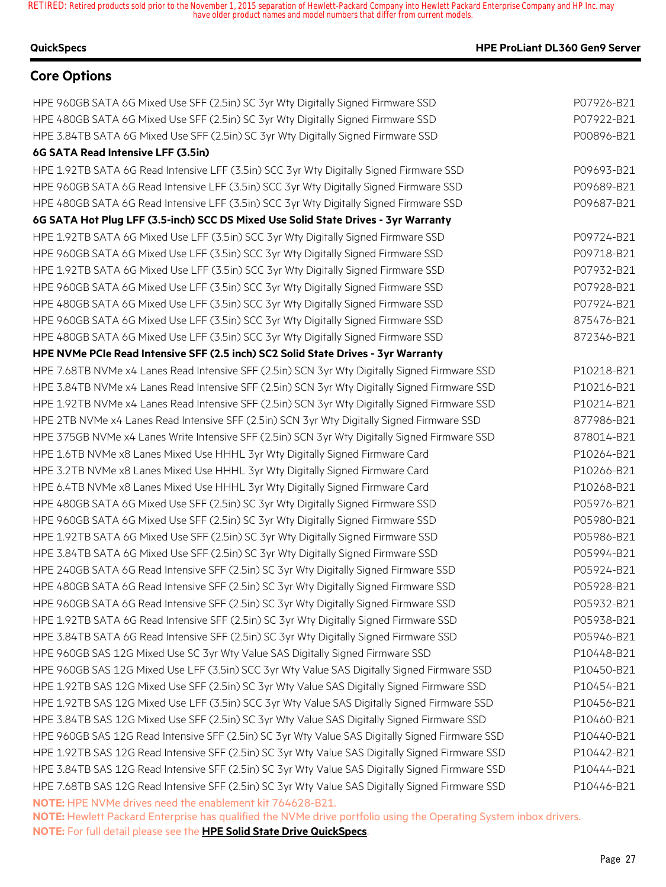# **Core Options**

| HPE 960GB SATA 6G Mixed Use SFF (2.5in) SC 3yr Wty Digitally Signed Firmware SSD                 | P07926-B21 |
|--------------------------------------------------------------------------------------------------|------------|
| HPE 480GB SATA 6G Mixed Use SFF (2.5in) SC 3yr Wty Digitally Signed Firmware SSD                 | P07922-B21 |
| HPE 3.84TB SATA 6G Mixed Use SFF (2.5in) SC 3yr Wty Digitally Signed Firmware SSD                | P00896-B21 |
| 6G SATA Read Intensive LFF (3.5in)                                                               |            |
| HPE 1.92TB SATA 6G Read Intensive LFF (3.5in) SCC 3yr Wty Digitally Signed Firmware SSD          | P09693-B21 |
| HPE 960GB SATA 6G Read Intensive LFF (3.5in) SCC 3yr Wty Digitally Signed Firmware SSD           | P09689-B21 |
| HPE 480GB SATA 6G Read Intensive LFF (3.5in) SCC 3yr Wty Digitally Signed Firmware SSD           | P09687-B21 |
| 6G SATA Hot Plug LFF (3.5-inch) SCC DS Mixed Use Solid State Drives - 3yr Warranty               |            |
| HPE 1.92TB SATA 6G Mixed Use LFF (3.5in) SCC 3yr Wty Digitally Signed Firmware SSD               | P09724-B21 |
| HPE 960GB SATA 6G Mixed Use LFF (3.5in) SCC 3yr Wty Digitally Signed Firmware SSD                | P09718-B21 |
| HPE 1.92TB SATA 6G Mixed Use LFF (3.5in) SCC 3yr Wty Digitally Signed Firmware SSD               | P07932-B21 |
| HPE 960GB SATA 6G Mixed Use LFF (3.5in) SCC 3yr Wty Digitally Signed Firmware SSD                | P07928-B21 |
| HPE 480GB SATA 6G Mixed Use LFF (3.5in) SCC 3yr Wty Digitally Signed Firmware SSD                | P07924-B21 |
| HPE 960GB SATA 6G Mixed Use LFF (3.5in) SCC 3yr Wty Digitally Signed Firmware SSD                | 875476-B21 |
| HPE 480GB SATA 6G Mixed Use LFF (3.5in) SCC 3yr Wty Digitally Signed Firmware SSD                | 872346-B21 |
| HPE NVMe PCIe Read Intensive SFF (2.5 inch) SC2 Solid State Drives - 3yr Warranty                |            |
| HPE 7.68TB NVMe x4 Lanes Read Intensive SFF (2.5in) SCN 3yr Wty Digitally Signed Firmware SSD    | P10218-B21 |
| HPE 3.84TB NVMe x4 Lanes Read Intensive SFF (2.5in) SCN 3yr Wty Digitally Signed Firmware SSD    | P10216-B21 |
| HPE 1.92TB NVMe x4 Lanes Read Intensive SFF (2.5in) SCN 3yr Wty Digitally Signed Firmware SSD    | P10214-B21 |
| HPE 2TB NVMe x4 Lanes Read Intensive SFF (2.5in) SCN 3yr Wty Digitally Signed Firmware SSD       | 877986-B21 |
| HPE 375GB NVMe x4 Lanes Write Intensive SFF (2.5in) SCN 3yr Wty Digitally Signed Firmware SSD    | 878014-B21 |
| HPE 1.6TB NVMe x8 Lanes Mixed Use HHHL 3yr Wty Digitally Signed Firmware Card                    | P10264-B21 |
| HPE 3.2TB NVMe x8 Lanes Mixed Use HHHL 3yr Wty Digitally Signed Firmware Card                    | P10266-B21 |
| HPE 6.4TB NVMe x8 Lanes Mixed Use HHHL 3yr Wty Digitally Signed Firmware Card                    | P10268-B21 |
| HPE 480GB SATA 6G Mixed Use SFF (2.5in) SC 3yr Wty Digitally Signed Firmware SSD                 | P05976-B21 |
| HPE 960GB SATA 6G Mixed Use SFF (2.5in) SC 3yr Wty Digitally Signed Firmware SSD                 | P05980-B21 |
| HPE 1.92TB SATA 6G Mixed Use SFF (2.5in) SC 3yr Wty Digitally Signed Firmware SSD                | P05986-B21 |
| HPE 3.84TB SATA 6G Mixed Use SFF (2.5in) SC 3yr Wty Digitally Signed Firmware SSD                | P05994-B21 |
| HPE 240GB SATA 6G Read Intensive SFF (2.5in) SC 3yr Wty Digitally Signed Firmware SSD            | P05924-B21 |
| HPE 480GB SATA 6G Read Intensive SFF (2.5in) SC 3yr Wty Digitally Signed Firmware SSD            | P05928-B21 |
| HPE 960GB SATA 6G Read Intensive SFF (2.5in) SC 3yr Wty Digitally Signed Firmware SSD            | P05932-B21 |
| HPE 1.92TB SATA 6G Read Intensive SFF (2.5in) SC 3yr Wty Digitally Signed Firmware SSD           | P05938-B21 |
| HPE 3.84TB SATA 6G Read Intensive SFF (2.5in) SC 3yr Wty Digitally Signed Firmware SSD           | P05946-B21 |
| HPE 960GB SAS 12G Mixed Use SC 3yr Wty Value SAS Digitally Signed Firmware SSD                   | P10448-B21 |
| HPE 960GB SAS 12G Mixed Use LFF (3.5in) SCC 3yr Wty Value SAS Digitally Signed Firmware SSD      | P10450-B21 |
| HPE 1.92TB SAS 12G Mixed Use SFF (2.5in) SC 3yr Wty Value SAS Digitally Signed Firmware SSD      | P10454-B21 |
| HPE 1.92TB SAS 12G Mixed Use LFF (3.5in) SCC 3yr Wty Value SAS Digitally Signed Firmware SSD     | P10456-B21 |
| HPE 3.84TB SAS 12G Mixed Use SFF (2.5in) SC 3yr Wty Value SAS Digitally Signed Firmware SSD      | P10460-B21 |
| HPE 960GB SAS 12G Read Intensive SFF (2.5in) SC 3yr Wty Value SAS Digitally Signed Firmware SSD  | P10440-B21 |
| HPE 1.92TB SAS 12G Read Intensive SFF (2.5in) SC 3yr Wty Value SAS Digitally Signed Firmware SSD | P10442-B21 |
| HPE 3.84TB SAS 12G Read Intensive SFF (2.5in) SC 3yr Wty Value SAS Digitally Signed Firmware SSD | P10444-B21 |
| HPE 7.68TB SAS 12G Read Intensive SFF (2.5in) SC 3yr Wty Value SAS Digitally Signed Firmware SSD | P10446-B21 |
| NOTE: HPE NVMe drives need the enablement kit 764628-B21.                                        |            |

**NOTE:** Hewlett Packard Enterprise has qualified the NVMe drive portfolio using the Operating System inbox drivers. **NOTE:** For full detail please see the **HPE Solid State Drive QuickSpecs**.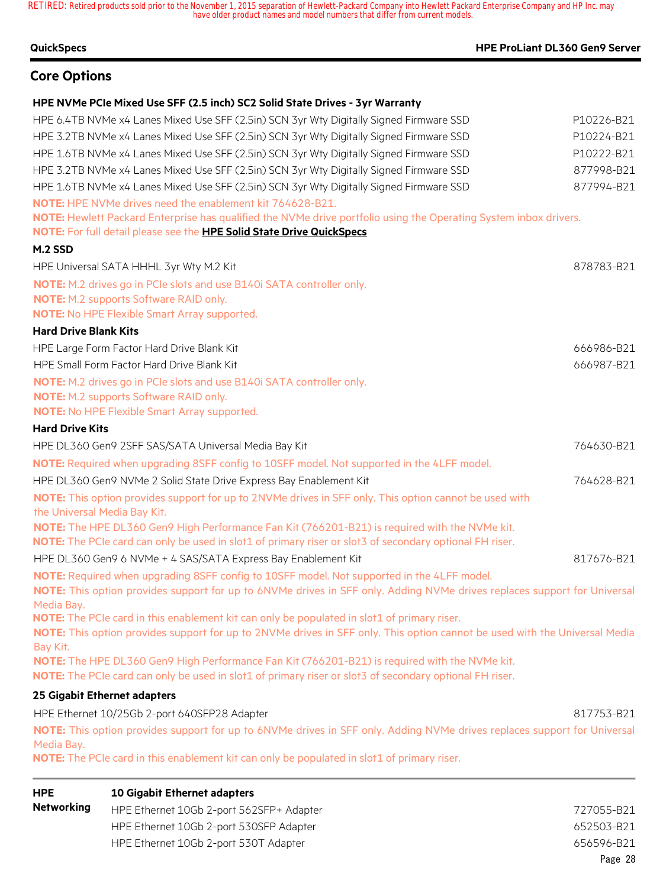### **QuickSpecs HPE ProLiant DL360 Gen9 Server**

# **Core Options**

#### **HPE NVMe PCIe Mixed Use SFF (2.5 inch) SC2 Solid State Drives - 3yr Warranty**

| HPE 6.4TB NVMe x4 Lanes Mixed Use SFF (2.5in) SCN 3yr Wty Digitally Signed Firmware SSD                                                | P10226-B21 |
|----------------------------------------------------------------------------------------------------------------------------------------|------------|
| HPE 3.2TB NVMe x4 Lanes Mixed Use SFF (2.5in) SCN 3yr Wty Digitally Signed Firmware SSD                                                | P10224-B21 |
| HPE 1.6TB NVMe x4 Lanes Mixed Use SFF (2.5in) SCN 3yr Wty Digitally Signed Firmware SSD                                                | P10222-B21 |
| HPE 3.2TB NVMe x4 Lanes Mixed Use SFF (2.5in) SCN 3yr Wty Digitally Signed Firmware SSD                                                | 877998-B21 |
| HPE 1.6TB NVMe x4 Lanes Mixed Use SFF (2.5in) SCN 3yr Wty Digitally Signed Firmware SSD                                                | 877994-B21 |
| <b>NOTE:</b> HPE NVMe drives need the enablement kit 764628-B21.                                                                       |            |
| NOTE: Hewlett Packard Enterprise has qualified the NVMe drive portfolio using the Operating System inbox drivers.                      |            |
| NOTE: For full detail please see the HPE Solid State Drive QuickSpecs                                                                  |            |
| <b>M.2 SSD</b>                                                                                                                         |            |
| HPE Universal SATA HHHL 3yr Wty M.2 Kit                                                                                                | 878783-B21 |
| NOTE: M.2 drives go in PCIe slots and use B140i SATA controller only.                                                                  |            |
| <b>NOTE:</b> M.2 supports Software RAID only.                                                                                          |            |
| <b>NOTE:</b> No HPE Flexible Smart Array supported.                                                                                    |            |
| <b>Hard Drive Blank Kits</b>                                                                                                           |            |
| HPE Large Form Factor Hard Drive Blank Kit                                                                                             | 666986-B21 |
| HPE Small Form Factor Hard Drive Blank Kit                                                                                             | 666987-B21 |
| NOTE: M.2 drives go in PCIe slots and use B140i SATA controller only.                                                                  |            |
| <b>NOTE:</b> M.2 supports Software RAID only.                                                                                          |            |
| <b>NOTE:</b> No HPE Flexible Smart Array supported.                                                                                    |            |
| <b>Hard Drive Kits</b>                                                                                                                 |            |
| HPE DL360 Gen9 2SFF SAS/SATA Universal Media Bay Kit                                                                                   | 764630-B21 |
| NOTE: Required when upgrading 8SFF config to 10SFF model. Not supported in the 4LFF model.                                             |            |
| HPE DL360 Gen9 NVMe 2 Solid State Drive Express Bay Enablement Kit                                                                     | 764628-B21 |
| NOTE: This option provides support for up to 2NVMe drives in SFF only. This option cannot be used with<br>the Universal Media Bay Kit. |            |
| NOTE: The HPE DL360 Gen9 High Performance Fan Kit (766201-B21) is required with the NVMe kit.                                          |            |
| NOTE: The PCIe card can only be used in slot1 of primary riser or slot3 of secondary optional FH riser.                                |            |
| HPE DL360 Gen9 6 NVMe + 4 SAS/SATA Express Bay Enablement Kit                                                                          | 817676-B21 |
| NOTE: Required when upgrading 8SFF config to 10SFF model. Not supported in the 4LFF model.                                             |            |
| NOTE: This option provides support for up to 6NVMe drives in SFF only. Adding NVMe drives replaces support for Universal<br>Media Bay. |            |
| <b>NOTE:</b> The PCIe card in this enablement kit can only be populated in slot1 of primary riser.                                     |            |
| NOTE: This option provides support for up to 2NVMe drives in SFF only. This option cannot be used with the Universal Media<br>Bay Kit. |            |
| NOTE: The HPE DL360 Gen9 High Performance Fan Kit (766201-B21) is required with the NVMe kit.                                          |            |
| NOTE: The PCIe card can only be used in slot1 of primary riser or slot3 of secondary optional FH riser.                                |            |
| 25 Gigabit Ethernet adapters                                                                                                           |            |
| HPE Ethernet 10/25Gb 2-port 640SFP28 Adapter                                                                                           | 817753-B21 |
| NOTE: This option provides support for up to 6NVMe drives in SFF only. Adding NVMe drives replaces support for Universal               |            |
| Media Bay.                                                                                                                             |            |
| NOTE: The PCIe card in this enablement kit can only be populated in slot1 of primary riser.                                            |            |
|                                                                                                                                        |            |

| <b>HPE</b> | <b>10 Gigabit Ethernet adapters</b>      |            |
|------------|------------------------------------------|------------|
| Networking | HPE Ethernet 10Gb 2-port 562SFP+ Adapter | 727055-B21 |
|            | HPE Ethernet 10Gb 2-port 530SFP Adapter  | 652503-B21 |
|            | HPE Ethernet 10Gb 2-port 530T Adapter    | 656596-B21 |
|            |                                          | Page 28    |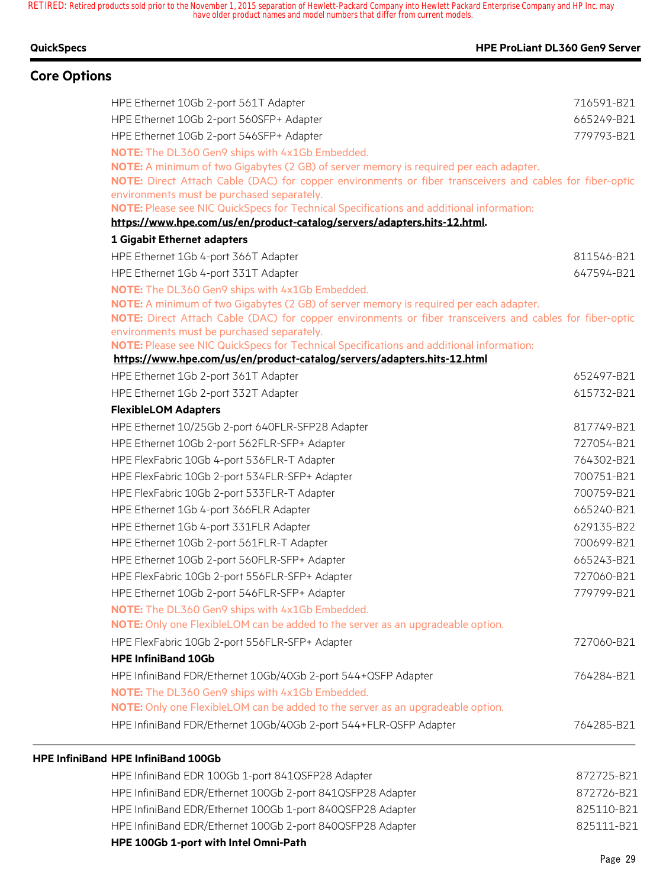# **Core Options**

#### **QuickSpecs HPE ProLiant DL360 Gen9 Server**

| HPE Ethernet 10Gb 2-port 561T Adapter                                                                                                                                | 716591-B21 |
|----------------------------------------------------------------------------------------------------------------------------------------------------------------------|------------|
| HPE Ethernet 10Gb 2-port 560SFP+ Adapter                                                                                                                             | 665249-B21 |
| HPE Ethernet 10Gb 2-port 546SFP+ Adapter                                                                                                                             | 779793-B21 |
| NOTE: The DL360 Gen9 ships with 4x1Gb Embedded.                                                                                                                      |            |
| NOTE: A minimum of two Gigabytes (2 GB) of server memory is required per each adapter.                                                                               |            |
| NOTE: Direct Attach Cable (DAC) for copper environments or fiber transceivers and cables for fiber-optic                                                             |            |
| environments must be purchased separately.                                                                                                                           |            |
| NOTE: Please see NIC QuickSpecs for Technical Specifications and additional information:<br>https://www.hpe.com/us/en/product-catalog/servers/adapters.hits-12.html. |            |
| 1 Gigabit Ethernet adapters                                                                                                                                          |            |
| HPE Ethernet 1Gb 4-port 366T Adapter                                                                                                                                 | 811546-B21 |
| HPE Ethernet 1Gb 4-port 331T Adapter                                                                                                                                 | 647594-B21 |
|                                                                                                                                                                      |            |
| NOTE: The DL360 Gen9 ships with 4x1Gb Embedded.<br>NOTE: A minimum of two Gigabytes (2 GB) of server memory is required per each adapter.                            |            |
| NOTE: Direct Attach Cable (DAC) for copper environments or fiber transceivers and cables for fiber-optic                                                             |            |
| environments must be purchased separately.                                                                                                                           |            |
| NOTE: Please see NIC QuickSpecs for Technical Specifications and additional information:                                                                             |            |
| https://www.hpe.com/us/en/product-catalog/servers/adapters.hits-12.html                                                                                              |            |
| HPE Ethernet 1Gb 2-port 361T Adapter                                                                                                                                 | 652497-B21 |
| HPE Ethernet 1Gb 2-port 332T Adapter                                                                                                                                 | 615732-B21 |
| <b>FlexibleLOM Adapters</b>                                                                                                                                          |            |
| HPE Ethernet 10/25Gb 2-port 640FLR-SFP28 Adapter                                                                                                                     | 817749-B21 |
| HPE Ethernet 10Gb 2-port 562FLR-SFP+ Adapter                                                                                                                         | 727054-B21 |
| HPE FlexFabric 10Gb 4-port 536FLR-T Adapter                                                                                                                          | 764302-B21 |
| HPE FlexFabric 10Gb 2-port 534FLR-SFP+ Adapter                                                                                                                       | 700751-B21 |
| HPE FlexFabric 10Gb 2-port 533FLR-T Adapter                                                                                                                          | 700759-B21 |
| HPE Ethernet 1Gb 4-port 366FLR Adapter                                                                                                                               | 665240-B21 |
| HPE Ethernet 1Gb 4-port 331FLR Adapter                                                                                                                               | 629135-B22 |
| HPE Ethernet 10Gb 2-port 561FLR-T Adapter                                                                                                                            | 700699-B21 |
| HPE Ethernet 10Gb 2-port 560FLR-SFP+ Adapter                                                                                                                         | 665243-B21 |
| HPE FlexFabric 10Gb 2-port 556FLR-SFP+ Adapter                                                                                                                       | 727060-B21 |
| HPE Ethernet 10Gb 2-port 546FLR-SFP+ Adapter                                                                                                                         | 779799-B21 |
| NOTE: The DL360 Gen9 ships with 4x1Gb Embedded.                                                                                                                      |            |
| NOTE: Only one FlexibleLOM can be added to the server as an upgradeable option.                                                                                      |            |
| HPE FlexFabric 10Gb 2-port 556FLR-SFP+ Adapter                                                                                                                       | 727060-B21 |
| <b>HPE InfiniBand 10Gb</b>                                                                                                                                           |            |
| HPE InfiniBand FDR/Ethernet 10Gb/40Gb 2-port 544+QSFP Adapter                                                                                                        | 764284-B21 |
| NOTE: The DL360 Gen9 ships with 4x1Gb Embedded.                                                                                                                      |            |
| NOTE: Only one FlexibleLOM can be added to the server as an upgradeable option.                                                                                      |            |
| HPE InfiniBand FDR/Ethernet 10Gb/40Gb 2-port 544+FLR-QSFP Adapter                                                                                                    | 764285-B21 |
| <b>HPE InfiniBand HPE InfiniBand 100Gb</b>                                                                                                                           |            |
| HPE InfiniBand EDR 100Gb 1-port 841QSFP28 Adapter                                                                                                                    | 872725-B21 |
| HPE InfiniBand EDR/Ethernet 100Gb 2-port 841QSFP28 Adapter                                                                                                           | 872726-B21 |
| HPE InfiniBand EDR/Ethernet 100Gb 1-port 840QSFP28 Adapter                                                                                                           | 825110-B21 |
|                                                                                                                                                                      | 825111-B21 |
| HPE InfiniBand EDR/Ethernet 100Gb 2-port 840QSFP28 Adapter                                                                                                           |            |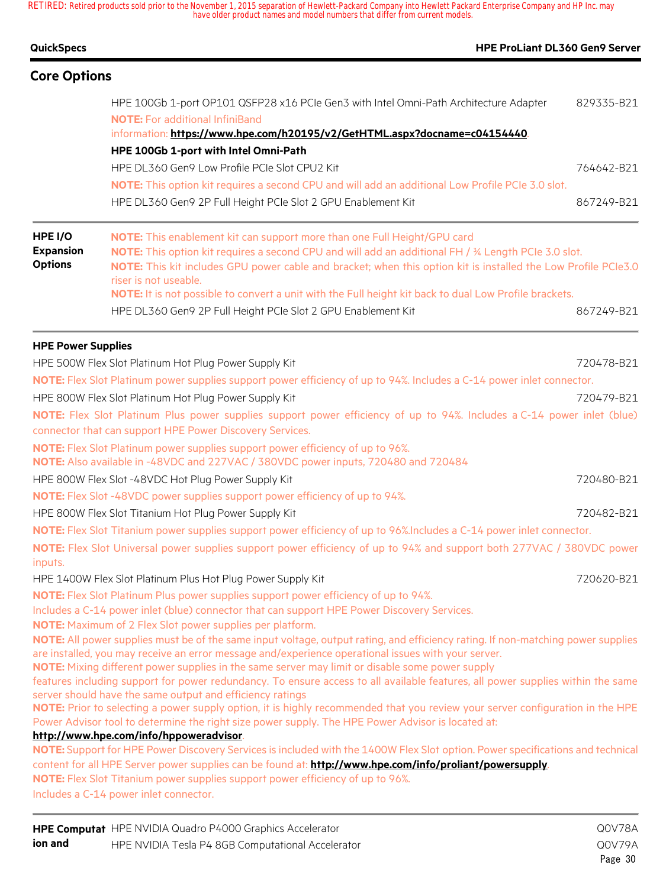| <b>QuickSpecs</b>                             | <b>HPE ProLiant DL360 Gen9 Server</b>                                                                                                                                                                                                                                                                                                                                                                                                                                                                                                                                                                                                                                                                                                                                                                                                                                                                                                                                                                                                                                                                     |                                                      |
|-----------------------------------------------|-----------------------------------------------------------------------------------------------------------------------------------------------------------------------------------------------------------------------------------------------------------------------------------------------------------------------------------------------------------------------------------------------------------------------------------------------------------------------------------------------------------------------------------------------------------------------------------------------------------------------------------------------------------------------------------------------------------------------------------------------------------------------------------------------------------------------------------------------------------------------------------------------------------------------------------------------------------------------------------------------------------------------------------------------------------------------------------------------------------|------------------------------------------------------|
| <b>Core Options</b>                           |                                                                                                                                                                                                                                                                                                                                                                                                                                                                                                                                                                                                                                                                                                                                                                                                                                                                                                                                                                                                                                                                                                           |                                                      |
|                                               | HPE 100Gb 1-port OP101 QSFP28 x16 PCIe Gen3 with Intel Omni-Path Architecture Adapter<br><b>NOTE: For additional InfiniBand</b><br>information: https://www.hpe.com/h20195/v2/GetHTML.aspx?docname=c04154440<br>HPE 100Gb 1-port with Intel Omni-Path<br>HPE DL360 Gen9 Low Profile PCIe Slot CPU2 Kit<br>NOTE: This option kit requires a second CPU and will add an additional Low Profile PCIe 3.0 slot.                                                                                                                                                                                                                                                                                                                                                                                                                                                                                                                                                                                                                                                                                               | 829335-B21<br>764642-B21                             |
|                                               | HPE DL360 Gen9 2P Full Height PCIe Slot 2 GPU Enablement Kit                                                                                                                                                                                                                                                                                                                                                                                                                                                                                                                                                                                                                                                                                                                                                                                                                                                                                                                                                                                                                                              | 867249-B21                                           |
| HPE I/O<br><b>Expansion</b><br><b>Options</b> | NOTE: This enablement kit can support more than one Full Height/GPU card<br>NOTE: This option kit requires a second CPU and will add an additional FH / 3/4 Length PCIe 3.0 slot.<br>NOTE: This kit includes GPU power cable and bracket; when this option kit is installed the Low Profile PCIe3.0<br>riser is not useable.<br>NOTE: It is not possible to convert a unit with the Full height kit back to dual Low Profile brackets.                                                                                                                                                                                                                                                                                                                                                                                                                                                                                                                                                                                                                                                                    |                                                      |
|                                               | HPE DL360 Gen9 2P Full Height PCIe Slot 2 GPU Enablement Kit                                                                                                                                                                                                                                                                                                                                                                                                                                                                                                                                                                                                                                                                                                                                                                                                                                                                                                                                                                                                                                              | 867249-B21                                           |
| <b>HPE Power Supplies</b>                     | HPE 500W Flex Slot Platinum Hot Plug Power Supply Kit<br><b>NOTE:</b> Flex Slot Platinum power supplies support power efficiency of up to 94%. Includes a C-14 power inlet connector.<br>HPE 800W Flex Slot Platinum Hot Plug Power Supply Kit<br>NOTE: Flex Slot Platinum Plus power supplies support power efficiency of up to 94%. Includes a C-14 power inlet (blue)<br>connector that can support HPE Power Discovery Services.<br><b>NOTE:</b> Flex Slot Platinum power supplies support power efficiency of up to 96%.<br>NOTE: Also available in -48VDC and 227VAC / 380VDC power inputs, 720480 and 720484<br>HPE 800W Flex Slot -48VDC Hot Plug Power Supply Kit<br><b>NOTE:</b> Flex Slot -48VDC power supplies support power efficiency of up to 94%.<br>HPE 800W Flex Slot Titanium Hot Plug Power Supply Kit                                                                                                                                                                                                                                                                                | 720478-B21<br>720479-B21<br>720480-B21<br>720482-B21 |
|                                               | NOTE: Flex Slot Titanium power supplies support power efficiency of up to 96%. Includes a C-14 power inlet connector.<br>NOTE: Flex Slot Universal power supplies support power efficiency of up to 94% and support both 277VAC / 380VDC power                                                                                                                                                                                                                                                                                                                                                                                                                                                                                                                                                                                                                                                                                                                                                                                                                                                            |                                                      |
| inputs.                                       | HPE 1400W Flex Slot Platinum Plus Hot Plug Power Supply Kit<br>NOTE: Flex Slot Platinum Plus power supplies support power efficiency of up to 94%.<br>Includes a C-14 power inlet (blue) connector that can support HPE Power Discovery Services.<br><b>NOTE:</b> Maximum of 2 Flex Slot power supplies per platform.<br>NOTE: All power supplies must be of the same input voltage, output rating, and efficiency rating. If non-matching power supplies<br>are installed, you may receive an error message and/experience operational issues with your server.<br>NOTE: Mixing different power supplies in the same server may limit or disable some power supply<br>features including support for power redundancy. To ensure access to all available features, all power supplies within the same<br>server should have the same output and efficiency ratings<br>NOTE: Prior to selecting a power supply option, it is highly recommended that you review your server configuration in the HPE<br>Power Advisor tool to determine the right size power supply. The HPE Power Advisor is located at: | 720620-B21                                           |
|                                               | http://www.hpe.com/info/hppoweradvisor.<br>NOTE: Support for HPE Power Discovery Services is included with the 1400W Flex Slot option. Power specifications and technical<br>content for all HPE Server power supplies can be found at: http://www.hpe.com/info/proliant/powersupply.<br><b>NOTE:</b> Flex Slot Titanium power supplies support power efficiency of up to 96%.<br>Includes a C-14 power inlet connector.                                                                                                                                                                                                                                                                                                                                                                                                                                                                                                                                                                                                                                                                                  |                                                      |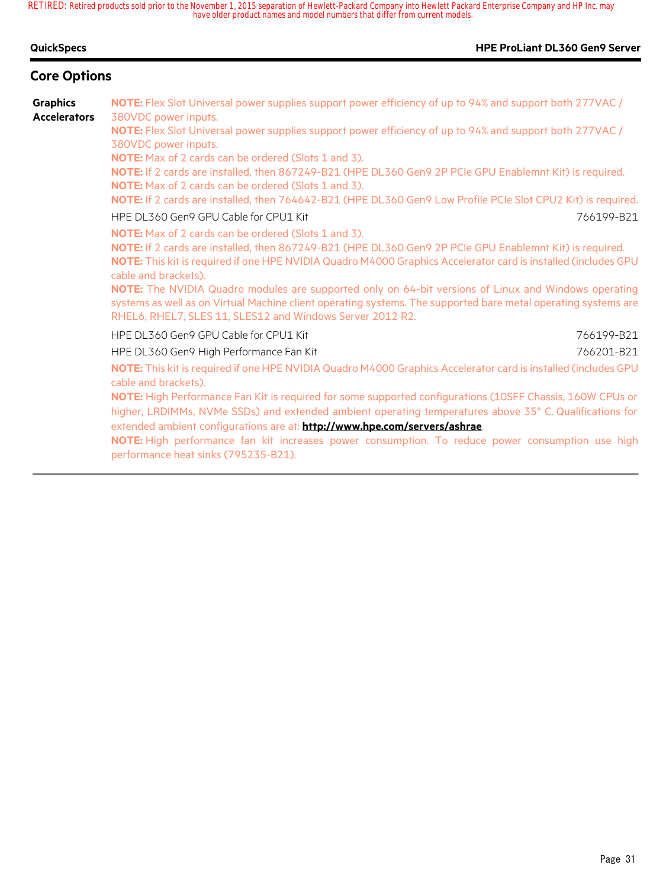|  | <b>QuickSpecs</b> |
|--|-------------------|
|  |                   |
|  |                   |

#### **HPE ProLiant DL360 Gen9 Server**

### **Core Options**

**Graphics Accelerators NOTE:** Flex Slot Universal power supplies support power efficiency of up to 94% and support both 277VAC / 380VDC power inputs. **NOTE:** Flex Slot Universal power supplies support power efficiency of up to 94% and support both 277VAC / 380VDC power inputs. **NOTE:** Max of 2 cards can be ordered (Slots 1 and 3). **NOTE:** If 2 cards are installed, then 867249-B21 (HPE DL360 Gen9 2P PCIe GPU Enablemnt Kit) is required. **NOTE:** Max of 2 cards can be ordered (Slots 1 and 3). **NOTE:** If 2 cards are installed, then 764642-B21 (HPE DL360 Gen9 Low Profile PCIe Slot CPU2 Kit) is required. HPE DL360 Gen9 GPU Cable for CPU1 Kit 766199-B21 **NOTE:** Max of 2 cards can be ordered (Slots 1 and 3). **NOTE:** If 2 cards are installed, then 867249-B21 (HPE DL360 Gen9 2P PCIe GPU Enablemnt Kit) is required. **NOTE:** This kit is required if one HPE NVIDIA Quadro M4000 Graphics Accelerator card is installed (includes GPU cable and brackets). **NOTE:** The NVIDIA Quadro modules are supported only on 64-bit versions of Linux and Windows operating systems as well as on Virtual Machine client operating systems. The supported bare metal operating systems are RHEL6, RHEL7, SLES 11, SLES12 and Windows Server 2012 R2. HPE DL360 Gen9 GPU Cable for CPU1 Kit 766199-B21 HPE DL360 Gen9 High Performance Fan Kit 766201-B21 **NOTE:** This kit is required if one HPE NVIDIA Quadro M4000 Graphics Accelerator card is installed (includes GPU cable and brackets). **NOTE:** High Performance Fan Kit is required for some supported configurations (10SFF Chassis, 160W CPUs or higher, LRDIMMs, NVMe SSDs) and extended ambient operating temperatures above 35° C. Qualifications for extended ambient configurations are at: **http://www.hpe.com/servers/ashrae**.

**NOTE:** High performance fan kit increases power consumption. To reduce power consumption use high performance heat sinks (795235-B21).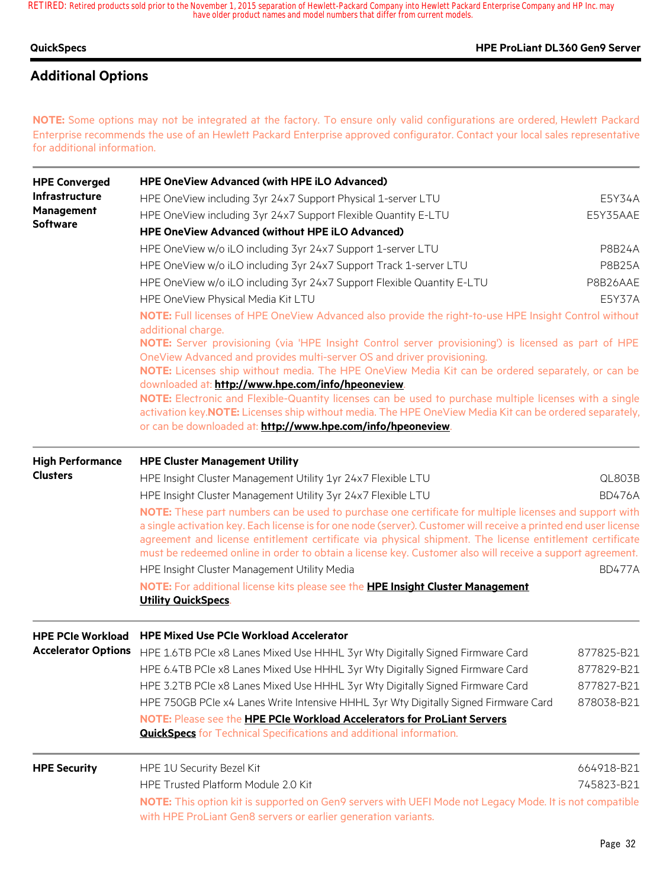### **QuickSpecs HPE ProLiant DL360 Gen9 Server**

# **Additional Options**

**NOTE:** Some options may not be integrated at the factory. To ensure only valid configurations are ordered, Hewlett Packard Enterprise recommends the use of an Hewlett Packard Enterprise approved configurator. Contact your local sales representative for additional information.

| <b>HPE Converged</b>       | HPE OneView Advanced (with HPE iLO Advanced)                                                                                                                                                                                                                                                                                                                                                                                                         |               |  |  |
|----------------------------|------------------------------------------------------------------------------------------------------------------------------------------------------------------------------------------------------------------------------------------------------------------------------------------------------------------------------------------------------------------------------------------------------------------------------------------------------|---------------|--|--|
| Infrastructure             | HPE OneView including 3yr 24x7 Support Physical 1-server LTU                                                                                                                                                                                                                                                                                                                                                                                         | E5Y34A        |  |  |
| Management                 | HPE OneView including 3yr 24x7 Support Flexible Quantity E-LTU                                                                                                                                                                                                                                                                                                                                                                                       | E5Y35AAE      |  |  |
| <b>Software</b>            | HPE OneView Advanced (without HPE iLO Advanced)                                                                                                                                                                                                                                                                                                                                                                                                      |               |  |  |
|                            | HPE OneView w/o iLO including 3yr 24x7 Support 1-server LTU                                                                                                                                                                                                                                                                                                                                                                                          | <b>P8B24A</b> |  |  |
|                            | HPE OneView w/o iLO including 3yr 24x7 Support Track 1-server LTU                                                                                                                                                                                                                                                                                                                                                                                    | <b>P8B25A</b> |  |  |
|                            | HPE OneView w/o iLO including 3yr 24x7 Support Flexible Quantity E-LTU                                                                                                                                                                                                                                                                                                                                                                               | P8B26AAE      |  |  |
|                            | HPE OneView Physical Media Kit LTU                                                                                                                                                                                                                                                                                                                                                                                                                   | <b>E5Y37A</b> |  |  |
|                            | NOTE: Full licenses of HPE OneView Advanced also provide the right-to-use HPE Insight Control without<br>additional charge.                                                                                                                                                                                                                                                                                                                          |               |  |  |
|                            | NOTE: Server provisioning (via 'HPE Insight Control server provisioning') is licensed as part of HPE                                                                                                                                                                                                                                                                                                                                                 |               |  |  |
|                            | OneView Advanced and provides multi-server OS and driver provisioning.                                                                                                                                                                                                                                                                                                                                                                               |               |  |  |
|                            | NOTE: Licenses ship without media. The HPE OneView Media Kit can be ordered separately, or can be                                                                                                                                                                                                                                                                                                                                                    |               |  |  |
|                            | downloaded at: http://www.hpe.com/info/hpeoneview.<br>NOTE: Electronic and Flexible-Quantity licenses can be used to purchase multiple licenses with a single                                                                                                                                                                                                                                                                                        |               |  |  |
|                            | activation key. NOTE: Licenses ship without media. The HPE OneView Media Kit can be ordered separately,                                                                                                                                                                                                                                                                                                                                              |               |  |  |
|                            | or can be downloaded at: http://www.hpe.com/info/hpeoneview.                                                                                                                                                                                                                                                                                                                                                                                         |               |  |  |
| <b>High Performance</b>    | <b>HPE Cluster Management Utility</b>                                                                                                                                                                                                                                                                                                                                                                                                                |               |  |  |
| <b>Clusters</b>            | HPE Insight Cluster Management Utility 1yr 24x7 Flexible LTU                                                                                                                                                                                                                                                                                                                                                                                         | QL803B        |  |  |
|                            | HPE Insight Cluster Management Utility 3yr 24x7 Flexible LTU                                                                                                                                                                                                                                                                                                                                                                                         | <b>BD476A</b> |  |  |
|                            | NOTE: These part numbers can be used to purchase one certificate for multiple licenses and support with<br>a single activation key. Each license is for one node (server). Customer will receive a printed end user license<br>agreement and license entitlement certificate via physical shipment. The license entitlement certificate<br>must be redeemed online in order to obtain a license key. Customer also will receive a support agreement. |               |  |  |
|                            | HPE Insight Cluster Management Utility Media                                                                                                                                                                                                                                                                                                                                                                                                         | <b>BD477A</b> |  |  |
|                            | NOTE: For additional license kits please see the HPE Insight Cluster Management                                                                                                                                                                                                                                                                                                                                                                      |               |  |  |
|                            | <b>Utility QuickSpecs.</b>                                                                                                                                                                                                                                                                                                                                                                                                                           |               |  |  |
| <b>HPE PCIe Workload</b>   | <b>HPE Mixed Use PCIe Workload Accelerator</b>                                                                                                                                                                                                                                                                                                                                                                                                       |               |  |  |
| <b>Accelerator Options</b> | HPE 1.6TB PCIe x8 Lanes Mixed Use HHHL 3yr Wty Digitally Signed Firmware Card                                                                                                                                                                                                                                                                                                                                                                        | 877825-B21    |  |  |
|                            | HPE 6.4TB PCIe x8 Lanes Mixed Use HHHL 3yr Wty Digitally Signed Firmware Card                                                                                                                                                                                                                                                                                                                                                                        | 877829-B21    |  |  |
|                            | HPE 3.2TB PCIe x8 Lanes Mixed Use HHHL 3yr Wty Digitally Signed Firmware Card                                                                                                                                                                                                                                                                                                                                                                        | 877827-B21    |  |  |
|                            | HPE 750GB PCIe x4 Lanes Write Intensive HHHL 3yr Wty Digitally Signed Firmware Card                                                                                                                                                                                                                                                                                                                                                                  | 878038-B21    |  |  |
|                            | NOTE: Please see the HPE PCIe Workload Accelerators for ProLiant Servers                                                                                                                                                                                                                                                                                                                                                                             |               |  |  |
|                            | <b>QuickSpecs</b> for Technical Specifications and additional information.                                                                                                                                                                                                                                                                                                                                                                           |               |  |  |
| <b>HPE Security</b>        | HPE 1U Security Bezel Kit                                                                                                                                                                                                                                                                                                                                                                                                                            | 664918-B21    |  |  |
|                            | HPE Trusted Platform Module 2.0 Kit                                                                                                                                                                                                                                                                                                                                                                                                                  | 745823-B21    |  |  |
|                            | NOTE: This option kit is supported on Gen9 servers with UEFI Mode not Legacy Mode. It is not compatible<br>with HPE ProLiant Gen8 servers or earlier generation variants.                                                                                                                                                                                                                                                                            |               |  |  |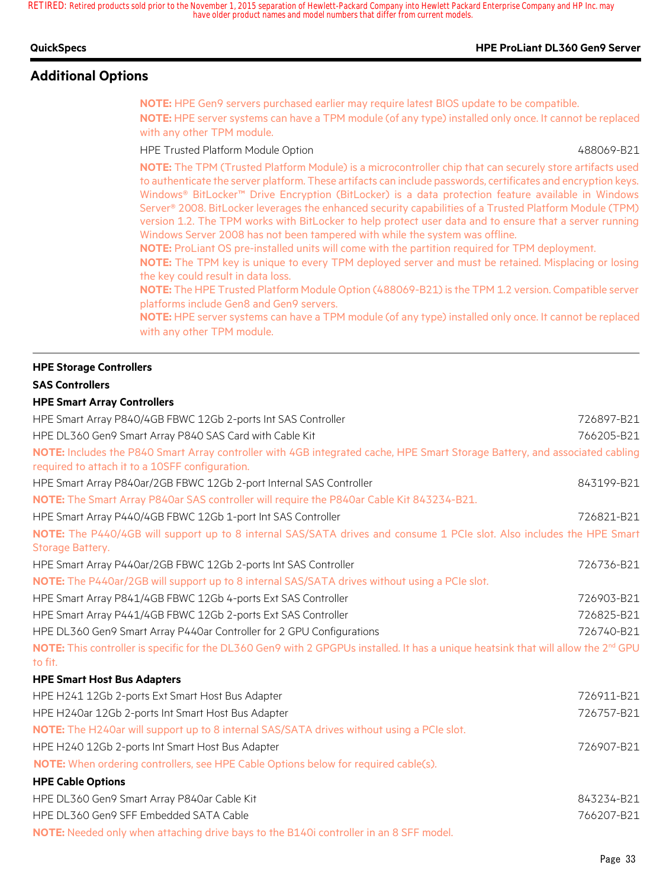#### **QuickSpecs HPE ProLiant DL360 Gen9 Server**

# **Additional Options**

**NOTE:** HPE Gen9 servers purchased earlier may require latest BIOS update to be compatible. **NOTE:** HPE server systems can have a TPM module (of any type) installed only once. It cannot be replaced with any other TPM module.

#### HPE Trusted Platform Module Option 488069-B21

**NOTE:** The TPM (Trusted Platform Module) is a microcontroller chip that can securely store artifacts used to authenticate the server platform. These artifacts can include passwords, certificates and encryption keys. Windows® BitLocker™ Drive Encryption (BitLocker) is a data protection feature available in Windows Server® 2008. BitLocker leverages the enhanced security capabilities of a Trusted Platform Module (TPM) version 1.2. The TPM works with BitLocker to help protect user data and to ensure that a server running Windows Server 2008 has not been tampered with while the system was offline.

**NOTE:** ProLiant OS pre-installed units will come with the partition required for TPM deployment.

**NOTE:** The TPM key is unique to every TPM deployed server and must be retained. Misplacing or losing the key could result in data loss.

**NOTE:** The HPE Trusted Platform Module Option (488069-B21) is the TPM 1.2 version. Compatible server platforms include Gen8 and Gen9 servers.

**NOTE:** HPE server systems can have a TPM module (of any type) installed only once. It cannot be replaced with any other TPM module.

#### **HPE Storage Controllers**

### **SAS Controllers**

#### **HPE Smart Array Controllers**

| HPE Smart Array P840/4GB FBWC 12Gb 2-ports Int SAS Controller                                                                                                    | 726897-B21 |
|------------------------------------------------------------------------------------------------------------------------------------------------------------------|------------|
| HPE DL360 Gen9 Smart Array P840 SAS Card with Cable Kit                                                                                                          | 766205-B21 |
| NOTE: Includes the P840 Smart Array controller with 4GB integrated cache, HPE Smart Storage Battery, and associated cabling                                      |            |
| required to attach it to a 10SFF configuration.                                                                                                                  |            |
| HPE Smart Array P840ar/2GB FBWC 12Gb 2-port Internal SAS Controller                                                                                              | 843199-B21 |
| NOTE: The Smart Array P840ar SAS controller will require the P840ar Cable Kit 843234-B21.                                                                        |            |
| HPE Smart Array P440/4GB FBWC 12Gb 1-port Int SAS Controller                                                                                                     | 726821-B21 |
| NOTE: The P440/4GB will support up to 8 internal SAS/SATA drives and consume 1 PCIe slot. Also includes the HPE Smart                                            |            |
| Storage Battery.                                                                                                                                                 |            |
| HPE Smart Array P440ar/2GB FBWC 12Gb 2-ports Int SAS Controller                                                                                                  | 726736-B21 |
| <b>NOTE:</b> The P440ar/2GB will support up to 8 internal SAS/SATA drives without using a PCIe slot.                                                             |            |
| HPE Smart Array P841/4GB FBWC 12Gb 4-ports Ext SAS Controller                                                                                                    | 726903-B21 |
| HPE Smart Array P441/4GB FBWC 12Gb 2-ports Ext SAS Controller                                                                                                    | 726825-B21 |
| HPE DL360 Gen9 Smart Array P440ar Controller for 2 GPU Configurations                                                                                            | 726740-B21 |
| <b>NOTE:</b> This controller is specific for the DL360 Gen9 with 2 GPGPUs installed. It has a unique heatsink that will allow the 2 <sup>nd</sup> GPU<br>to fit. |            |
| <b>HPE Smart Host Bus Adapters</b>                                                                                                                               |            |
| HPE H241 12Gb 2-ports Ext Smart Host Bus Adapter                                                                                                                 | 726911-B21 |
| HPE H240ar 12Gb 2-ports Int Smart Host Bus Adapter                                                                                                               | 726757-B21 |
| <b>NOTE:</b> The H240ar will support up to 8 internal SAS/SATA drives without using a PCIe slot.                                                                 |            |
| HPE H240 12Gb 2-ports Int Smart Host Bus Adapter                                                                                                                 | 726907-B21 |
| NOTE: When ordering controllers, see HPE Cable Options below for required cable(s).                                                                              |            |
| <b>HPE Cable Options</b>                                                                                                                                         |            |
| HPE DL360 Gen9 Smart Array P840ar Cable Kit                                                                                                                      | 843234-B21 |
| HPE DL360 Gen9 SFF Embedded SATA Cable                                                                                                                           | 766207-B21 |
| <b>NOTE:</b> Needed only when attaching drive bays to the B140i controller in an 8 SFF model.                                                                    |            |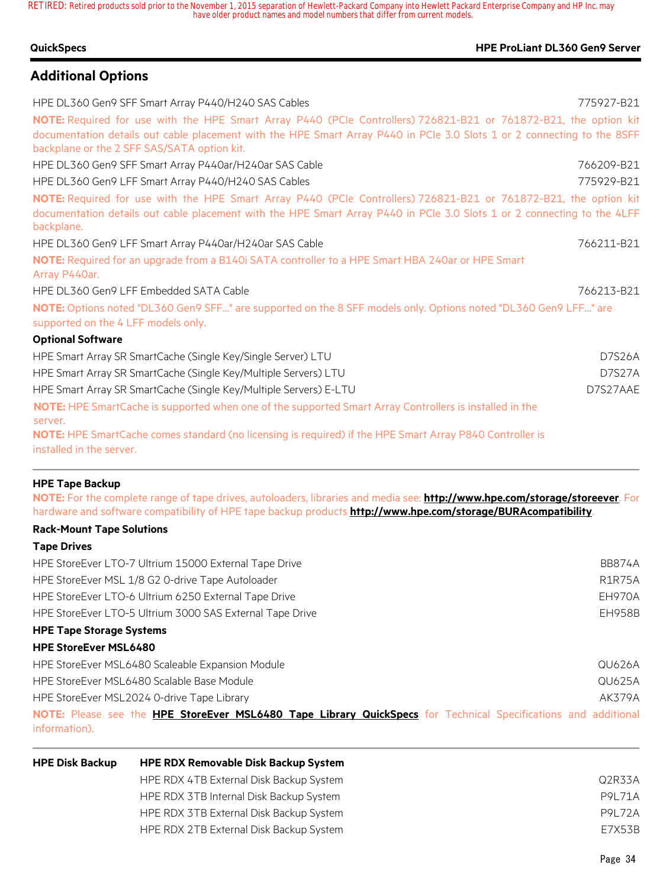**QuickSpecs HPE ProLiant DL360 Gen9 Server**

| <b>Additional Options</b>                                                                                                                                                                                                                                 |               |
|-----------------------------------------------------------------------------------------------------------------------------------------------------------------------------------------------------------------------------------------------------------|---------------|
| HPE DL360 Gen9 SFF Smart Array P440/H240 SAS Cables                                                                                                                                                                                                       | 775927-B21    |
| NOTE: Required for use with the HPE Smart Array P440 (PCIe Controllers) 726821-B21 or 761872-B21, the option kit                                                                                                                                          |               |
| documentation details out cable placement with the HPE Smart Array P440 in PCIe 3.0 Slots 1 or 2 connecting to the 8SFF<br>backplane or the 2 SFF SAS/SATA option kit.                                                                                    |               |
| HPE DL360 Gen9 SFF Smart Array P440ar/H240ar SAS Cable                                                                                                                                                                                                    | 766209-B21    |
| HPE DL360 Gen9 LFF Smart Array P440/H240 SAS Cables                                                                                                                                                                                                       | 775929-B21    |
| NOTE: Required for use with the HPE Smart Array P440 (PCle Controllers) 726821-B21 or 761872-B21, the option kit<br>documentation details out cable placement with the HPE Smart Array P440 in PCIe 3.0 Slots 1 or 2 connecting to the 4LFF<br>backplane. |               |
| HPE DL360 Gen9 LFF Smart Array P440ar/H240ar SAS Cable                                                                                                                                                                                                    | 766211-B21    |
| NOTE: Required for an upgrade from a B140i SATA controller to a HPE Smart HBA 240ar or HPE Smart<br>Array P440ar.                                                                                                                                         |               |
| HPE DL360 Gen9 LFF Embedded SATA Cable                                                                                                                                                                                                                    | 766213-B21    |
| NOTE: Options noted "DL360 Gen9 SFF" are supported on the 8 SFF models only. Options noted "DL360 Gen9 LFF" are<br>supported on the 4 LFF models only.                                                                                                    |               |
| <b>Optional Software</b>                                                                                                                                                                                                                                  |               |
| HPE Smart Array SR SmartCache (Single Key/Single Server) LTU                                                                                                                                                                                              | <b>D7S26A</b> |
| HPE Smart Array SR SmartCache (Single Key/Multiple Servers) LTU                                                                                                                                                                                           | <b>D7S27A</b> |
| HPE Smart Array SR SmartCache (Single Key/Multiple Servers) E-LTU                                                                                                                                                                                         | D7S27AAE      |
| NOTE: HPE SmartCache is supported when one of the supported Smart Array Controllers is installed in the                                                                                                                                                   |               |
| server.                                                                                                                                                                                                                                                   |               |
| NOTE: HPE SmartCache comes standard (no licensing is required) if the HPE Smart Array P840 Controller is                                                                                                                                                  |               |
| installed in the server.                                                                                                                                                                                                                                  |               |

**NOTE:** For the complete range of tape drives, autoloaders, libraries and media see: **http://www.hpe.com/storage/storeever**. For hardware and software compatibility of HPE tape backup products **http://www.hpe.com/storage/BURAcompatibility**.

### **Rack-Mount Tape Solutions**

### **Tape Drives**

| HPE StoreEver LTO-7 Ultrium 15000 External Tape Drive                                                                                  | <b>BB874A</b> |
|----------------------------------------------------------------------------------------------------------------------------------------|---------------|
| HPE StoreEver MSL 1/8 G2 0-drive Tape Autoloader                                                                                       | <b>R1R75A</b> |
| HPE StoreEver LTO-6 Ultrium 6250 External Tape Drive                                                                                   | <b>EH970A</b> |
| HPE StoreEver LTO-5 Ultrium 3000 SAS External Tape Drive                                                                               | <b>EH958B</b> |
| <b>HPE Tape Storage Systems</b>                                                                                                        |               |
| <b>HPE StoreEver MSL6480</b>                                                                                                           |               |
| HPE StoreEver MSL6480 Scaleable Expansion Module                                                                                       | QU626A        |
| HPE StoreEver MSL6480 Scalable Base Module                                                                                             | QU625A        |
| HPE StoreEver MSL2024 0-drive Tape Library                                                                                             | AK379A        |
| NOTE: Please see the <b>HPE StoreEver MSL6480 Tape Library QuickSpecs</b> for Technical Specifications and additional<br>information). |               |

| <b>HPE Disk Backup</b> | <b>HPE RDX Removable Disk Backup System</b> |               |
|------------------------|---------------------------------------------|---------------|
|                        | HPE RDX 4TB External Disk Backup System     | Q2R33A        |
|                        | HPE RDX 3TB Internal Disk Backup System     | <b>P9L71A</b> |
|                        | HPE RDX 3TB External Disk Backup System     | <b>P9L72A</b> |
|                        | HPE RDX 2TB External Disk Backup System     | E7X53B        |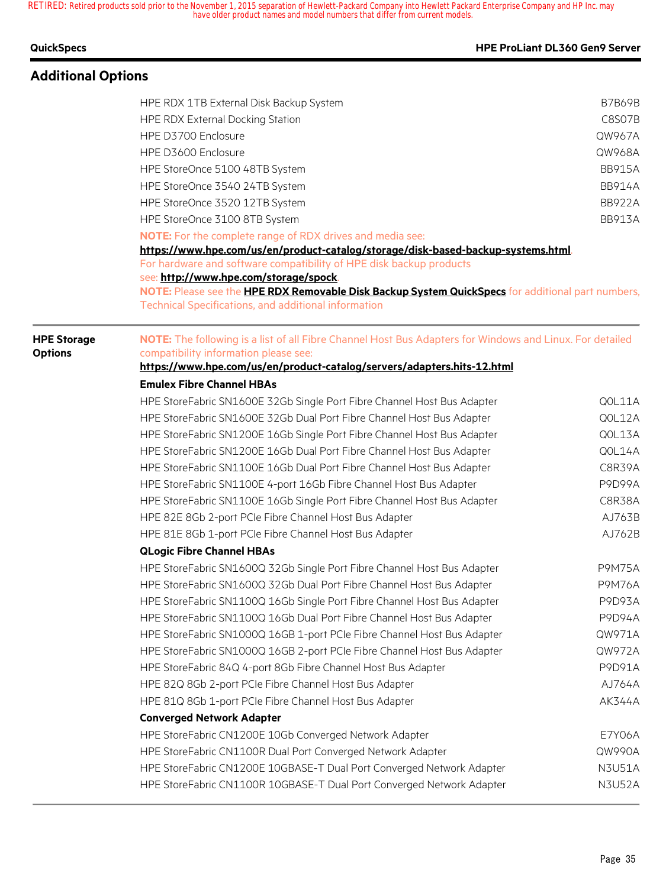|  |  | QuickSpecs |
|--|--|------------|
|--|--|------------|

#### **QuickSpecs HPE ProLiant DL360 Gen9 Server**

| <b>Additional Options</b> |                                                                                                                                             |               |  |  |  |  |  |  |
|---------------------------|---------------------------------------------------------------------------------------------------------------------------------------------|---------------|--|--|--|--|--|--|
|                           | HPE RDX 1TB External Disk Backup System                                                                                                     | <b>B7B69B</b> |  |  |  |  |  |  |
|                           | <b>HPE RDX External Docking Station</b>                                                                                                     | C8S07B        |  |  |  |  |  |  |
|                           | HPE D3700 Enclosure                                                                                                                         | QW967A        |  |  |  |  |  |  |
|                           | HPE D3600 Enclosure                                                                                                                         | QW968A        |  |  |  |  |  |  |
|                           | HPE StoreOnce 5100 48TB System                                                                                                              | <b>BB915A</b> |  |  |  |  |  |  |
|                           | HPE StoreOnce 3540 24TB System                                                                                                              | <b>BB914A</b> |  |  |  |  |  |  |
|                           | HPE StoreOnce 3520 12TB System                                                                                                              | <b>BB922A</b> |  |  |  |  |  |  |
|                           | HPE StoreOnce 3100 8TB System                                                                                                               | <b>BB913A</b> |  |  |  |  |  |  |
|                           | <b>NOTE:</b> For the complete range of RDX drives and media see:                                                                            |               |  |  |  |  |  |  |
|                           | https://www.hpe.com/us/en/product-catalog/storage/disk-based-backup-systems.html                                                            |               |  |  |  |  |  |  |
|                           | For hardware and software compatibility of HPE disk backup products                                                                         |               |  |  |  |  |  |  |
|                           | see: http://www.hpe.com/storage/spock.<br>NOTE: Please see the HPE RDX Removable Disk Backup System QuickSpecs for additional part numbers, |               |  |  |  |  |  |  |
|                           | Technical Specifications, and additional information                                                                                        |               |  |  |  |  |  |  |
| <b>HPE Storage</b>        | NOTE: The following is a list of all Fibre Channel Host Bus Adapters for Windows and Linux. For detailed                                    |               |  |  |  |  |  |  |
| <b>Options</b>            | compatibility information please see:                                                                                                       |               |  |  |  |  |  |  |
|                           | https://www.hpe.com/us/en/product-catalog/servers/adapters.hits-12.html                                                                     |               |  |  |  |  |  |  |
|                           | <b>Emulex Fibre Channel HBAs</b>                                                                                                            |               |  |  |  |  |  |  |
|                           | HPE StoreFabric SN1600E 32Gb Single Port Fibre Channel Host Bus Adapter                                                                     | QOL11A        |  |  |  |  |  |  |
|                           | HPE StoreFabric SN1600E 32Gb Dual Port Fibre Channel Host Bus Adapter                                                                       | QOL12A        |  |  |  |  |  |  |
|                           | HPE StoreFabric SN1200E 16Gb Single Port Fibre Channel Host Bus Adapter                                                                     | QOL13A        |  |  |  |  |  |  |
|                           | HPE StoreFabric SN1200E 16Gb Dual Port Fibre Channel Host Bus Adapter                                                                       | QOL14A        |  |  |  |  |  |  |
|                           | HPE StoreFabric SN1100E 16Gb Dual Port Fibre Channel Host Bus Adapter                                                                       | C8R39A        |  |  |  |  |  |  |
|                           | HPE StoreFabric SN1100E 4-port 16Gb Fibre Channel Host Bus Adapter                                                                          | P9D99A        |  |  |  |  |  |  |
|                           | HPE StoreFabric SN1100E 16Gb Single Port Fibre Channel Host Bus Adapter                                                                     | C8R38A        |  |  |  |  |  |  |
|                           | HPE 82E 8Gb 2-port PCIe Fibre Channel Host Bus Adapter                                                                                      | AJ763B        |  |  |  |  |  |  |
|                           | HPE 81E 8Gb 1-port PCIe Fibre Channel Host Bus Adapter                                                                                      | AJ762B        |  |  |  |  |  |  |
|                           | <b>QLogic Fibre Channel HBAs</b>                                                                                                            |               |  |  |  |  |  |  |
|                           | HPE StoreFabric SN1600Q 32Gb Single Port Fibre Channel Host Bus Adapter                                                                     | <b>P9M75A</b> |  |  |  |  |  |  |
|                           | HPE StoreFabric SN1600Q 32Gb Dual Port Fibre Channel Host Bus Adapter                                                                       | <b>P9M76A</b> |  |  |  |  |  |  |
|                           | HPE StoreFabric SN1100Q 16Gb Single Port Fibre Channel Host Bus Adapter                                                                     | <b>P9D93A</b> |  |  |  |  |  |  |
|                           | HPE StoreFabric SN1100Q 16Gb Dual Port Fibre Channel Host Bus Adapter                                                                       | <b>P9D94A</b> |  |  |  |  |  |  |
|                           | HPE StoreFabric SN1000Q 16GB 1-port PCIe Fibre Channel Host Bus Adapter                                                                     | QW971A        |  |  |  |  |  |  |
|                           | HPE StoreFabric SN1000Q 16GB 2-port PCIe Fibre Channel Host Bus Adapter                                                                     | QW972A        |  |  |  |  |  |  |
|                           | HPE StoreFabric 84Q 4-port 8Gb Fibre Channel Host Bus Adapter                                                                               | P9D91A        |  |  |  |  |  |  |
|                           | HPE 82Q 8Gb 2-port PCIe Fibre Channel Host Bus Adapter                                                                                      | AJ764A        |  |  |  |  |  |  |
|                           | HPE 81Q 8Gb 1-port PCIe Fibre Channel Host Bus Adapter                                                                                      | AK344A        |  |  |  |  |  |  |
|                           | <b>Converged Network Adapter</b>                                                                                                            |               |  |  |  |  |  |  |
|                           | HPE StoreFabric CN1200E 10Gb Converged Network Adapter                                                                                      | E7Y06A        |  |  |  |  |  |  |
|                           | HPE StoreFabric CN1100R Dual Port Converged Network Adapter                                                                                 | QW990A        |  |  |  |  |  |  |
|                           | HPE StoreFabric CN1200E 10GBASE-T Dual Port Converged Network Adapter                                                                       | <b>N3U51A</b> |  |  |  |  |  |  |
|                           | HPE StoreFabric CN1100R 10GBASE-T Dual Port Converged Network Adapter                                                                       | <b>N3U52A</b> |  |  |  |  |  |  |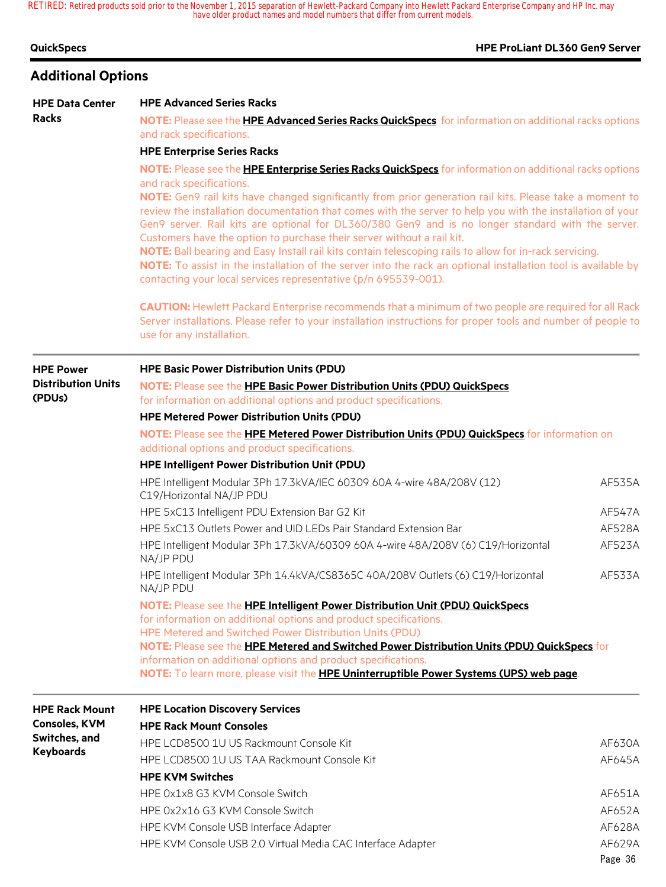|  | QuickSpecs |
|--|------------|
|--|------------|

# **Additional Options**

| <b>HPE Data Center</b>    | <b>HPE Advanced Series Racks</b>                                                                                                                                                                                       |               |  |  |  |  |  |  |
|---------------------------|------------------------------------------------------------------------------------------------------------------------------------------------------------------------------------------------------------------------|---------------|--|--|--|--|--|--|
| <b>Racks</b>              | NOTE: Please see the <b>HPE Advanced Series Racks QuickSpecs</b> for information on additional racks options                                                                                                           |               |  |  |  |  |  |  |
|                           | and rack specifications.                                                                                                                                                                                               |               |  |  |  |  |  |  |
|                           | <b>HPE Enterprise Series Racks</b>                                                                                                                                                                                     |               |  |  |  |  |  |  |
|                           | NOTE: Please see the HPE Enterprise Series Racks QuickSpecs for information on additional racks options                                                                                                                |               |  |  |  |  |  |  |
|                           | and rack specifications.                                                                                                                                                                                               |               |  |  |  |  |  |  |
|                           | NOTE: Gen9 rail kits have changed significantly from prior generation rail kits. Please take a moment to<br>review the installation documentation that comes with the server to help you with the installation of your |               |  |  |  |  |  |  |
|                           | Gen9 server. Rail kits are optional for DL360/380 Gen9 and is no longer standard with the server.                                                                                                                      |               |  |  |  |  |  |  |
|                           | Customers have the option to purchase their server without a rail kit.                                                                                                                                                 |               |  |  |  |  |  |  |
|                           | NOTE: Ball bearing and Easy Install rail kits contain telescoping rails to allow for in-rack servicing.                                                                                                                |               |  |  |  |  |  |  |
|                           | NOTE: To assist in the installation of the server into the rack an optional installation tool is available by                                                                                                          |               |  |  |  |  |  |  |
|                           | contacting your local services representative (p/n 695539-001).                                                                                                                                                        |               |  |  |  |  |  |  |
|                           | <b>CAUTION:</b> Hewlett Packard Enterprise recommends that a minimum of two people are required for all Rack                                                                                                           |               |  |  |  |  |  |  |
|                           | Server installations. Please refer to your installation instructions for proper tools and number of people to                                                                                                          |               |  |  |  |  |  |  |
|                           | use for any installation.                                                                                                                                                                                              |               |  |  |  |  |  |  |
| <b>HPE Power</b>          | <b>HPE Basic Power Distribution Units (PDU)</b>                                                                                                                                                                        |               |  |  |  |  |  |  |
| <b>Distribution Units</b> | NOTE: Please see the HPE Basic Power Distribution Units (PDU) QuickSpecs                                                                                                                                               |               |  |  |  |  |  |  |
| (PDUs)                    | for information on additional options and product specifications.                                                                                                                                                      |               |  |  |  |  |  |  |
|                           | <b>HPE Metered Power Distribution Units (PDU)</b>                                                                                                                                                                      |               |  |  |  |  |  |  |
|                           | NOTE: Please see the HPE Metered Power Distribution Units (PDU) QuickSpecs for information on                                                                                                                          |               |  |  |  |  |  |  |
|                           | additional options and product specifications.                                                                                                                                                                         |               |  |  |  |  |  |  |
|                           | HPE Intelligent Power Distribution Unit (PDU)                                                                                                                                                                          |               |  |  |  |  |  |  |
|                           | HPE Intelligent Modular 3Ph 17.3kVA/IEC 60309 60A 4-wire 48A/208V (12)<br>C19/Horizontal NA/JP PDU                                                                                                                     |               |  |  |  |  |  |  |
|                           | HPE 5xC13 Intelligent PDU Extension Bar G2 Kit                                                                                                                                                                         | AF547A        |  |  |  |  |  |  |
|                           | HPE 5xC13 Outlets Power and UID LEDs Pair Standard Extension Bar                                                                                                                                                       | AF528A        |  |  |  |  |  |  |
|                           | HPE Intelligent Modular 3Ph 17.3kVA/60309 60A 4-wire 48A/208V (6) C19/Horizontal<br>NA/JP PDU                                                                                                                          | <b>AF523A</b> |  |  |  |  |  |  |
|                           | HPE Intelligent Modular 3Ph 14.4kVA/CS8365C 40A/208V Outlets (6) C19/Horizontal<br>NA/JP PDU                                                                                                                           | AF533A        |  |  |  |  |  |  |
|                           | NOTE: Please see the HPE Intelligent Power Distribution Unit (PDU) QuickSpecs                                                                                                                                          |               |  |  |  |  |  |  |
|                           | for information on additional options and product specifications.                                                                                                                                                      |               |  |  |  |  |  |  |
|                           | HPE Metered and Switched Power Distribution Units (PDU)                                                                                                                                                                |               |  |  |  |  |  |  |
|                           | NOTE: Please see the HPE Metered and Switched Power Distribution Units (PDU) QuickSpecs for<br>information on additional options and product specifications.                                                           |               |  |  |  |  |  |  |
|                           | NOTE: To learn more, please visit the HPE Uninterruptible Power Systems (UPS) web page.                                                                                                                                |               |  |  |  |  |  |  |
| <b>HPE Rack Mount</b>     | <b>HPE Location Discovery Services</b>                                                                                                                                                                                 |               |  |  |  |  |  |  |
| <b>Consoles, KVM</b>      | <b>HPE Rack Mount Consoles</b>                                                                                                                                                                                         |               |  |  |  |  |  |  |
| Switches, and             | HPE LCD8500 1U US Rackmount Console Kit                                                                                                                                                                                | AF630A        |  |  |  |  |  |  |
| <b>Keyboards</b>          | HPE LCD8500 1U US TAA Rackmount Console Kit                                                                                                                                                                            | AF645A        |  |  |  |  |  |  |
|                           | <b>HPE KVM Switches</b>                                                                                                                                                                                                |               |  |  |  |  |  |  |
|                           | HPE 0x1x8 G3 KVM Console Switch<br>AF651A                                                                                                                                                                              |               |  |  |  |  |  |  |
|                           | HPE 0x2x16 G3 KVM Console Switch                                                                                                                                                                                       | AF652A        |  |  |  |  |  |  |
|                           | HPE KVM Console USB Interface Adapter                                                                                                                                                                                  | AF628A        |  |  |  |  |  |  |
|                           | HPE KVM Console USB 2.0 Virtual Media CAC Interface Adapter<br>AF629A                                                                                                                                                  |               |  |  |  |  |  |  |

**QuickSpecs HPE ProLiant DL360 Gen9 Server**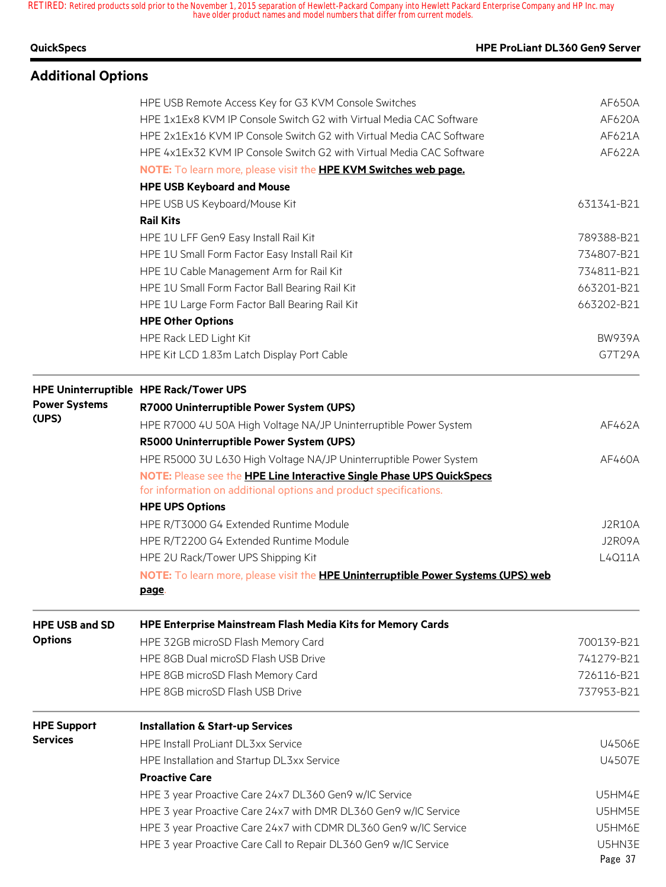| <b>QuickSpecs</b>         | <b>HPE ProLiant DL360 Gen9 Server</b>                                                             |               |
|---------------------------|---------------------------------------------------------------------------------------------------|---------------|
| <b>Additional Options</b> |                                                                                                   |               |
|                           | HPE USB Remote Access Key for G3 KVM Console Switches                                             | AF650A        |
|                           | HPE 1x1Ex8 KVM IP Console Switch G2 with Virtual Media CAC Software                               | AF620A        |
|                           | HPE 2x1Ex16 KVM IP Console Switch G2 with Virtual Media CAC Software                              | AF621A        |
|                           | HPE 4x1Ex32 KVM IP Console Switch G2 with Virtual Media CAC Software                              | AF622A        |
|                           | NOTE: To learn more, please visit the HPE KVM Switches web page.                                  |               |
|                           | <b>HPE USB Keyboard and Mouse</b>                                                                 |               |
|                           | HPE USB US Keyboard/Mouse Kit                                                                     | 631341-B21    |
|                           | <b>Rail Kits</b>                                                                                  |               |
|                           | HPE 1U LFF Gen9 Easy Install Rail Kit                                                             | 789388-B21    |
|                           | HPE 1U Small Form Factor Easy Install Rail Kit                                                    | 734807-B21    |
|                           | HPE 1U Cable Management Arm for Rail Kit                                                          | 734811-B21    |
|                           | HPE 1U Small Form Factor Ball Bearing Rail Kit                                                    | 663201-B21    |
|                           | HPE 1U Large Form Factor Ball Bearing Rail Kit                                                    | 663202-B21    |
|                           | <b>HPE Other Options</b>                                                                          |               |
|                           | HPE Rack LED Light Kit                                                                            | <b>BW939A</b> |
|                           | HPE Kit LCD 1.83m Latch Display Port Cable                                                        | G7T29A        |
|                           | HPE Uninterruptible HPE Rack/Tower UPS                                                            |               |
| <b>Power Systems</b>      | R7000 Uninterruptible Power System (UPS)                                                          |               |
| (UPS)                     | HPE R7000 4U 50A High Voltage NA/JP Uninterruptible Power System                                  | AF462A        |
|                           | R5000 Uninterruptible Power System (UPS)                                                          |               |
|                           | HPE R5000 3U L630 High Voltage NA/JP Uninterruptible Power System                                 | AF460A        |
|                           | NOTE: Please see the HPE Line Interactive Single Phase UPS QuickSpecs                             |               |
|                           | for information on additional options and product specifications.                                 |               |
|                           | <b>HPE UPS Options</b>                                                                            |               |
|                           | HPE R/T3000 G4 Extended Runtime Module                                                            | <b>J2R10A</b> |
|                           | HPE R/T2200 G4 Extended Runtime Module                                                            | J2R09A        |
|                           | HPE 2U Rack/Tower UPS Shipping Kit                                                                | L4Q11A        |
|                           | NOTE: To learn more, please visit the HPE Uninterruptible Power Systems (UPS) web<br><u>page.</u> |               |
|                           |                                                                                                   |               |
| <b>HPE USB and SD</b>     | HPE Enterprise Mainstream Flash Media Kits for Memory Cards                                       |               |
| <b>Options</b>            | HPE 32GB microSD Flash Memory Card                                                                | 700139-B21    |
|                           | HPE 8GB Dual microSD Flash USB Drive                                                              | 741279-B21    |
|                           | HPE 8GB microSD Flash Memory Card                                                                 | 726116-B21    |
|                           | HPE 8GB microSD Flash USB Drive                                                                   | 737953-B21    |
| <b>HPE Support</b>        | <b>Installation &amp; Start-up Services</b>                                                       |               |
| <b>Services</b>           | HPE Install ProLiant DL3xx Service                                                                | U4506E        |
|                           | HPE Installation and Startup DL3xx Service                                                        | U4507E        |
|                           | <b>Proactive Care</b>                                                                             |               |
|                           | HPE 3 year Proactive Care 24x7 DL360 Gen9 w/IC Service                                            | U5HM4E        |
|                           | HPE 3 year Proactive Care 24x7 with DMR DL360 Gen9 w/IC Service                                   | U5HM5E        |
|                           | HPE 3 year Proactive Care 24x7 with CDMR DL360 Gen9 w/IC Service                                  | U5HM6E        |
|                           | HPE 3 year Proactive Care Call to Repair DL360 Gen9 w/IC Service                                  | U5HN3E        |

Page 37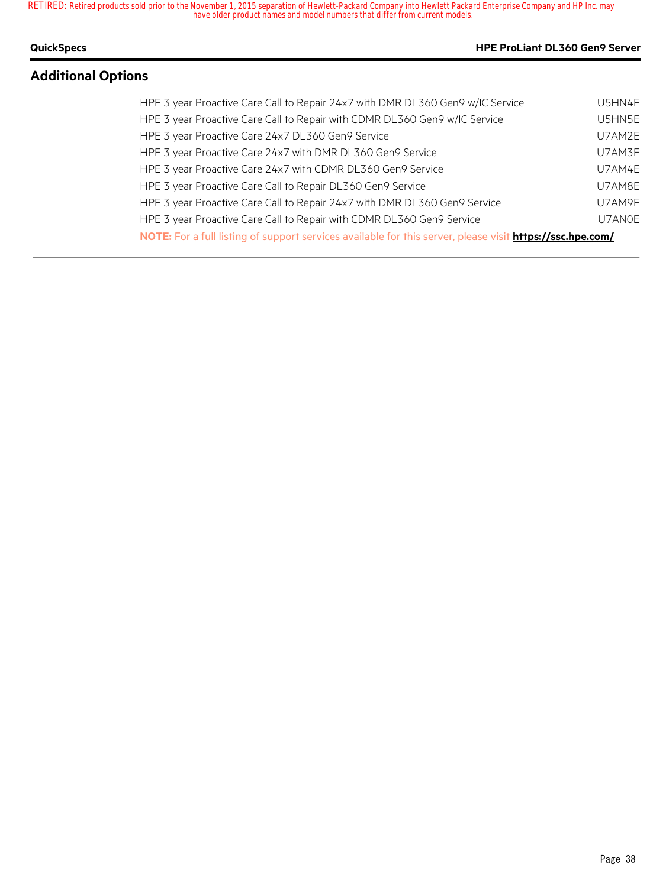#### **QuickSpecs HPE ProLiant DL360 Gen9 Server**

# **Additional Options**

| HPE 3 year Proactive Care Call to Repair 24x7 with DMR DL360 Gen9 w/IC Service                                   | U5HN4E |
|------------------------------------------------------------------------------------------------------------------|--------|
| HPE 3 year Proactive Care Call to Repair with CDMR DL360 Gen9 w/IC Service                                       | U5HN5E |
| HPE 3 year Proactive Care 24x7 DL360 Gen9 Service                                                                | U7AM2E |
| HPE 3 year Proactive Care 24x7 with DMR DL360 Gen9 Service                                                       | U7AM3E |
| HPE 3 year Proactive Care 24x7 with CDMR DL360 Gen9 Service                                                      | U7AM4E |
| HPE 3 year Proactive Care Call to Repair DL360 Gen9 Service                                                      | U7AM8E |
| HPE 3 year Proactive Care Call to Repair 24x7 with DMR DL360 Gen9 Service                                        | U7AM9E |
| HPE 3 year Proactive Care Call to Repair with CDMR DL360 Gen9 Service                                            | U7AN0E |
| NOTE: For a full listing of support services available for this server, please visit <b>https://ssc.hpe.com/</b> |        |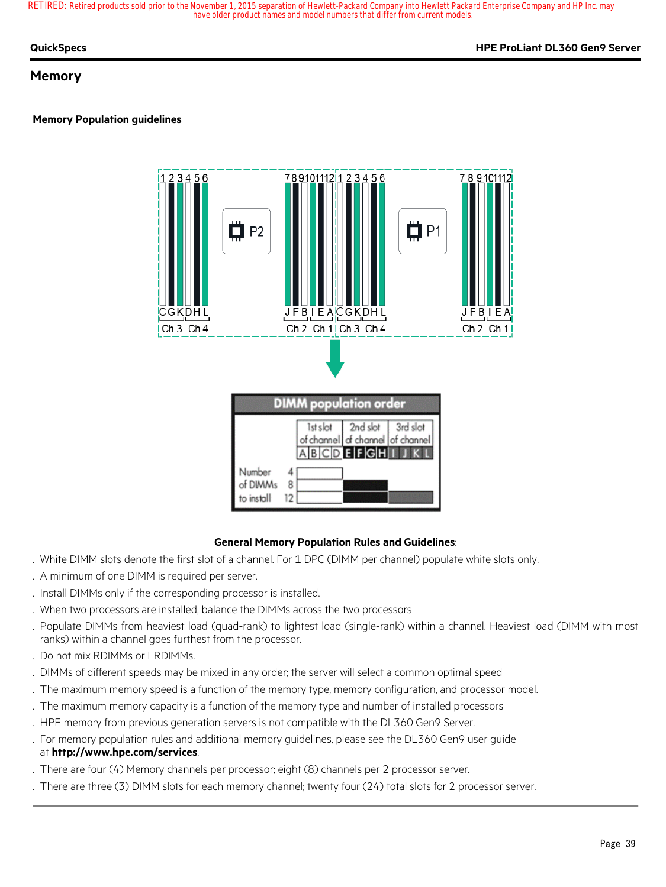#### **QuickSpecs HPE ProLiant DL360 Gen9 Server**

### **Memory**

#### **Memory Population guidelines**



#### **General Memory Population Rules and Guidelines**:

- . White DIMM slots denote the first slot of a channel. For 1 DPC (DIMM per channel) populate white slots only.
- . A minimum of one DIMM is required per server.
- . Install DIMMs only if the corresponding processor is installed.
- . When two processors are installed, balance the DIMMs across the two processors
- . Populate DIMMs from heaviest load (quad-rank) to lightest load (single-rank) within a channel. Heaviest load (DIMM with most ranks) within a channel goes furthest from the processor.
- . Do not mix RDIMMs or LRDIMMs.
- . DIMMs of different speeds may be mixed in any order; the server will select a common optimal speed
- . The maximum memory speed is a function of the memory type, memory configuration, and processor model.
- . The maximum memory capacity is a function of the memory type and number of installed processors
- . HPE memory from previous generation servers is not compatible with the DL360 Gen9 Server.
- . For memory population rules and additional memory guidelines, please see the DL360 Gen9 user guide at **http://www.hpe.com/services**.
- . There are four (4) Memory channels per processor; eight (8) channels per 2 processor server.
- . There are three (3) DIMM slots for each memory channel; twenty four (24) total slots for 2 processor server.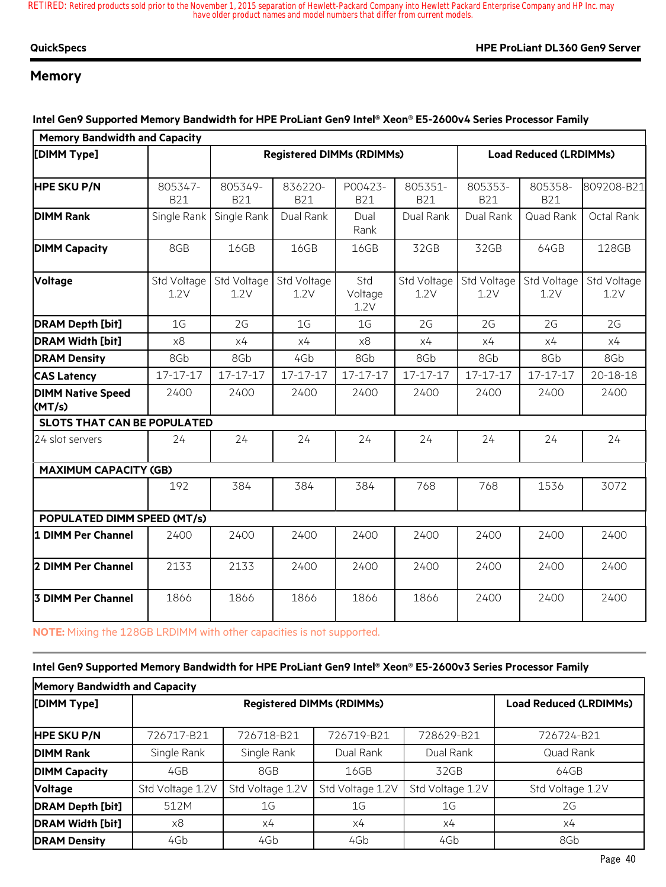### **Memory**

#### **Intel Gen9 Supported Memory Bandwidth for HPE ProLiant Gen9 Intel® Xeon® E5-2600v4 Series Processor Family**

| <b>Memory Bandwidth and Capacity</b> |                       |                                  |                       |                        |                               |                       |                       |                     |
|--------------------------------------|-----------------------|----------------------------------|-----------------------|------------------------|-------------------------------|-----------------------|-----------------------|---------------------|
| [DIMM Type]                          |                       | <b>Registered DIMMs (RDIMMs)</b> |                       |                        | <b>Load Reduced (LRDIMMs)</b> |                       |                       |                     |
| <b>HPE SKU P/N</b>                   | 805347-<br><b>B21</b> | 805349-<br><b>B21</b>            | 836220-<br><b>B21</b> | P00423-<br><b>B21</b>  | 805351-<br><b>B21</b>         | 805353-<br><b>B21</b> | 805358-<br><b>B21</b> | 809208-B21          |
| <b>DIMM Rank</b>                     | Single Rank           | Single Rank                      | Dual Rank             | Dual<br>Rank           | Dual Rank                     | Dual Rank             | Quad Rank             | Octal Rank          |
| <b>DIMM Capacity</b>                 | 8GB                   | 16GB                             | 16GB                  | 16GB                   | 32GB                          | 32GB                  | 64GB                  | 128GB               |
| Voltage                              | Std Voltage<br>1.2V   | Std Voltage<br>1.2V              | Std Voltage<br>1.2V   | Std<br>Voltage<br>1.2V | Std Voltage<br>1.2V           | Std Voltage<br>1.2V   | Std Voltage<br>1.2V   | Std Voltage<br>1.2V |
| <b>DRAM Depth [bit]</b>              | 1 <sub>G</sub>        | 2G                               | 1 <sub>G</sub>        | 1 <sub>G</sub>         | 2G                            | 2G                    | 2G                    | 2G                  |
| <b>DRAM Width [bit]</b>              | x8                    | x4                               | x4                    | x8                     | x4                            | x4                    | x4                    | x4                  |
| <b>DRAM Density</b>                  | 8Gb                   | 8Gb                              | 4Gb                   | 8Gb                    | 8Gb                           | 8Gb                   | 8Gb                   | 8Gb                 |
| <b>CAS Latency</b>                   | 17-17-17              | 17-17-17                         | 17-17-17              | 17-17-17               | 17-17-17                      | 17-17-17              | 17-17-17              | $20 - 18 - 18$      |
| <b>DIMM Native Speed</b><br>(MT/s)   | 2400                  | 2400                             | 2400                  | 2400                   | 2400                          | 2400                  | 2400                  | 2400                |
| <b>SLOTS THAT CAN BE POPULATED</b>   |                       |                                  |                       |                        |                               |                       |                       |                     |
| 24 slot servers                      | 24                    | 24                               | 24                    | 24                     | 24                            | 24                    | 24                    | 24                  |
| <b>MAXIMUM CAPACITY (GB)</b>         |                       |                                  |                       |                        |                               |                       |                       |                     |
|                                      | 192                   | 384                              | 384                   | 384                    | 768                           | 768                   | 1536                  | 3072                |
| POPULATED DIMM SPEED (MT/s)          |                       |                                  |                       |                        |                               |                       |                       |                     |
| 1 DIMM Per Channel                   | 2400                  | 2400                             | 2400                  | 2400                   | 2400                          | 2400                  | 2400                  | 2400                |
| 2 DIMM Per Channel                   | 2133                  | 2133                             | 2400                  | 2400                   | 2400                          | 2400                  | 2400                  | 2400                |
| 3 DIMM Per Channel                   | 1866                  | 1866                             | 1866                  | 1866                   | 1866                          | 2400                  | 2400                  | 2400                |

**NOTE:** Mixing the 128GB LRDIMM with other capacities is not supported.

#### **Intel Gen9 Supported Memory Bandwidth for HPE ProLiant Gen9 Intel® Xeon® E5-2600v3 Series Processor Family**

| <b>Memory Bandwidth and Capacity</b> |                  |                               |                  |                  |                  |  |  |
|--------------------------------------|------------------|-------------------------------|------------------|------------------|------------------|--|--|
| [DIMM Type]                          |                  | <b>Load Reduced (LRDIMMs)</b> |                  |                  |                  |  |  |
| <b>HPE SKU P/N</b>                   | 726717-B21       | 726718-B21                    | 726719-B21       | 728629-B21       | 726724-B21       |  |  |
| <b>DIMM Rank</b>                     | Single Rank      | Single Rank                   | Dual Rank        | Dual Rank        | Quad Rank        |  |  |
| <b>DIMM Capacity</b>                 | 4GB              | 8GB                           | 16GB             | 32GB             | 64GB             |  |  |
| <b>Voltage</b>                       | Std Voltage 1.2V | Std Voltage 1.2V              | Std Voltage 1.2V | Std Voltage 1.2V | Std Voltage 1.2V |  |  |
| <b>DRAM Depth [bit]</b>              | 512M             | 1G                            | 1G               | 1 <sub>G</sub>   | 2G               |  |  |
| <b>DRAM Width [bit]</b>              | x8               | x4                            | х4               | х4               | x4               |  |  |
| <b>DRAM Density</b>                  | 4Gb              | 4Gb                           | 4Gb              | 4Gb              | 8Gb              |  |  |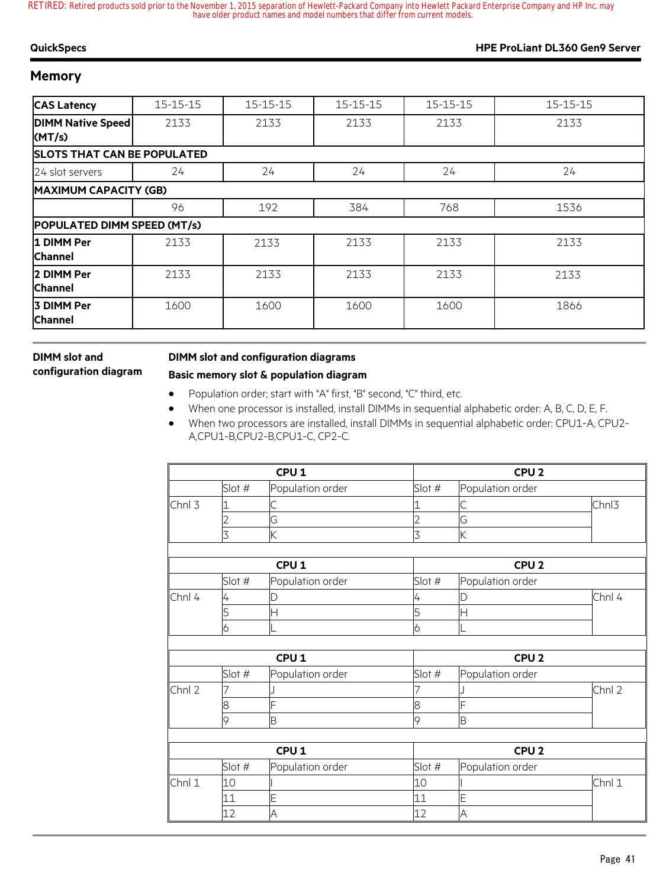### **Memory**

| <b>CAS Latency</b>                 | 15-15-15 | 15-15-15 | 15-15-15 | 15-15-15 | 15-15-15 |
|------------------------------------|----------|----------|----------|----------|----------|
| <b>DIMM Native Speed</b><br>(MT/s) | 2133     | 2133     | 2133     | 2133     | 2133     |
| <b>SLOTS THAT CAN BE POPULATED</b> |          |          |          |          |          |
| 24 slot servers                    | 24       | 24       | 24       | 24       | 24       |
| <b>MAXIMUM CAPACITY (GB)</b>       |          |          |          |          |          |
|                                    | 96       | 192      | 384      | 768      | 1536     |
| POPULATED DIMM SPEED (MT/s)        |          |          |          |          |          |
| 1 DIMM Per<br><b>Channel</b>       | 2133     | 2133     | 2133     | 2133     | 2133     |
| 2 DIMM Per<br><b>Channel</b>       | 2133     | 2133     | 2133     | 2133     | 2133     |
| 3 DIMM Per<br><b>Channel</b>       | 1600     | 1600     | 1600     | 1600     | 1866     |

#### **DIMM slot and configuration diagram**

### **DIMM slot and configuration diagrams Basic memory slot & population diagram**

- Population order; start with "A" first, "B" second, "C" third, etc.
- When one processor is installed, install DIMMs in sequential alphabetic order: A, B, C, D, E, F.
- When two processors are installed, install DIMMs in sequential alphabetic order: CPU1-A, CPU2- A,CPU1-B,CPU2-B,CPU1-C, CP2-C.

| CPU <sub>1</sub> |        |                  |        | CPU <sub>2</sub>        |        |  |  |  |  |
|------------------|--------|------------------|--------|-------------------------|--------|--|--|--|--|
|                  | Slot # | Population order | Slot # | Population order        |        |  |  |  |  |
| Chnl 3           |        | С                |        | С                       | Chnl3  |  |  |  |  |
|                  |        | G                |        | G                       |        |  |  |  |  |
|                  | 3      | K                | 3      | K                       |        |  |  |  |  |
|                  |        |                  |        |                         |        |  |  |  |  |
|                  |        | CPU <sub>1</sub> |        | CPU <sub>2</sub>        |        |  |  |  |  |
|                  | Slot # | Population order | Slot # | Population order        |        |  |  |  |  |
| Chnl 4           | 4      | D                | 4      | D                       | Chnl 4 |  |  |  |  |
|                  | 5      | Η                | 5      | $\overline{\mathsf{H}}$ |        |  |  |  |  |
|                  | 6      |                  | 6      |                         |        |  |  |  |  |
|                  |        |                  |        |                         |        |  |  |  |  |
|                  |        | CPU <sub>1</sub> |        | CPU <sub>2</sub>        |        |  |  |  |  |
|                  | Slot # | Population order | Slot # | Population order        |        |  |  |  |  |
| Chnl 2           | 7      |                  |        |                         | Chnl 2 |  |  |  |  |
|                  | 8      | Ē                | 8      | Ē                       |        |  |  |  |  |
|                  | 9      | B                | 9      | B                       |        |  |  |  |  |
|                  |        |                  |        |                         |        |  |  |  |  |
|                  |        | CPU <sub>1</sub> |        | CPU <sub>2</sub>        |        |  |  |  |  |
|                  | Slot # | Population order | Slot # | Population order        |        |  |  |  |  |
| Chnl 1           | 10     |                  | 10     |                         | Chnl 1 |  |  |  |  |
|                  | 11     | E                | 11     | E                       |        |  |  |  |  |
|                  | 12     | A                | 12     | $\overline{\mathsf{A}}$ |        |  |  |  |  |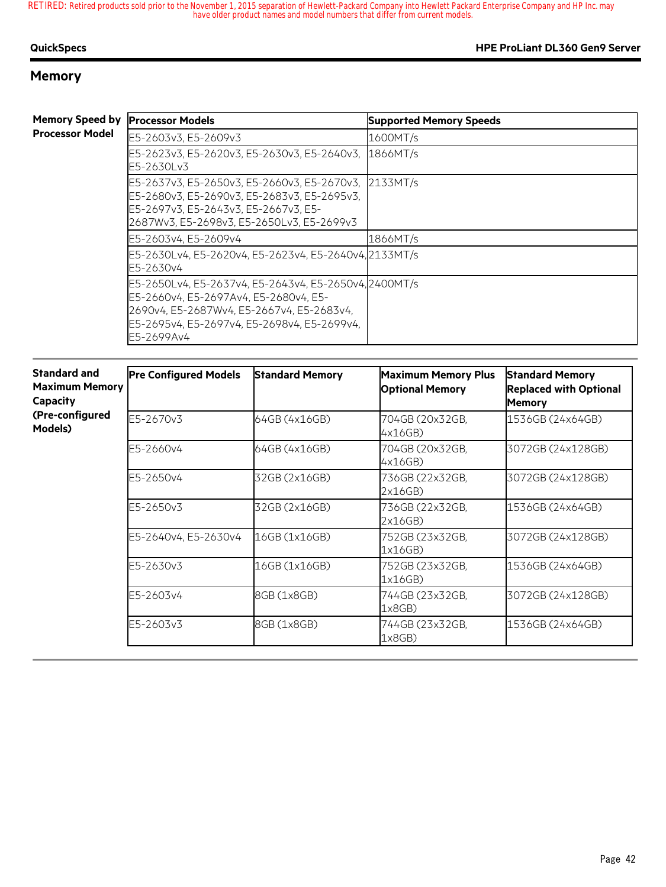# **Memory**

### **Memory Speed by Processor Mode**

| <b>IProcessor Models</b><br>bv                                                                                                                                                                           | <b>Supported Memory Speeds</b> |
|----------------------------------------------------------------------------------------------------------------------------------------------------------------------------------------------------------|--------------------------------|
| E5-2603v3, E5-2609v3                                                                                                                                                                                     | 1600MT/s                       |
| E5-2623v3, E5-2620v3, E5-2630v3, E5-2640v3,<br>E5-2630Lv3                                                                                                                                                | 1866MT/s                       |
| E5-2637v3, E5-2650v3, E5-2660v3, E5-2670v3,<br>E5-2680v3, E5-2690v3, E5-2683v3, E5-2695v3,<br>E5-2697v3, E5-2643v3, E5-2667v3, E5-<br>2687Wv3, E5-2698v3, E5-2650Lv3, E5-2699v3                          | 2133MT/s                       |
| E5-2603v4, E5-2609v4                                                                                                                                                                                     | 1866MT/s                       |
| E5-2630Lv4, E5-2620v4, E5-2623v4, E5-2640v4, 2133MT/s<br>E5-2630v4                                                                                                                                       |                                |
| E5-2650Lv4, E5-2637v4, E5-2643v4, E5-2650v4, 2400MT/s<br>E5-2660v4, E5-2697Av4, E5-2680v4, E5-<br>2690v4, E5-2687Wv4, E5-2667v4, E5-2683v4,<br>E5-2695v4, E5-2697v4, E5-2698v4, E5-2699v4,<br>E5-2699Av4 |                                |

| <b>Standard and</b>   |
|-----------------------|
| <b>Maximum Memory</b> |
| Capacity              |
| (Pre-configured       |
| Models)               |

| <b>Pre Configured Models</b> | <b>Standard Memory</b> | <b>Maximum Memory Plus</b><br><b>Optional Memory</b> | <b>Standard Memory</b><br><b>Replaced with Optional</b><br><b>Memory</b> |
|------------------------------|------------------------|------------------------------------------------------|--------------------------------------------------------------------------|
| E5-2670v3                    | 64GB (4x16GB)          | 704GB (20x32GB,<br>4x16GB)                           | 1536GB (24x64GB)                                                         |
| E5-2660v4                    | 64GB (4x16GB)          | 704GB (20x32GB,<br>4x16GB)                           | 3072GB (24x128GB)                                                        |
| E5-2650v4                    | 32GB (2x16GB)          | 736GB (22x32GB,<br>2x16GB)                           | 3072GB (24x128GB)                                                        |
| E5-2650v3                    | 32GB (2x16GB)          | 736GB (22x32GB,<br>2x16GB)                           | 1536GB (24x64GB)                                                         |
| E5-2640v4, E5-2630v4         | 16GB (1x16GB)          | 752GB (23x32GB,<br>1x16GB)                           | 3072GB (24x128GB)                                                        |
| E5-2630v3                    | 16GB (1x16GB)          | 752GB (23x32GB,<br>1x16GB)                           | 1536GB (24x64GB)                                                         |
| E5-2603v4                    | 8GB (1x8GB)            | 744GB (23x32GB,<br>1x8GB                             | 3072GB (24x128GB)                                                        |
| E5-2603v3                    | 8GB (1x8GB)            | 744GB (23x32GB,<br>1x8GB                             | 1536GB (24x64GB)                                                         |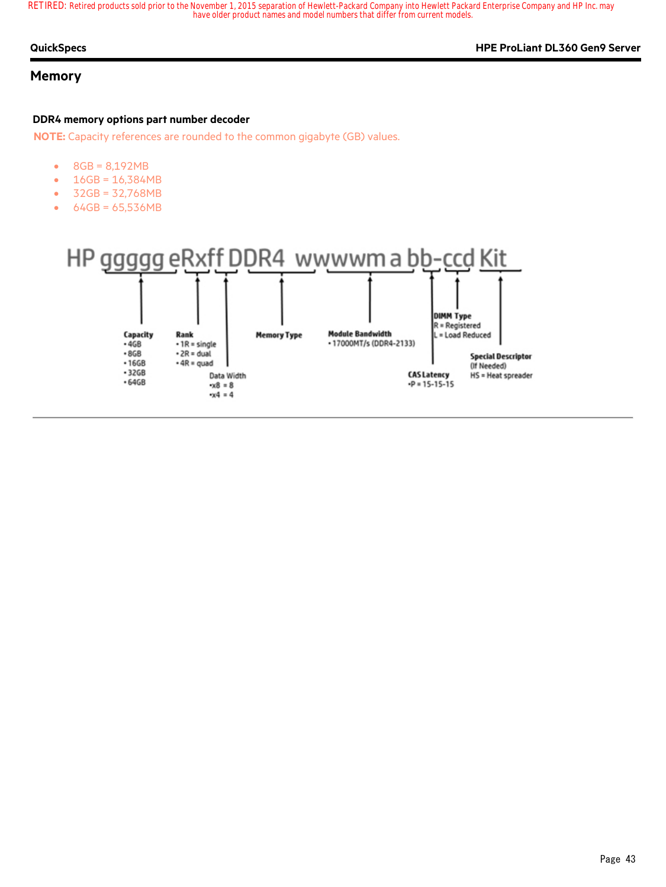#### **QuickSpecs HPE ProLiant DL360 Gen9 Server**

#### **Memory**

#### **DDR4 memory options part number decoder**

**NOTE:** Capacity references are rounded to the common gigabyte (GB) values.

- 8GB = 8,192MB
- $16GB = 16,384MB$
- 32GB = 32,768MB
- 64GB = 65,536MB

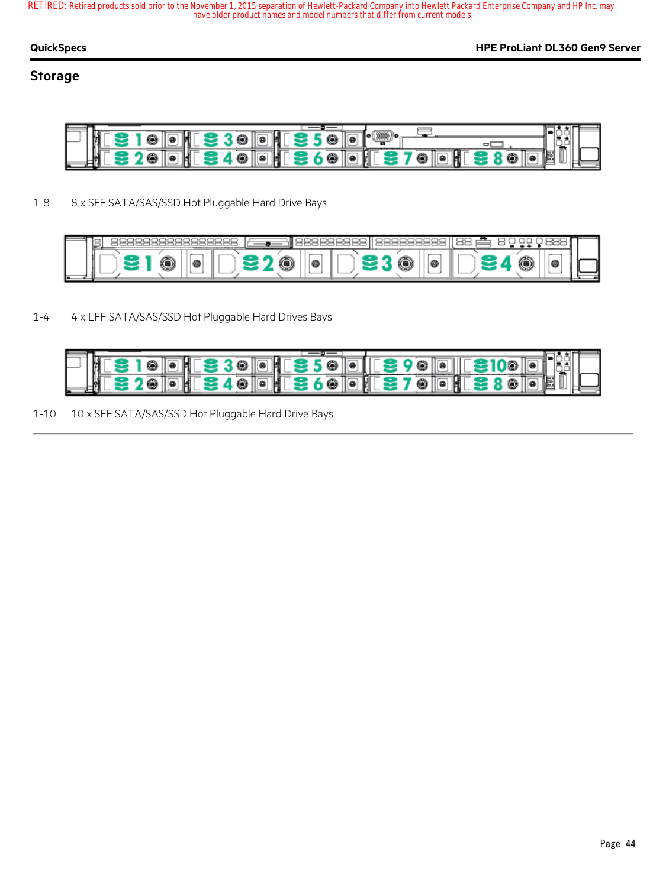# **Storage**

|               |  | 18 O I              |                          |  |  | $T \mathbf{3} 3 0$ of $\mathbf{3} 5 0$ of $\mathbf{3}$ |                                |                     |  |  |
|---------------|--|---------------------|--------------------------|--|--|--------------------------------------------------------|--------------------------------|---------------------|--|--|
|               |  |                     |                          |  |  |                                                        |                                |                     |  |  |
|               |  |                     |                          |  |  |                                                        |                                | <b>ALS 8 OIOEUL</b> |  |  |
|               |  | $2 \circ \text{on}$ |                          |  |  |                                                        | $\mathbf{37}\otimes\mathbf{1}$ |                     |  |  |
| $\frac{1}{2}$ |  |                     | $\mathbb{E}$ 34001236001 |  |  |                                                        |                                |                     |  |  |

1-8 8 x SFF SATA/SAS/SSD Hot Pluggable Hard Drive Bays

| w | øг<br>ЭĽ<br>,,,, |  |
|---|------------------|--|

1-4 4 x LFF SATA/SAS/SSD Hot Pluggable Hard Drives Bays



1-10 10 x SFF SATA/SAS/SSD Hot Pluggable Hard Drive Bays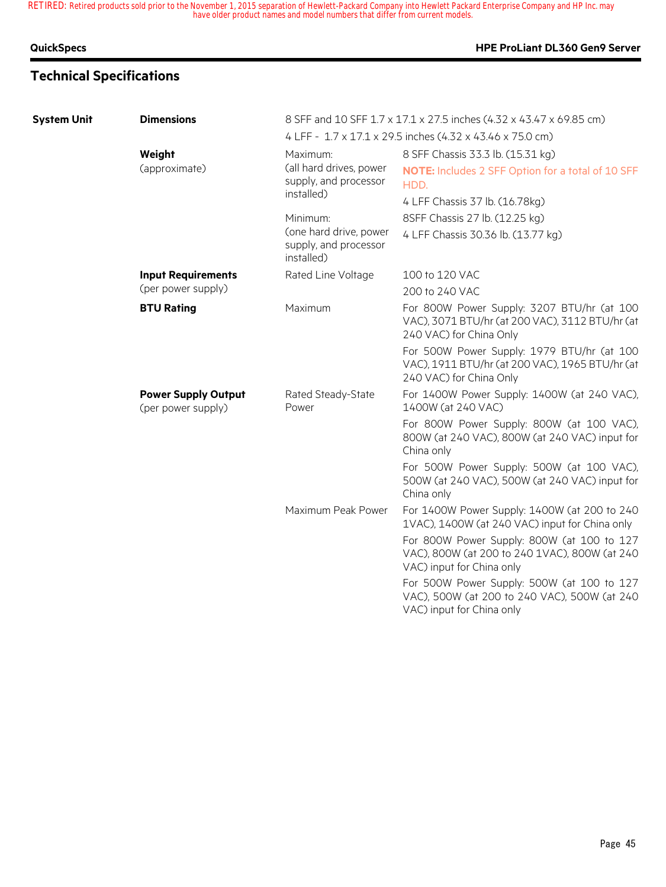# **Technical Specifications**

#### **QuickSpecs HPE ProLiant DL360 Gen9 Server**

| <b>System Unit</b> | <b>Dimensions</b>                                |                                                                | 8 SFF and 10 SFF 1.7 x 17.1 x 27.5 inches (4.32 x 43.47 x 69.85 cm)                                                      |  |  |  |  |
|--------------------|--------------------------------------------------|----------------------------------------------------------------|--------------------------------------------------------------------------------------------------------------------------|--|--|--|--|
|                    |                                                  |                                                                | 4 LFF - 1.7 x 17.1 x 29.5 inches (4.32 x 43.46 x 75.0 cm)                                                                |  |  |  |  |
|                    | Weight                                           | Maximum:                                                       | 8 SFF Chassis 33.3 lb. (15.31 kg)                                                                                        |  |  |  |  |
|                    | (approximate)                                    | (all hard drives, power<br>supply, and processor<br>installed) | <b>NOTE:</b> Includes 2 SFF Option for a total of 10 SFF<br>HDD.                                                         |  |  |  |  |
|                    |                                                  |                                                                | 4 LFF Chassis 37 lb. (16.78kg)                                                                                           |  |  |  |  |
|                    |                                                  | Minimum:                                                       | 8SFF Chassis 27 lb. (12.25 kg)                                                                                           |  |  |  |  |
|                    |                                                  | (one hard drive, power<br>supply, and processor<br>installed)  | 4 LFF Chassis 30.36 lb. (13.77 kg)                                                                                       |  |  |  |  |
|                    | <b>Input Requirements</b>                        | Rated Line Voltage                                             | 100 to 120 VAC                                                                                                           |  |  |  |  |
|                    | (per power supply)                               |                                                                | 200 to 240 VAC                                                                                                           |  |  |  |  |
|                    | <b>BTU Rating</b>                                | Maximum                                                        | For 800W Power Supply: 3207 BTU/hr (at 100<br>VAC), 3071 BTU/hr (at 200 VAC), 3112 BTU/hr (at<br>240 VAC) for China Only |  |  |  |  |
|                    |                                                  |                                                                | For 500W Power Supply: 1979 BTU/hr (at 100<br>VAC), 1911 BTU/hr (at 200 VAC), 1965 BTU/hr (at<br>240 VAC) for China Only |  |  |  |  |
|                    | <b>Power Supply Output</b><br>(per power supply) | Rated Steady-State<br>Power                                    | For 1400W Power Supply: 1400W (at 240 VAC),<br>1400W (at 240 VAC)                                                        |  |  |  |  |
|                    |                                                  |                                                                | For 800W Power Supply: 800W (at 100 VAC),<br>800W (at 240 VAC), 800W (at 240 VAC) input for<br>China only                |  |  |  |  |
|                    |                                                  |                                                                | For 500W Power Supply: 500W (at 100 VAC),<br>500W (at 240 VAC), 500W (at 240 VAC) input for<br>China only                |  |  |  |  |
|                    |                                                  | Maximum Peak Power                                             | For 1400W Power Supply: 1400W (at 200 to 240<br>1VAC), 1400W (at 240 VAC) input for China only                           |  |  |  |  |
|                    |                                                  |                                                                | For 800W Power Supply: 800W (at 100 to 127<br>VAC), 800W (at 200 to 240 1VAC), 800W (at 240<br>VAC) input for China only |  |  |  |  |
|                    |                                                  |                                                                | For 500W Power Supply: 500W (at 100 to 127<br>VAC), 500W (at 200 to 240 VAC), 500W (at 240<br>VAC) input for China only  |  |  |  |  |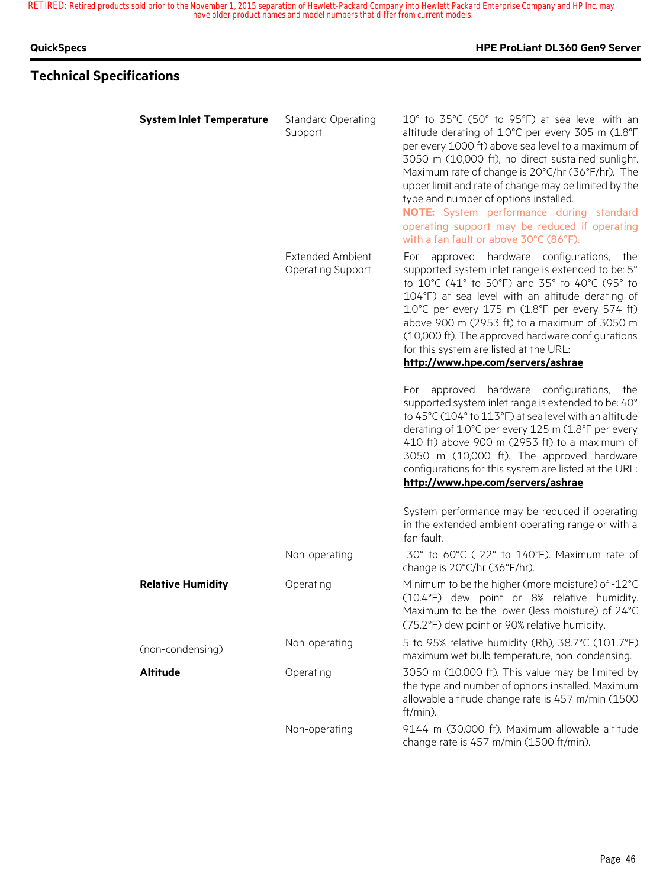### **QuickSpecs HPE ProLiant DL360 Gen9 Server**

# **Technical Specifications**

| <b>System Inlet Temperature</b> | <b>Standard Operating</b><br>Support                | 10° to 35°C (50° to 95°F) at sea level with an<br>altitude derating of 1.0°C per every 305 m (1.8°F<br>per every 1000 ft) above sea level to a maximum of<br>3050 m (10,000 ft), no direct sustained sunlight.<br>Maximum rate of change is 20°C/hr (36°F/hr). The<br>upper limit and rate of change may be limited by the<br>type and number of options installed.<br>NOTE: System performance during standard<br>operating support may be reduced if operating<br>with a fan fault or above 30°C (86°F). |
|---------------------------------|-----------------------------------------------------|------------------------------------------------------------------------------------------------------------------------------------------------------------------------------------------------------------------------------------------------------------------------------------------------------------------------------------------------------------------------------------------------------------------------------------------------------------------------------------------------------------|
|                                 | <b>Extended Ambient</b><br><b>Operating Support</b> | approved hardware configurations,<br>For<br>the<br>supported system inlet range is extended to be: 5°<br>to 10°C (41° to 50°F) and 35° to 40°C (95° to<br>104°F) at sea level with an altitude derating of<br>1.0°C per every 175 m (1.8°F per every 574 ft)<br>above 900 m (2953 ft) to a maximum of 3050 m<br>(10,000 ft). The approved hardware configurations<br>for this system are listed at the URL:<br>http://www.hpe.com/servers/ashrae                                                           |
|                                 |                                                     | approved hardware configurations,<br>For<br>the<br>supported system inlet range is extended to be: 40°<br>to 45°C (104° to 113°F) at sea level with an altitude<br>derating of 1.0°C per every 125 m (1.8°F per every<br>410 ft) above 900 m (2953 ft) to a maximum of<br>3050 m (10,000 ft). The approved hardware<br>configurations for this system are listed at the URL:<br>http://www.hpe.com/servers/ashrae                                                                                          |
|                                 |                                                     | System performance may be reduced if operating<br>in the extended ambient operating range or with a<br>fan fault.                                                                                                                                                                                                                                                                                                                                                                                          |
|                                 | Non-operating                                       | -30° to 60°C (-22° to 140°F). Maximum rate of<br>change is 20°C/hr (36°F/hr).                                                                                                                                                                                                                                                                                                                                                                                                                              |
| <b>Relative Humidity</b>        | Operating                                           | Minimum to be the higher (more moisture) of -12°C<br>(10.4°F) dew point or 8% relative humidity.<br>Maximum to be the lower (less moisture) of 24°C<br>(75.2°F) dew point or 90% relative humidity.                                                                                                                                                                                                                                                                                                        |
| (non-condensing)                | Non-operating                                       | 5 to 95% relative humidity (Rh), 38.7°C (101.7°F)<br>maximum wet bulb temperature, non-condensing.                                                                                                                                                                                                                                                                                                                                                                                                         |
| <b>Altitude</b>                 | Operating                                           | 3050 m (10,000 ft). This value may be limited by<br>the type and number of options installed. Maximum<br>allowable altitude change rate is 457 m/min (1500<br>$ft/min$ ).                                                                                                                                                                                                                                                                                                                                  |
|                                 | Non-operating                                       | 9144 m (30,000 ft). Maximum allowable altitude<br>change rate is 457 m/min (1500 ft/min).                                                                                                                                                                                                                                                                                                                                                                                                                  |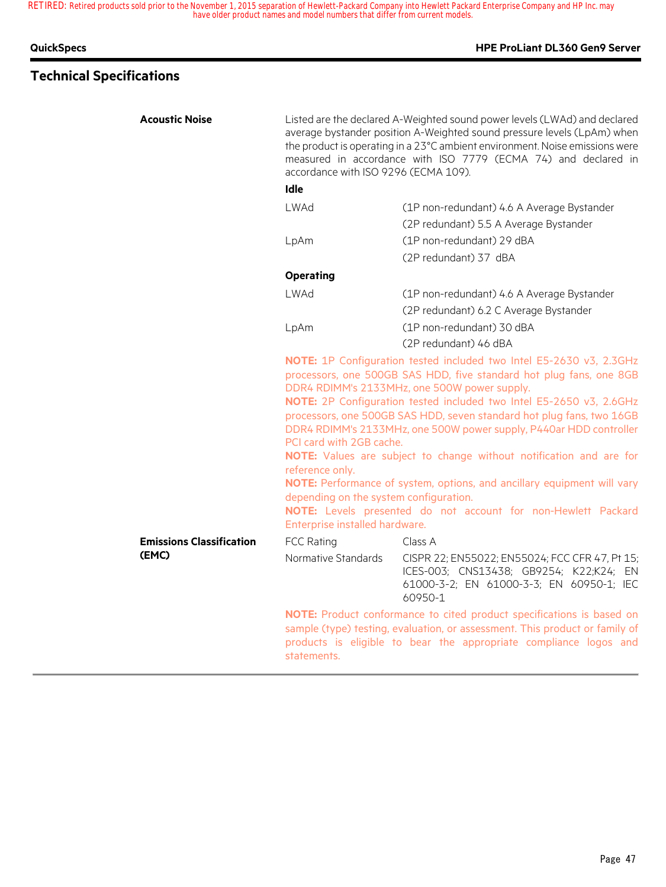| QuickSpecs                      | <b>HPE ProLiant DL360 Gen9 Server</b>                                     |
|---------------------------------|---------------------------------------------------------------------------|
| <b>Technical Specifications</b> |                                                                           |
| <b>Acoustic Noise</b>           | Listed are the declared A-Weighted sound power levels (LWAd) and declared |

|                                 | accordance with ISO 9296 (ECMA 109).                                                                                    |                                                                                                                                                                                                                                                                                                                                                                                                                                                                                                                                                                                                                                     |  |  |  |  |  |
|---------------------------------|-------------------------------------------------------------------------------------------------------------------------|-------------------------------------------------------------------------------------------------------------------------------------------------------------------------------------------------------------------------------------------------------------------------------------------------------------------------------------------------------------------------------------------------------------------------------------------------------------------------------------------------------------------------------------------------------------------------------------------------------------------------------------|--|--|--|--|--|
|                                 | Idle                                                                                                                    |                                                                                                                                                                                                                                                                                                                                                                                                                                                                                                                                                                                                                                     |  |  |  |  |  |
|                                 | LWAd                                                                                                                    | (1P non-redundant) 4.6 A Average Bystander<br>(2P redundant) 5.5 A Average Bystander                                                                                                                                                                                                                                                                                                                                                                                                                                                                                                                                                |  |  |  |  |  |
|                                 | LpAm                                                                                                                    | (1P non-redundant) 29 dBA<br>(2P redundant) 37 dBA                                                                                                                                                                                                                                                                                                                                                                                                                                                                                                                                                                                  |  |  |  |  |  |
|                                 |                                                                                                                         |                                                                                                                                                                                                                                                                                                                                                                                                                                                                                                                                                                                                                                     |  |  |  |  |  |
|                                 | <b>Operating</b>                                                                                                        |                                                                                                                                                                                                                                                                                                                                                                                                                                                                                                                                                                                                                                     |  |  |  |  |  |
|                                 | LWAd                                                                                                                    | (1P non-redundant) 4.6 A Average Bystander                                                                                                                                                                                                                                                                                                                                                                                                                                                                                                                                                                                          |  |  |  |  |  |
|                                 |                                                                                                                         | (2P redundant) 6.2 C Average Bystander<br>(1P non-redundant) 30 dBA<br>(2P redundant) 46 dBA                                                                                                                                                                                                                                                                                                                                                                                                                                                                                                                                        |  |  |  |  |  |
|                                 | LpAm                                                                                                                    |                                                                                                                                                                                                                                                                                                                                                                                                                                                                                                                                                                                                                                     |  |  |  |  |  |
|                                 |                                                                                                                         |                                                                                                                                                                                                                                                                                                                                                                                                                                                                                                                                                                                                                                     |  |  |  |  |  |
|                                 | PCI card with 2GB cache.<br>reference only.<br>depending on the system configuration.<br>Enterprise installed hardware. | NOTE: 1P Configuration tested included two Intel E5-2630 v3, 2.3GHz<br>processors, one 500GB SAS HDD, five standard hot plug fans, one 8GB<br>DDR4 RDIMM's 2133MHz, one 500W power supply.<br>NOTE: 2P Configuration tested included two Intel E5-2650 v3, 2.6GHz<br>processors, one 500GB SAS HDD, seven standard hot plug fans, two 16GB<br>DDR4 RDIMM's 2133MHz, one 500W power supply, P440ar HDD controller<br>NOTE: Values are subject to change without notification and are for<br>NOTE: Performance of system, options, and ancillary equipment will vary<br>NOTE: Levels presented do not account for non-Hewlett Packard |  |  |  |  |  |
| <b>Emissions Classification</b> | <b>FCC Rating</b>                                                                                                       | Class A                                                                                                                                                                                                                                                                                                                                                                                                                                                                                                                                                                                                                             |  |  |  |  |  |
| (EMC)                           | Normative Standards                                                                                                     | CISPR 22; EN55022; EN55024; FCC CFR 47, Pt 15;<br>ICES-003; CNS13438; GB9254; K22;K24; EN<br>61000-3-2; EN 61000-3-3; EN 60950-1; IEC<br>60950-1                                                                                                                                                                                                                                                                                                                                                                                                                                                                                    |  |  |  |  |  |
|                                 | statements.                                                                                                             | <b>NOTE:</b> Product conformance to cited product specifications is based on<br>sample (type) testing, evaluation, or assessment. This product or family of<br>products is eligible to bear the appropriate compliance logos and                                                                                                                                                                                                                                                                                                                                                                                                    |  |  |  |  |  |

average bystander position A-Weighted sound pressure levels (LpAm) when the product is operating in a 23°C ambient environment. Noise emissions were measured in accordance with ISO 7779 (ECMA 74) and declared in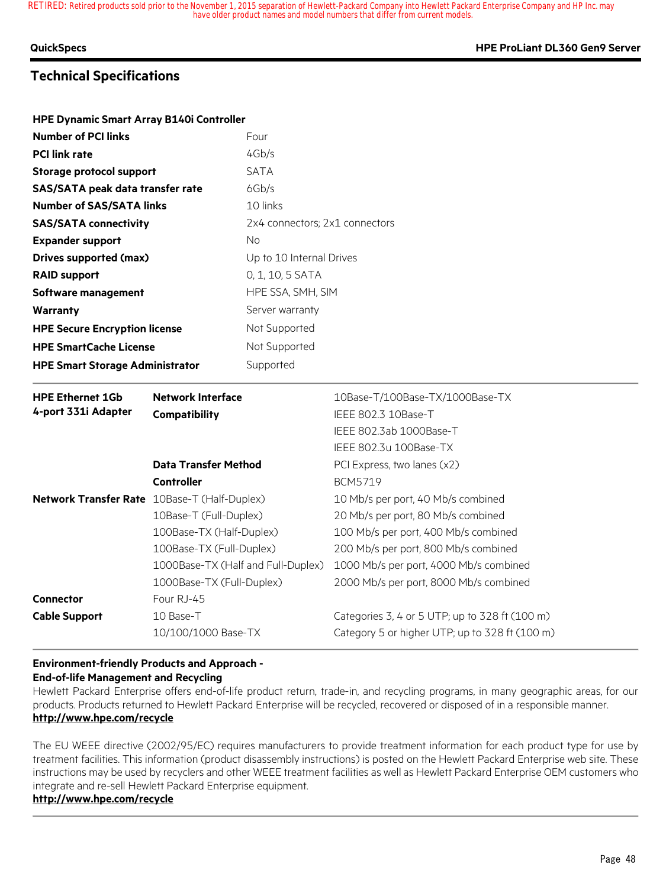#### **QuickSpecs HPE ProLiant DL360 Gen9 Server**

# **Technical Specifications**

| <b>HPE Dynamic Smart Array B140i Controller</b> |                                |
|-------------------------------------------------|--------------------------------|
| <b>Number of PCI links</b>                      | Four                           |
| <b>PCI link rate</b>                            | 4Gb/s                          |
| Storage protocol support                        | <b>SATA</b>                    |
| SAS/SATA peak data transfer rate                | 6Gb/s                          |
| <b>Number of SAS/SATA links</b>                 | 10 links                       |
| <b>SAS/SATA connectivity</b>                    | 2x4 connectors; 2x1 connectors |
| <b>Expander support</b>                         | No                             |
| Drives supported (max)                          | Up to 10 Internal Drives       |
| <b>RAID support</b>                             | 0, 1, 10, 5 SATA               |
| Software management                             | HPE SSA, SMH, SIM              |
| Warranty                                        | Server warranty                |
| <b>HPE Secure Encryption license</b>            | Not Supported                  |
| <b>HPE SmartCache License</b>                   | Not Supported                  |
| <b>HPE Smart Storage Administrator</b>          | Supported                      |

| <b>HPE Ethernet 1Gb</b><br>4-port 331i Adapter | <b>Network Interface</b>                     | 10Base-T/100Base-TX/1000Base-TX                |
|------------------------------------------------|----------------------------------------------|------------------------------------------------|
|                                                | Compatibility                                | IEEE 802.3 10Base-T                            |
|                                                |                                              | IEEE 802.3ab 1000Base-T                        |
|                                                |                                              | IEEE 802.3u 100Base-TX                         |
|                                                | <b>Data Transfer Method</b>                  | PCI Express, two lanes (x2)                    |
|                                                | <b>Controller</b>                            | <b>BCM5719</b>                                 |
|                                                | Network Transfer Rate 10Base-T (Half-Duplex) | 10 Mb/s per port, 40 Mb/s combined             |
|                                                | 10Base-T (Full-Duplex)                       | 20 Mb/s per port, 80 Mb/s combined             |
|                                                | 100Base-TX (Half-Duplex)                     | 100 Mb/s per port, 400 Mb/s combined           |
|                                                | 100Base-TX (Full-Duplex)                     | 200 Mb/s per port, 800 Mb/s combined           |
|                                                | 1000Base-TX (Half and Full-Duplex)           | 1000 Mb/s per port, 4000 Mb/s combined         |
|                                                | 1000Base-TX (Full-Duplex)                    | 2000 Mb/s per port, 8000 Mb/s combined         |
| <b>Connector</b>                               | Four RJ-45                                   |                                                |
| <b>Cable Support</b>                           | 10 Base-T                                    | Categories 3, 4 or 5 UTP; up to 328 ft (100 m) |
|                                                | 10/100/1000 Base-TX                          | Category 5 or higher UTP; up to 328 ft (100 m) |

### **Environment-friendly Products and Approach - End-of-life Management and Recycling**

Hewlett Packard Enterprise offers end-of-life product return, trade-in, and recycling programs, in many geographic areas, for our products. Products returned to Hewlett Packard Enterprise will be recycled, recovered or disposed of in a responsible manner. **http://www.hpe.com/recycle**

The EU WEEE directive (2002/95/EC) requires manufacturers to provide treatment information for each product type for use by treatment facilities. This information (product disassembly instructions) is posted on the Hewlett Packard Enterprise web site. These instructions may be used by recyclers and other WEEE treatment facilities as well as Hewlett Packard Enterprise OEM customers who integrate and re-sell Hewlett Packard Enterprise equipment.

### **http://www.hpe.com/recycle**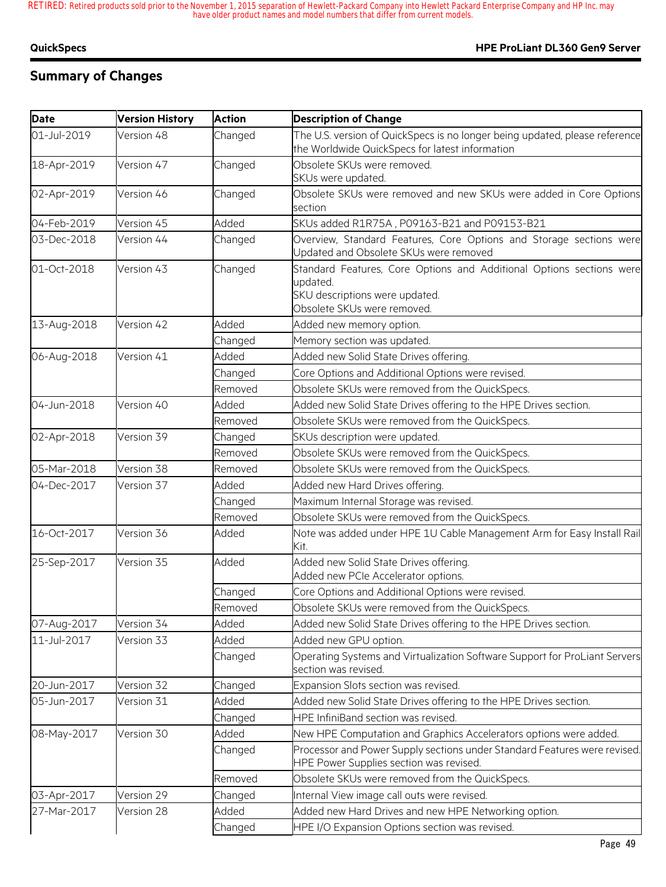### **QuickSpecs HPE ProLiant DL360 Gen9 Server**

# **Summary of Changes**

| <b>Date</b> | <b>Version History</b> | <b>Action</b> | <b>Description of Change</b>                                                                                                                      |
|-------------|------------------------|---------------|---------------------------------------------------------------------------------------------------------------------------------------------------|
| 01-Jul-2019 | Version 48             | Changed       | The U.S. version of QuickSpecs is no longer being updated, please reference<br>the Worldwide QuickSpecs for latest information                    |
| 18-Apr-2019 | Version 47             | Changed       | Obsolete SKUs were removed.<br>SKUs were updated.                                                                                                 |
| 02-Apr-2019 | Version 46             | Changed       | Obsolete SKUs were removed and new SKUs were added in Core Options<br>section                                                                     |
| 04-Feb-2019 | Version 45             | Added         | SKUs added R1R75A, P09163-B21 and P09153-B21                                                                                                      |
| 03-Dec-2018 | Version 44             | Changed       | Overview, Standard Features, Core Options and Storage sections were<br>Jpdated and Obsolete SKUs were removed                                     |
| 01-Oct-2018 | Version 43             | Changed       | Standard Features, Core Options and Additional Options sections were<br>updated.<br>SKU descriptions were updated.<br>Obsolete SKUs were removed. |
| 13-Aug-2018 | Version 42             | Added         | Added new memory option.                                                                                                                          |
|             |                        | Changed       | Memory section was updated.                                                                                                                       |
| 06-Aug-2018 | Version 41             | Added         | Added new Solid State Drives offering.                                                                                                            |
|             |                        | Changed       | Core Options and Additional Options were revised.                                                                                                 |
|             |                        | Removed       | Obsolete SKUs were removed from the QuickSpecs.                                                                                                   |
| 04-Jun-2018 | Version 40             | Added         | Added new Solid State Drives offering to the HPE Drives section.                                                                                  |
|             |                        | Removed       | Obsolete SKUs were removed from the QuickSpecs.                                                                                                   |
| 02-Apr-2018 | Version 39             | Changed       | SKUs description were updated.                                                                                                                    |
|             |                        | Removed       | Obsolete SKUs were removed from the QuickSpecs.                                                                                                   |
| 05-Mar-2018 | Version 38             | Removed       | Obsolete SKUs were removed from the QuickSpecs.                                                                                                   |
| 04-Dec-2017 | Version 37             | Added         | Added new Hard Drives offering.                                                                                                                   |
|             |                        | Changed       | Maximum Internal Storage was revised.                                                                                                             |
|             |                        | Removed       | Obsolete SKUs were removed from the QuickSpecs.                                                                                                   |
| 16-Oct-2017 | Version 36             | Added         | Note was added under HPE 1U Cable Management Arm for Easy Install Rail<br>Kit.                                                                    |
| 25-Sep-2017 | Version 35             | Added         | Added new Solid State Drives offering.<br>Added new PCIe Accelerator options.                                                                     |
|             |                        | Changed       | Core Options and Additional Options were revised.                                                                                                 |
|             |                        | Removed       | Obsolete SKUs were removed from the QuickSpecs.                                                                                                   |
| 07-Aug-2017 | Version 34             | Added         | Added new Solid State Drives offering to the HPE Drives section.                                                                                  |
| 11-Jul-2017 | Version 33             | Added         | Added new GPU option.                                                                                                                             |
|             |                        | Changed       | Operating Systems and Virtualization Software Support for ProLiant Servers<br>section was revised.                                                |
| 20-Jun-2017 | Version 32             | Changed       | Expansion Slots section was revised.                                                                                                              |
| 05-Jun-2017 | Version 31             | Added         | Added new Solid State Drives offering to the HPE Drives section.                                                                                  |
|             |                        | Changed       | HPE InfiniBand section was revised.                                                                                                               |
| 08-May-2017 | Version 30             | Added         | New HPE Computation and Graphics Accelerators options were added.                                                                                 |
|             |                        | Changed       | Processor and Power Supply sections under Standard Features were revised.<br>HPE Power Supplies section was revised.                              |
|             |                        | Removed       | Obsolete SKUs were removed from the QuickSpecs.                                                                                                   |
| 03-Apr-2017 | Version 29             | Changed       | Internal View image call outs were revised.                                                                                                       |
| 27-Mar-2017 | Version 28             | Added         | Added new Hard Drives and new HPE Networking option.                                                                                              |
|             |                        | Changed       | HPE I/O Expansion Options section was revised.                                                                                                    |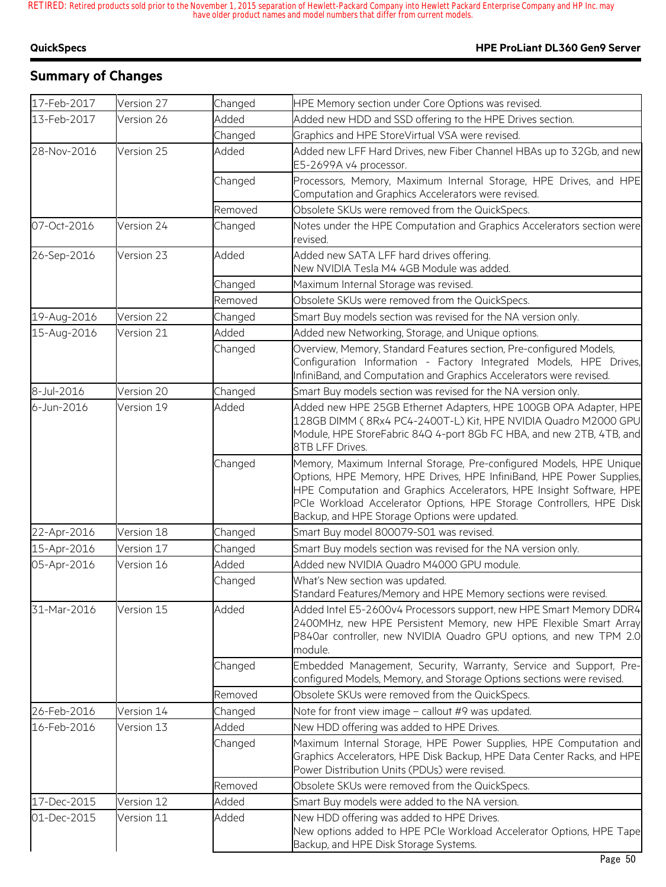### **QuickSpecs HPE ProLiant DL360 Gen9 Server**

# **Summary of Changes**

| 17-Feb-2017 | Version 27 | Changed | HPE Memory section under Core Options was revised.                                                                                                                                                                                                                                                                                           |
|-------------|------------|---------|----------------------------------------------------------------------------------------------------------------------------------------------------------------------------------------------------------------------------------------------------------------------------------------------------------------------------------------------|
| 13-Feb-2017 | Version 26 | Added   | Added new HDD and SSD offering to the HPE Drives section.                                                                                                                                                                                                                                                                                    |
|             |            | Changed | Graphics and HPE StoreVirtual VSA were revised.                                                                                                                                                                                                                                                                                              |
| 28-Nov-2016 | Version 25 | Added   | Added new LFF Hard Drives, new Fiber Channel HBAs up to 32Gb, and new<br>E5-2699A v4 processor.                                                                                                                                                                                                                                              |
|             |            | Changed | Processors, Memory, Maximum Internal Storage, HPE Drives, and HPE<br>Computation and Graphics Accelerators were revised.                                                                                                                                                                                                                     |
|             |            | Removed | Obsolete SKUs were removed from the QuickSpecs.                                                                                                                                                                                                                                                                                              |
| 07-Oct-2016 | Version 24 | Changed | Notes under the HPE Computation and Graphics Accelerators section were<br>revised.                                                                                                                                                                                                                                                           |
| 26-Sep-2016 | Version 23 | Added   | Added new SATA LFF hard drives offering.<br>New NVIDIA Tesla M4 4GB Module was added.                                                                                                                                                                                                                                                        |
|             |            | Changed | Maximum Internal Storage was revised.                                                                                                                                                                                                                                                                                                        |
|             |            | Removed | Obsolete SKUs were removed from the QuickSpecs.                                                                                                                                                                                                                                                                                              |
| 19-Aug-2016 | Version 22 | Changed | Smart Buy models section was revised for the NA version only.                                                                                                                                                                                                                                                                                |
| 15-Aug-2016 | Version 21 | Added   | Added new Networking, Storage, and Unique options.                                                                                                                                                                                                                                                                                           |
|             |            | Changed | Overview, Memory, Standard Features section, Pre-configured Models,<br>Configuration Information - Factory Integrated Models, HPE Drives,<br>InfiniBand, and Computation and Graphics Accelerators were revised.                                                                                                                             |
| 8-Jul-2016  | Version 20 | Changed | Smart Buy models section was revised for the NA version only.                                                                                                                                                                                                                                                                                |
| 6-Jun-2016  | Version 19 | Added   | Added new HPE 25GB Ethernet Adapters, HPE 100GB OPA Adapter, HPE<br>128GB DIMM (8Rx4 PC4-2400T-L) Kit, HPE NVIDIA Quadro M2000 GPU<br>Module, HPE StoreFabric 84Q 4-port 8Gb FC HBA, and new 2TB, 4TB, and<br>8TB LFF Drives.                                                                                                                |
|             |            | Changed | Memory, Maximum Internal Storage, Pre-configured Models, HPE Unique<br>Options, HPE Memory, HPE Drives, HPE InfiniBand, HPE Power Supplies,<br>HPE Computation and Graphics Accelerators, HPE Insight Software, HPE<br>PCIe Workload Accelerator Options, HPE Storage Controllers, HPE Disk<br>Backup, and HPE Storage Options were updated. |
| 22-Apr-2016 | Version 18 | Changed | Smart Buy model 800079-S01 was revised.                                                                                                                                                                                                                                                                                                      |
| 15-Apr-2016 | Version 17 | Changed | Smart Buy models section was revised for the NA version only.                                                                                                                                                                                                                                                                                |
| 05-Apr-2016 | Version 16 | Added   | Added new NVIDIA Quadro M4000 GPU module.                                                                                                                                                                                                                                                                                                    |
|             |            | Changed | What's New section was updated.<br>Standard Features/Memory and HPE Memory sections were revised.                                                                                                                                                                                                                                            |
| 31-Mar-2016 | Version 15 | Added   | Added Intel E5-2600v4 Processors support, new HPE Smart Memory DDR4<br>2400MHz, new HPE Persistent Memory, new HPE Flexible Smart Array<br>P840ar controller, new NVIDIA Quadro GPU options, and new TPM 2.0<br>module.                                                                                                                      |
|             |            | Changed | Embedded Management, Security, Warranty, Service and Support, Pre-<br>configured Models, Memory, and Storage Options sections were revised.                                                                                                                                                                                                  |
|             |            | Removed | Obsolete SKUs were removed from the QuickSpecs.                                                                                                                                                                                                                                                                                              |
| 26-Feb-2016 | Version 14 | Changed | Note for front view image - callout #9 was updated.                                                                                                                                                                                                                                                                                          |
| 16-Feb-2016 | Version 13 | Added   | New HDD offering was added to HPE Drives.                                                                                                                                                                                                                                                                                                    |
|             |            | Changed | Maximum Internal Storage, HPE Power Supplies, HPE Computation and<br>Graphics Accelerators, HPE Disk Backup, HPE Data Center Racks, and HPE<br>Power Distribution Units (PDUs) were revised.                                                                                                                                                 |
|             |            | Removed | Obsolete SKUs were removed from the QuickSpecs.                                                                                                                                                                                                                                                                                              |
| 17-Dec-2015 | Version 12 | Added   | Smart Buy models were added to the NA version.                                                                                                                                                                                                                                                                                               |
| 01-Dec-2015 | Version 11 | Added   | New HDD offering was added to HPE Drives.<br>New options added to HPE PCIe Workload Accelerator Options, HPE Tape<br>Backup, and HPE Disk Storage Systems.                                                                                                                                                                                   |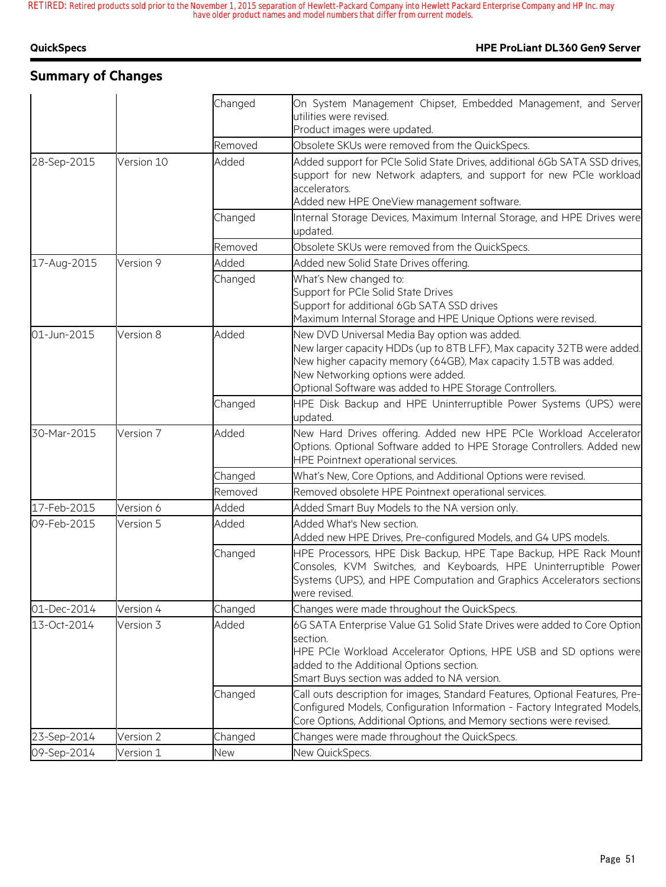# **Summary of Changes**

|             |            | Changed    | On System Management Chipset, Embedded Management, and Server<br>utilities were revised.<br>Product images were updated.                                                                                                                                                                      |
|-------------|------------|------------|-----------------------------------------------------------------------------------------------------------------------------------------------------------------------------------------------------------------------------------------------------------------------------------------------|
|             |            | Removed    | Obsolete SKUs were removed from the QuickSpecs.                                                                                                                                                                                                                                               |
| 28-Sep-2015 | Version 10 | Added      | Added support for PCIe Solid State Drives, additional 6Gb SATA SSD drives,<br>support for new Network adapters, and support for new PCIe workload<br>accelerators.<br>Added new HPE OneView management software.                                                                              |
|             |            | Changed    | Internal Storage Devices, Maximum Internal Storage, and HPE Drives were<br>updated.                                                                                                                                                                                                           |
|             |            | Removed    | Obsolete SKUs were removed from the QuickSpecs.                                                                                                                                                                                                                                               |
| 17-Aug-2015 | Version 9  | Added      | Added new Solid State Drives offering.                                                                                                                                                                                                                                                        |
|             |            | Changed    | What's New changed to:<br>Support for PCIe Solid State Drives<br>Support for additional 6Gb SATA SSD drives<br>Maximum Internal Storage and HPE Unique Options were revised.                                                                                                                  |
| 01-Jun-2015 | Version 8  | Added      | New DVD Universal Media Bay option was added.<br>New larger capacity HDDs (up to 8TB LFF), Max capacity 32TB were added.<br>New higher capacity memory (64GB), Max capacity 1.5TB was added.<br>New Networking options were added.<br>Optional Software was added to HPE Storage Controllers. |
|             |            | Changed    | HPE Disk Backup and HPE Uninterruptible Power Systems (UPS) were<br>updated.                                                                                                                                                                                                                  |
| 30-Mar-2015 | Version 7  | Added      | New Hard Drives offering. Added new HPE PCIe Workload Accelerator<br>Options. Optional Software added to HPE Storage Controllers. Added new<br>HPE Pointnext operational services.                                                                                                            |
|             |            | Changed    | What's New, Core Options, and Additional Options were revised.                                                                                                                                                                                                                                |
|             |            | Removed    | Removed obsolete HPE Pointnext operational services.                                                                                                                                                                                                                                          |
| 17-Feb-2015 | Version 6  | Added      | Added Smart Buy Models to the NA version only.                                                                                                                                                                                                                                                |
| 09-Feb-2015 | Version 5  | Added      | Added What's New section.<br>Added new HPE Drives, Pre-configured Models, and G4 UPS models.                                                                                                                                                                                                  |
|             |            | Changed    | HPE Processors, HPE Disk Backup, HPE Tape Backup, HPE Rack Mount<br>Consoles, KVM Switches, and Keyboards, HPE Uninterruptible Power<br>Systems (UPS), and HPE Computation and Graphics Accelerators sections<br>were revised.                                                                |
| 01-Dec-2014 | Version 4  | Changed    | Changes were made throughout the QuickSpecs.                                                                                                                                                                                                                                                  |
| 13-Oct-2014 | Version 3  | Added      | 6G SATA Enterprise Value G1 Solid State Drives were added to Core Option<br>section.<br>HPE PCIe Workload Accelerator Options, HPE USB and SD options were<br>added to the Additional Options section.<br>Smart Buys section was added to NA version.                                         |
|             |            | Changed    | Call outs description for images, Standard Features, Optional Features, Pre-<br>Configured Models, Configuration Information - Factory Integrated Models,<br>Core Options, Additional Options, and Memory sections were revised.                                                              |
| 23-Sep-2014 | Version 2  | Changed    | Changes were made throughout the QuickSpecs.                                                                                                                                                                                                                                                  |
| 09-Sep-2014 | Version 1  | <b>New</b> | New QuickSpecs.                                                                                                                                                                                                                                                                               |